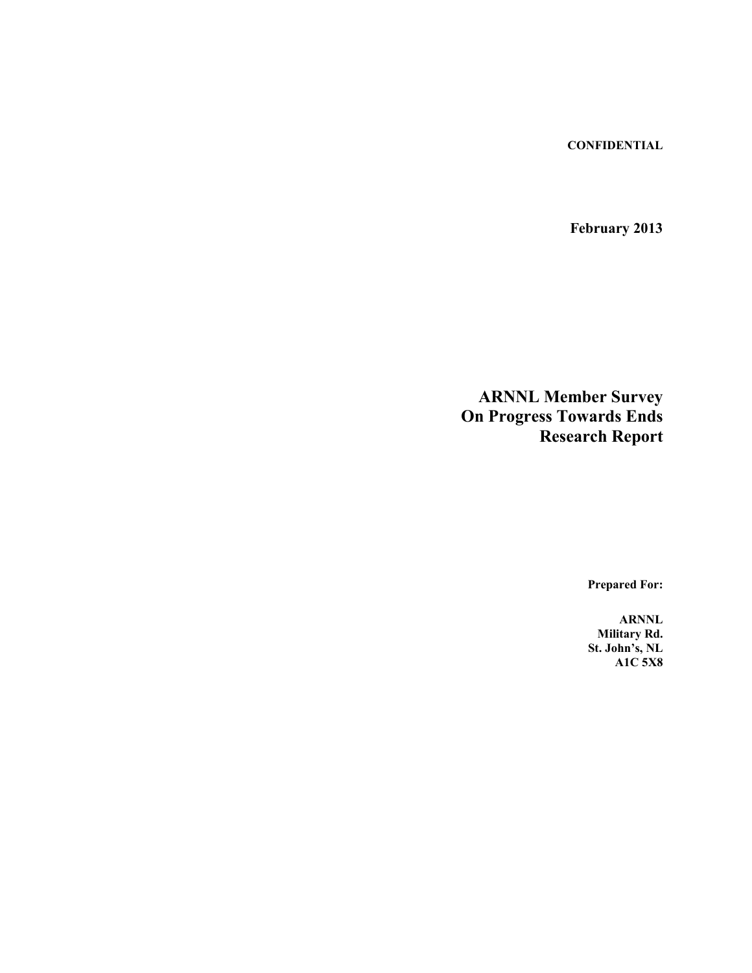**CONFIDENTIAL**

**February 2013**

**ARNNL Member Survey On Progress Towards Ends Research Report**

**Prepared For:**

**ARNNL Military Rd. St. John's, NL A1C 5X8**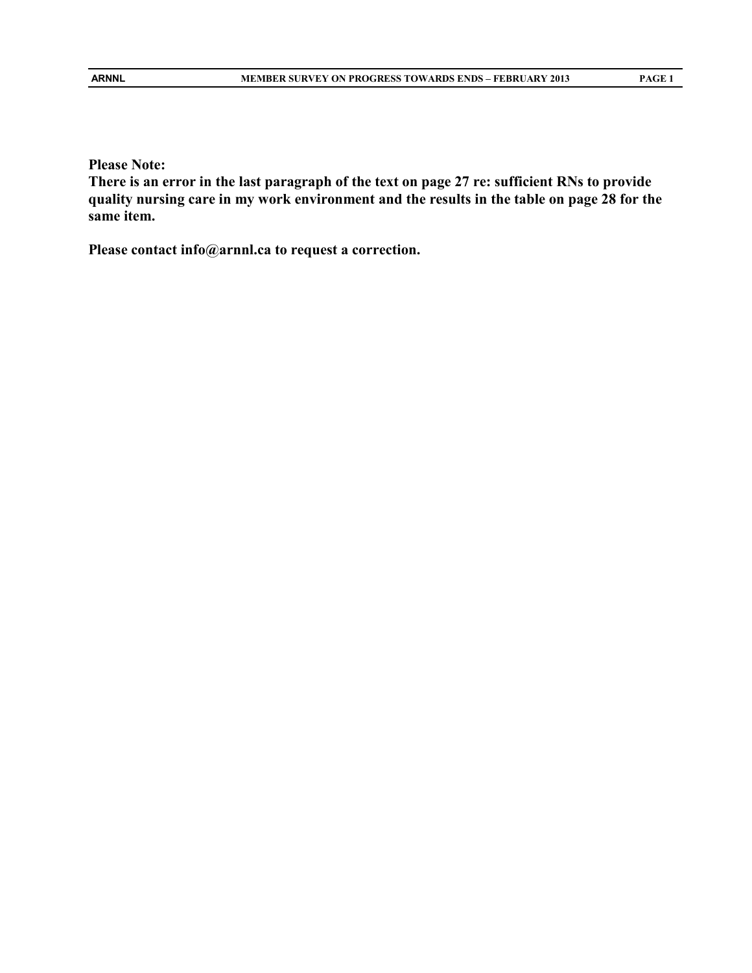**Please Note:** 

**There is an error in the last paragraph of the text on page 27 re: sufficient RNs to provide quality nursing care in my work environment and the results in the table on page 28 for the same item.**

**Please contact info@arnnl.ca to request a correction.**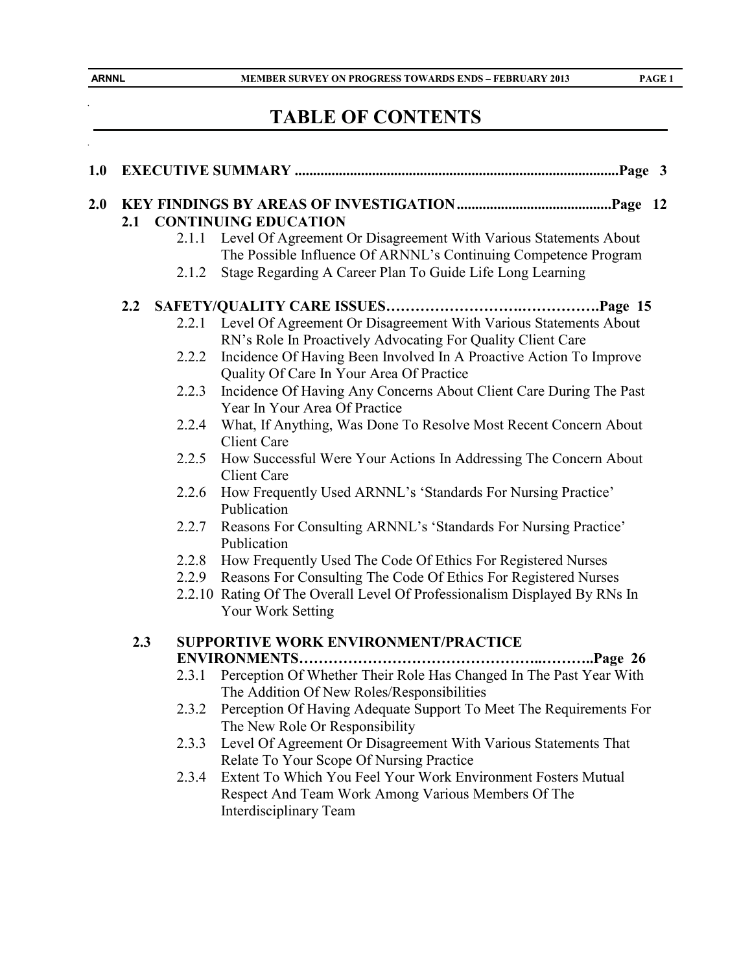$\ddot{\phantom{0}}$ 

 $\ddot{\phantom{0}}$ 

# **TABLE OF CONTENTS**

| 2.0 |                  |       | 2.1 CONTINUING EDUCATION                                                                                                                  |  |
|-----|------------------|-------|-------------------------------------------------------------------------------------------------------------------------------------------|--|
|     |                  |       | 2.1.1 Level Of Agreement Or Disagreement With Various Statements About<br>The Possible Influence Of ARNNL's Continuing Competence Program |  |
|     |                  | 2.1.2 | Stage Regarding A Career Plan To Guide Life Long Learning                                                                                 |  |
|     | $2.2\phantom{0}$ |       |                                                                                                                                           |  |
|     |                  | 2.2.1 | Level Of Agreement Or Disagreement With Various Statements About<br>RN's Role In Proactively Advocating For Quality Client Care           |  |
|     |                  | 2.2.2 | Incidence Of Having Been Involved In A Proactive Action To Improve<br>Quality Of Care In Your Area Of Practice                            |  |
|     |                  | 2.2.3 | Incidence Of Having Any Concerns About Client Care During The Past<br>Year In Your Area Of Practice                                       |  |
|     |                  | 2.2.4 | What, If Anything, Was Done To Resolve Most Recent Concern About<br><b>Client Care</b>                                                    |  |
|     |                  | 2.2.5 | How Successful Were Your Actions In Addressing The Concern About<br><b>Client Care</b>                                                    |  |
|     |                  | 2.2.6 | How Frequently Used ARNNL's 'Standards For Nursing Practice'<br>Publication                                                               |  |
|     |                  | 2.2.7 | Reasons For Consulting ARNNL's 'Standards For Nursing Practice'<br>Publication                                                            |  |
|     |                  | 2.2.8 | How Frequently Used The Code Of Ethics For Registered Nurses                                                                              |  |
|     |                  |       | 2.2.9 Reasons For Consulting The Code Of Ethics For Registered Nurses                                                                     |  |
|     |                  |       | 2.2.10 Rating Of The Overall Level Of Professionalism Displayed By RNs In<br><b>Your Work Setting</b>                                     |  |
|     | 2.3              |       | SUPPORTIVE WORK ENVIRONMENT/PRACTICE                                                                                                      |  |
|     |                  |       |                                                                                                                                           |  |
|     |                  | 2.3.1 | Perception Of Whether Their Role Has Changed In The Past Year With<br>The Addition Of New Roles/Responsibilities                          |  |
|     |                  |       | 2.3.2 Perception Of Having Adequate Support To Meet The Requirements For<br>The New Role Or Responsibility                                |  |
|     |                  | 2.3.3 | Level Of Agreement Or Disagreement With Various Statements That<br>Relate To Your Scope Of Nursing Practice                               |  |
|     |                  | 2.3.4 | Extent To Which You Feel Your Work Environment Fosters Mutual<br>Respect And Team Work Among Various Members Of The                       |  |
|     |                  |       | Interdisciplinary Team                                                                                                                    |  |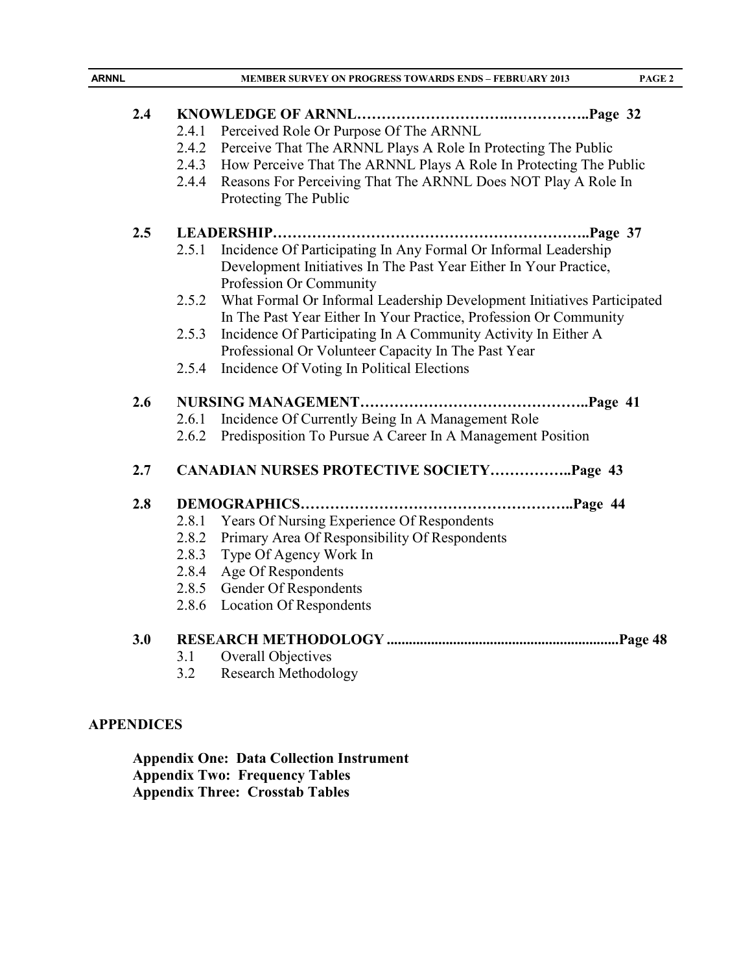| <b>ARNNL</b> |       | <b>MEMBER SURVEY ON PROGRESS TOWARDS ENDS - FEBRUARY 2013</b>                          | PAGE 2 |
|--------------|-------|----------------------------------------------------------------------------------------|--------|
|              |       |                                                                                        |        |
| 2.4          |       |                                                                                        |        |
|              | 2.4.1 | Perceived Role Or Purpose Of The ARNNL                                                 |        |
|              | 2.4.2 | Perceive That The ARNNL Plays A Role In Protecting The Public                          |        |
|              | 2.4.3 | How Perceive That The ARNNL Plays A Role In Protecting The Public                      |        |
|              | 2.4.4 | Reasons For Perceiving That The ARNNL Does NOT Play A Role In<br>Protecting The Public |        |
| 2.5          |       |                                                                                        |        |
|              | 2.5.1 | Incidence Of Participating In Any Formal Or Informal Leadership                        |        |
|              |       | Development Initiatives In The Past Year Either In Your Practice,                      |        |
|              |       | Profession Or Community                                                                |        |
|              | 2.5.2 | What Formal Or Informal Leadership Development Initiatives Participated                |        |
|              |       | In The Past Year Either In Your Practice, Profession Or Community                      |        |
|              | 2.5.3 | Incidence Of Participating In A Community Activity In Either A                         |        |
|              |       | Professional Or Volunteer Capacity In The Past Year                                    |        |
|              | 2.5.4 | Incidence Of Voting In Political Elections                                             |        |
| 2.6          |       |                                                                                        |        |
|              | 2.6.1 | Incidence Of Currently Being In A Management Role                                      |        |
|              | 2.6.2 | Predisposition To Pursue A Career In A Management Position                             |        |
| 2.7          |       | <b>CANADIAN NURSES PROTECTIVE SOCIETYPage 43</b>                                       |        |
| 2.8          |       | DEMOGRAPHICS                                                                           |        |
|              | 2.8.1 | Years Of Nursing Experience Of Respondents                                             |        |
|              | 2.8.2 | Primary Area Of Responsibility Of Respondents                                          |        |
|              | 2.8.3 | Type Of Agency Work In                                                                 |        |
|              | 2.8.4 | Age Of Respondents                                                                     |        |
|              | 2.8.5 | Gender Of Respondents                                                                  |        |
|              | 2.8.6 | <b>Location Of Respondents</b>                                                         |        |
| 3.0          |       |                                                                                        |        |
|              | 3.1   | Overall Objectives                                                                     |        |
|              | 3.2   | <b>Research Methodology</b>                                                            |        |
|              |       |                                                                                        |        |

# **APPENDICES**

**Appendix One: Data Collection Instrument Appendix Two: Frequency Tables Appendix Three: Crosstab Tables**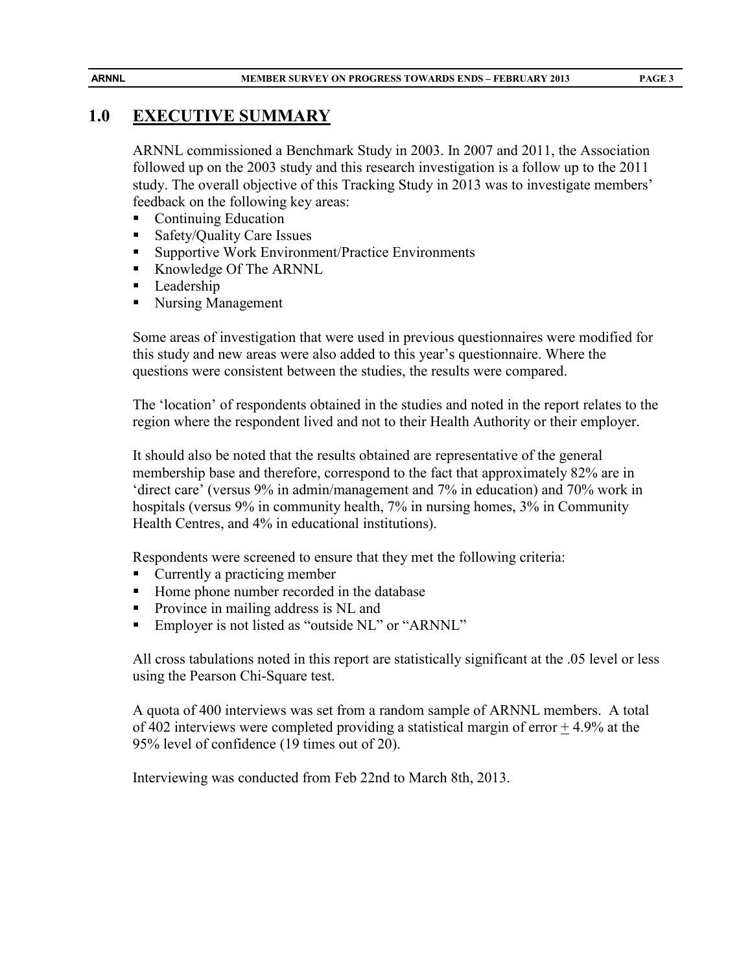# **1.0 EXECUTIVE SUMMARY**

ARNNL commissioned a Benchmark Study in 2003. In 2007 and 2011, the Association followed up on the 2003 study and this research investigation is a follow up to the 2011 study. The overall objective of this Tracking Study in 2013 was to investigate members' feedback on the following key areas:

- Continuing Education
- Safety/Quality Care Issues
- Supportive Work Environment/Practice Environments
- Knowledge Of The ARNNL
- **Leadership**
- Nursing Management

Some areas of investigation that were used in previous questionnaires were modified for this study and new areas were also added to this year's questionnaire. Where the questions were consistent between the studies, the results were compared.

The 'location' of respondents obtained in the studies and noted in the report relates to the region where the respondent lived and not to their Health Authority or their employer.

It should also be noted that the results obtained are representative of the general membership base and therefore, correspond to the fact that approximately 82% are in 'direct care' (versus 9% in admin/management and 7% in education) and 70% work in hospitals (versus 9% in community health, 7% in nursing homes, 3% in Community Health Centres, and 4% in educational institutions).

Respondents were screened to ensure that they met the following criteria:

- Currently a practicing member
- Home phone number recorded in the database
- **Province in mailing address is NL and**
- **Employer is not listed as "outside NL" or "ARNNL"**

All cross tabulations noted in this report are statistically significant at the .05 level or less using the Pearson Chi-Square test.

A quota of 400 interviews was set from a random sample of ARNNL members. A total of 402 interviews were completed providing a statistical margin of error  $+4.9\%$  at the 95% level of confidence (19 times out of 20).

Interviewing was conducted from Feb 22nd to March 8th, 2013.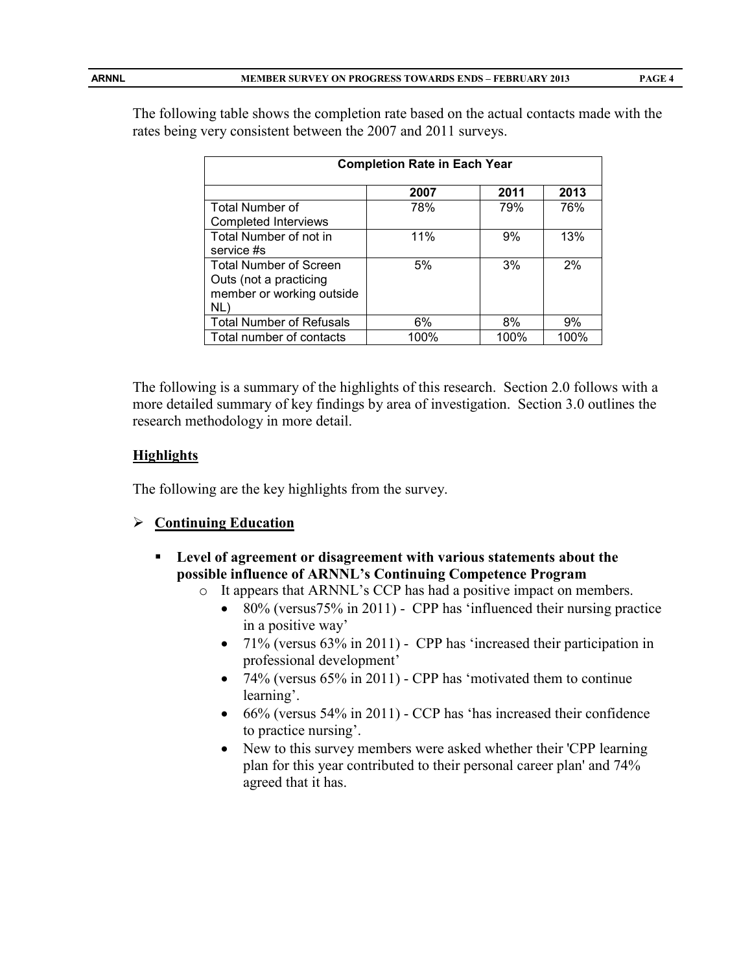| <b>Completion Rate in Each Year</b> |      |      |      |  |  |  |  |
|-------------------------------------|------|------|------|--|--|--|--|
|                                     | 2007 | 2011 | 2013 |  |  |  |  |
| <b>Total Number of</b>              | 78%  | 79%  | 76%  |  |  |  |  |
| <b>Completed Interviews</b>         |      |      |      |  |  |  |  |
| Total Number of not in              | 11%  | 9%   | 13%  |  |  |  |  |
| service #s                          |      |      |      |  |  |  |  |
| <b>Total Number of Screen</b>       | 5%   | 3%   | 2%   |  |  |  |  |
| Outs (not a practicing              |      |      |      |  |  |  |  |
| member or working outside           |      |      |      |  |  |  |  |
| NL)                                 |      |      |      |  |  |  |  |
| <b>Total Number of Refusals</b>     | 6%   | 8%   | 9%   |  |  |  |  |
| Total number of contacts            | 100% | 100% | 100% |  |  |  |  |

The following table shows the completion rate based on the actual contacts made with the rates being very consistent between the 2007 and 2011 surveys.

The following is a summary of the highlights of this research. Section 2.0 follows with a more detailed summary of key findings by area of investigation. Section 3.0 outlines the research methodology in more detail.

#### **Highlights**

The following are the key highlights from the survey.

#### **Continuing Education**

- **Level of agreement or disagreement with various statements about the possible influence of ARNNL's Continuing Competence Program**
	- o It appears that ARNNL's CCP has had a positive impact on members.
		- 80% (versus 75% in 2011) CPP has 'influenced their nursing practice in a positive way'
		- 71% (versus 63% in 2011) CPP has 'increased their participation in professional development'
		- 74% (versus 65% in 2011) CPP has 'motivated them to continue learning'.
		- 66% (versus 54% in 2011) CCP has 'has increased their confidence to practice nursing'.
		- New to this survey members were asked whether their 'CPP learning plan for this year contributed to their personal career plan' and 74% agreed that it has.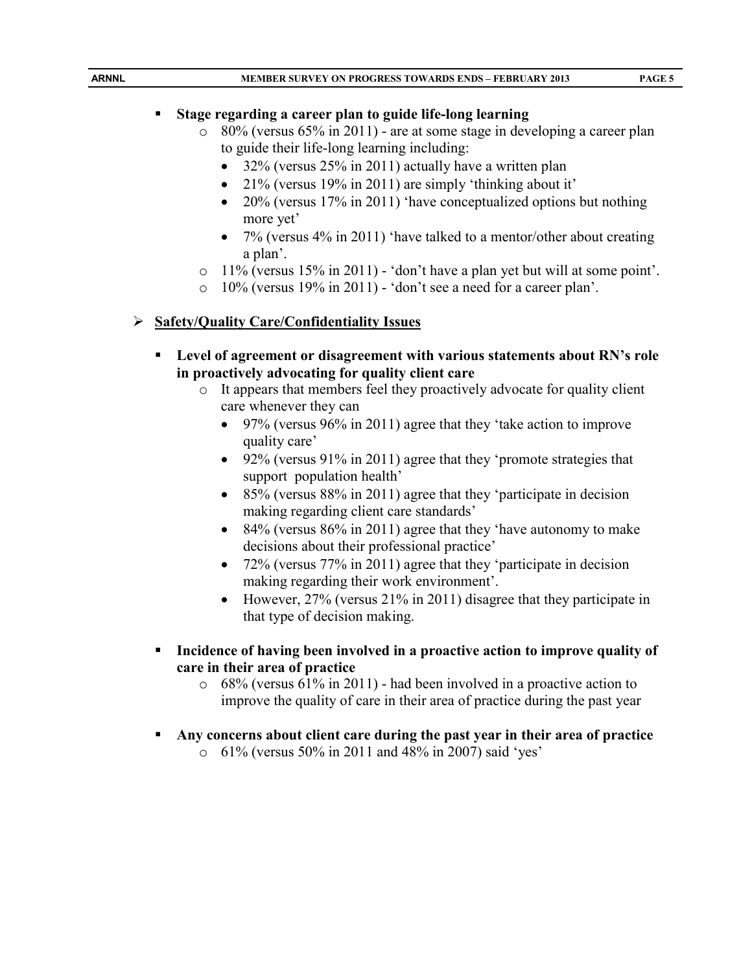#### **Stage regarding a career plan to guide life-long learning**

- o 80% (versus 65% in 2011) are at some stage in developing a career plan to guide their life-long learning including:
	- 32% (versus 25% in 2011) actually have a written plan
	- 21% (versus 19% in 2011) are simply 'thinking about it'
	- 20% (versus 17% in 2011) 'have conceptualized options but nothing more yet'
	- 7% (versus 4% in 2011) 'have talked to a mentor/other about creating a plan'.
- o 11% (versus 15% in 2011) 'don't have a plan yet but will at some point'.
- o 10% (versus 19% in 2011) 'don't see a need for a career plan'.

# **Safety/Quality Care/Confidentiality Issues**

- **Level of agreement or disagreement with various statements about RN's role in proactively advocating for quality client care**
	- o It appears that members feel they proactively advocate for quality client care whenever they can
		- 97% (versus 96% in 2011) agree that they 'take action to improve quality care'
		- 92% (versus 91% in 2011) agree that they 'promote strategies that support population health'
		- 85% (versus  $88\%$  in 2011) agree that they 'participate in decision making regarding client care standards'
		- 84% (versus 86% in 2011) agree that they 'have autonomy to make decisions about their professional practice'
		- 72% (versus 77% in 2011) agree that they 'participate in decision making regarding their work environment'.
		- However, 27% (versus 21% in 2011) disagree that they participate in that type of decision making.
- **Incidence of having been involved in a proactive action to improve quality of care in their area of practice**
	- o 68% (versus 61% in 2011) had been involved in a proactive action to improve the quality of care in their area of practice during the past year
- **Any concerns about client care during the past year in their area of practice**
	- o 61% (versus 50% in 2011 and 48% in 2007) said 'yes'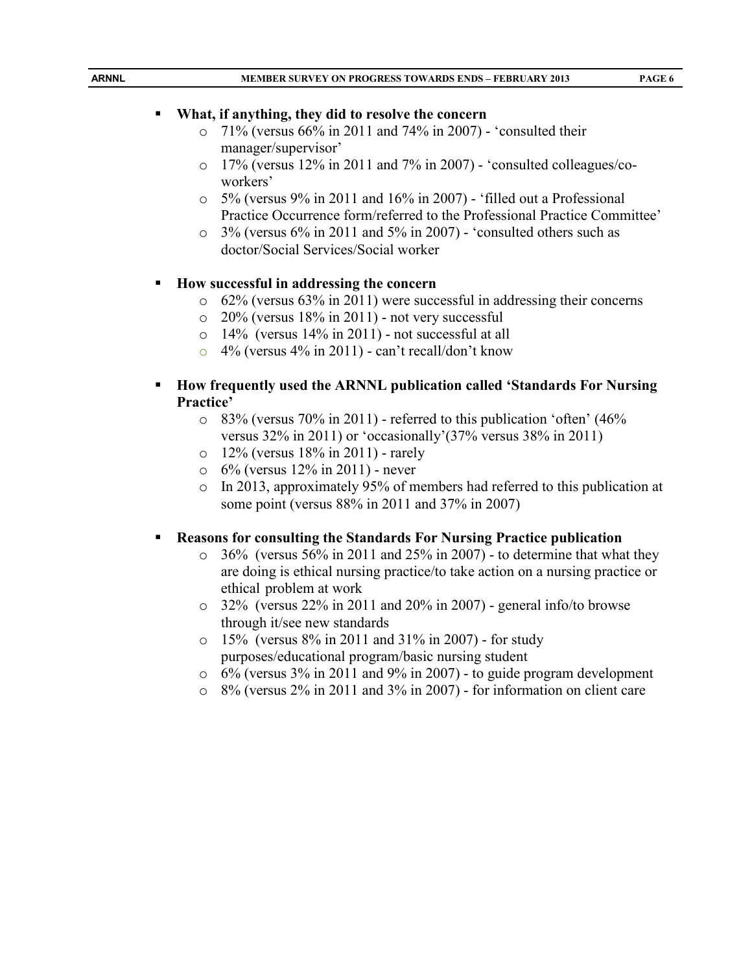- $\degree$  71% (versus 66% in 2011 and 74% in 2007) 'consulted their manager/supervisor'
- $\circ$  17% (versus 12% in 2011 and 7% in 2007) 'consulted colleagues/coworkers'
- $\circ$  5% (versus 9% in 2011 and 16% in 2007) 'filled out a Professional Practice Occurrence form/referred to the Professional Practice Committee'
- $\degree$  3% (versus 6% in 2011 and 5% in 2007) 'consulted others such as doctor/Social Services/Social worker

# **How successful in addressing the concern**

- o 62% (versus 63% in 2011) were successful in addressing their concerns
- $\degree$  20% (versus 18% in 2011) not very successful
- $\circ$  14% (versus 14% in 2011) not successful at all
- $\degree$  4% (versus 4% in 2011) can't recall/don't know
- **How frequently used the ARNNL publication called 'Standards For Nursing Practice'**
	- o 83% (versus 70% in 2011) referred to this publication 'often' (46% versus 32% in 2011) or 'occasionally'(37% versus 38% in 2011)
	- o 12% (versus 18% in 2011) rarely
	- $\circ$  6% (versus 12% in 2011) never
	- o In 2013, approximately 95% of members had referred to this publication at some point (versus 88% in 2011 and 37% in 2007)

# **Reasons for consulting the Standards For Nursing Practice publication**

- $\circ$  36% (versus 56% in 2011 and 25% in 2007) to determine that what they are doing is ethical nursing practice/to take action on a nursing practice or ethical problem at work
- $\degree$  32% (versus 22% in 2011 and 20% in 2007) general info/to browse through it/see new standards
- $\circ$  15% (versus 8% in 2011 and 31% in 2007) for study purposes/educational program/basic nursing student
- $\circ$  6% (versus 3% in 2011 and 9% in 2007) to guide program development
- o 8% (versus 2% in 2011 and 3% in 2007) for information on client care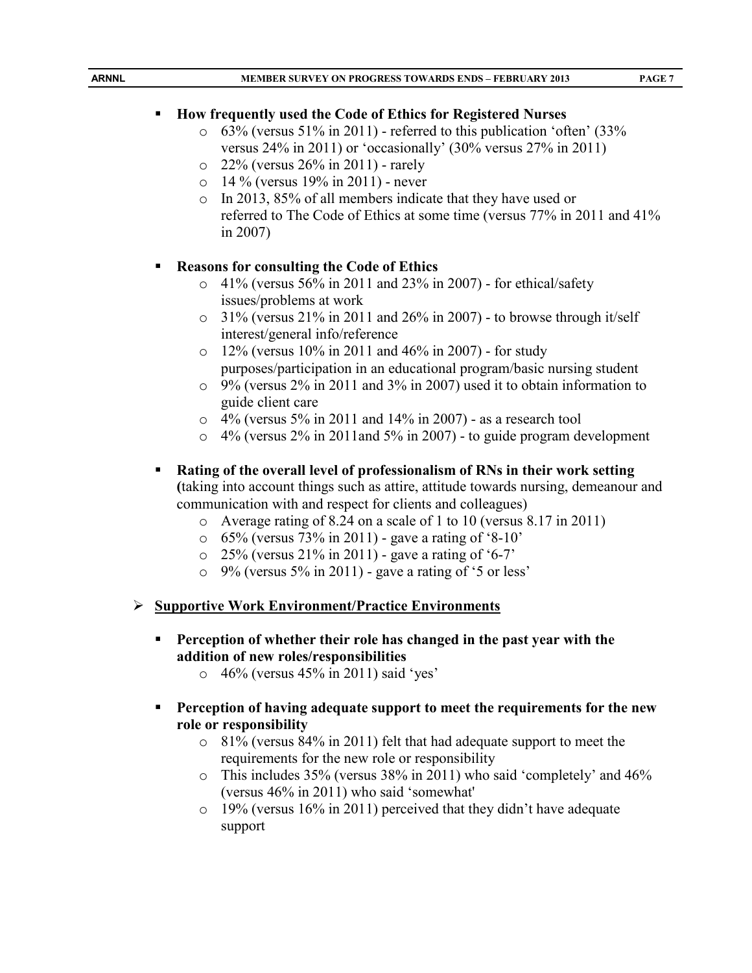| $\circ$<br>$\circ$<br>$\circ$<br>$\circ$ | How frequently used the Code of Ethics for Registered Nurses<br>63% (versus 51% in 2011) - referred to this publication 'often' (33%<br>versus $24\%$ in 2011) or 'occasionally' (30% versus $27\%$ in 2011)<br>22% (versus 26% in 2011) - rarely<br>14 % (versus 19% in 2011) - never<br>In 2013, 85% of all members indicate that they have used or<br>referred to The Code of Ethics at some time (versus 77% in 2011 and 41%)<br>in $2007$ ) |
|------------------------------------------|--------------------------------------------------------------------------------------------------------------------------------------------------------------------------------------------------------------------------------------------------------------------------------------------------------------------------------------------------------------------------------------------------------------------------------------------------|
| п<br>$\circ$<br>O<br>$\circ$             | <b>Reasons for consulting the Code of Ethics</b><br>41% (versus 56% in 2011 and 23% in 2007) - for ethical/safety<br>issues/problems at work<br>31% (versus 21% in 2011 and 26% in 2007) - to browse through it/self<br>interest/general info/reference<br>12% (versus 10% in 2011 and 46% in 2007) - for study<br>purposes/participation in an educational program/basic nursing student                                                        |
| $\circ$<br>$\circ$<br>п                  | 9% (versus 2% in 2011 and 3% in 2007) used it to obtain information to<br>guide client care<br>$\circ$ 4% (versus 5% in 2011 and 14% in 2007) - as a research tool<br>$4\%$ (versus $2\%$ in 2011and 5% in 2007) - to guide program development<br>Rating of the overall level of professionalism of RNs in their work setting                                                                                                                   |
| $\circ$<br>$\circ$<br>$\circ$<br>$\circ$ | (taking into account things such as attire, attitude towards nursing, demeanour and<br>communication with and respect for clients and colleagues)<br>Average rating of 8.24 on a scale of 1 to 10 (versus 8.17 in 2011)<br>65% (versus 73% in 2011) - gave a rating of '8-10'<br>25% (versus 21% in 2011) - gave a rating of '6-7'<br>9% (versus 5% in 2011) - gave a rating of '5 or less'                                                      |
| ➤<br>п<br>$\circ$                        | <b>Supportive Work Environment/Practice Environments</b><br>Perception of whether their role has changed in the past year with the<br>addition of new roles/responsibilities<br>46% (versus 45% in 2011) said 'yes'                                                                                                                                                                                                                              |
| п<br>$\circ$<br>$\circ$<br>$\circ$       | Perception of having adequate support to meet the requirements for the new<br>role or responsibility<br>81% (versus 84% in 2011) felt that had adequate support to meet the<br>requirements for the new role or responsibility<br>This includes 35% (versus 38% in 2011) who said 'completely' and 46%<br>(versus 46% in 2011) who said 'somewhat'<br>19% (versus 16% in 2011) perceived that they didn't have adequate<br>support               |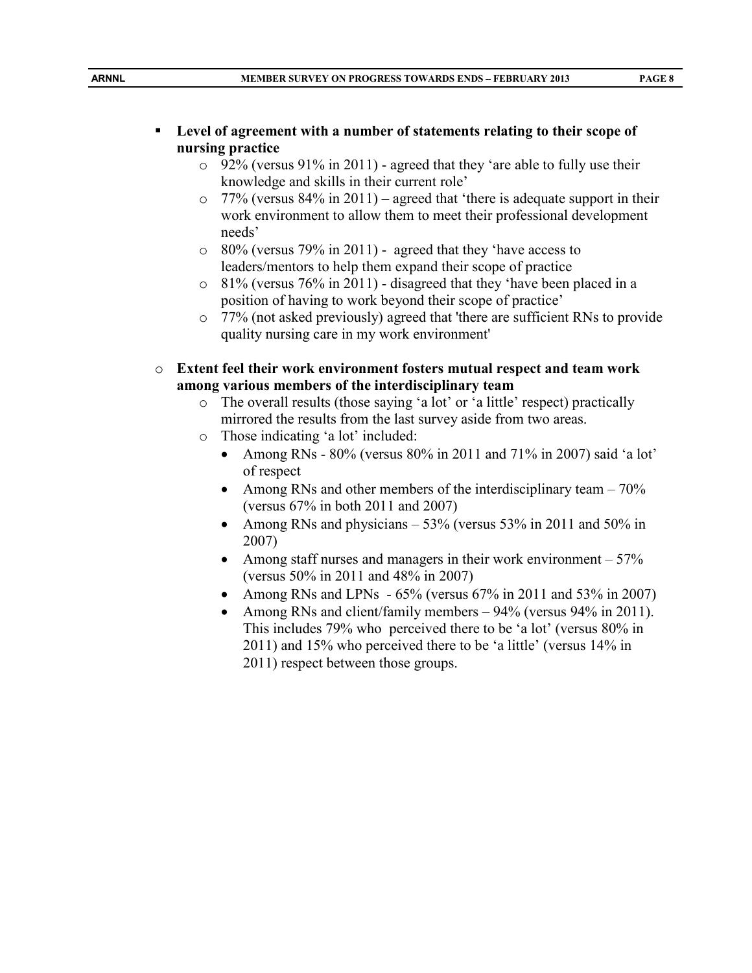# **Level of agreement with a number of statements relating to their scope of nursing practice**

- $\degree$  92% (versus 91% in 2011) agreed that they 'are able to fully use their knowledge and skills in their current role'
- $\degree$  77% (versus 84% in 2011) agreed that 'there is adequate support in their work environment to allow them to meet their professional development needs'
- o 80% (versus 79% in 2011) agreed that they 'have access to leaders/mentors to help them expand their scope of practice
- o 81% (versus 76% in 2011) disagreed that they 'have been placed in a position of having to work beyond their scope of practice'
- o 77% (not asked previously) agreed that 'there are sufficient RNs to provide quality nursing care in my work environment'
- o **Extent feel their work environment fosters mutual respect and team work among various members of the interdisciplinary team**
	- o The overall results (those saying 'a lot' or 'a little' respect) practically mirrored the results from the last survey aside from two areas.
	- o Those indicating 'a lot' included:
		- Among RNs  $80\%$  (versus  $80\%$  in 2011 and  $71\%$  in 2007) said 'a lot' of respect
		- Among RNs and other members of the interdisciplinary team  $-70\%$ (versus 67% in both 2011 and 2007)
		- Among RNs and physicians  $-53\%$  (versus 53% in 2011 and 50% in 2007)
		- Among staff nurses and managers in their work environment  $-57\%$ (versus 50% in 2011 and 48% in 2007)
		- Among RNs and LPNs  $-65\%$  (versus 67% in 2011 and 53% in 2007)
		- Among RNs and client/family members 94% (versus 94% in 2011). This includes 79% who perceived there to be 'a lot' (versus 80% in 2011) and 15% who perceived there to be 'a little' (versus 14% in 2011) respect between those groups.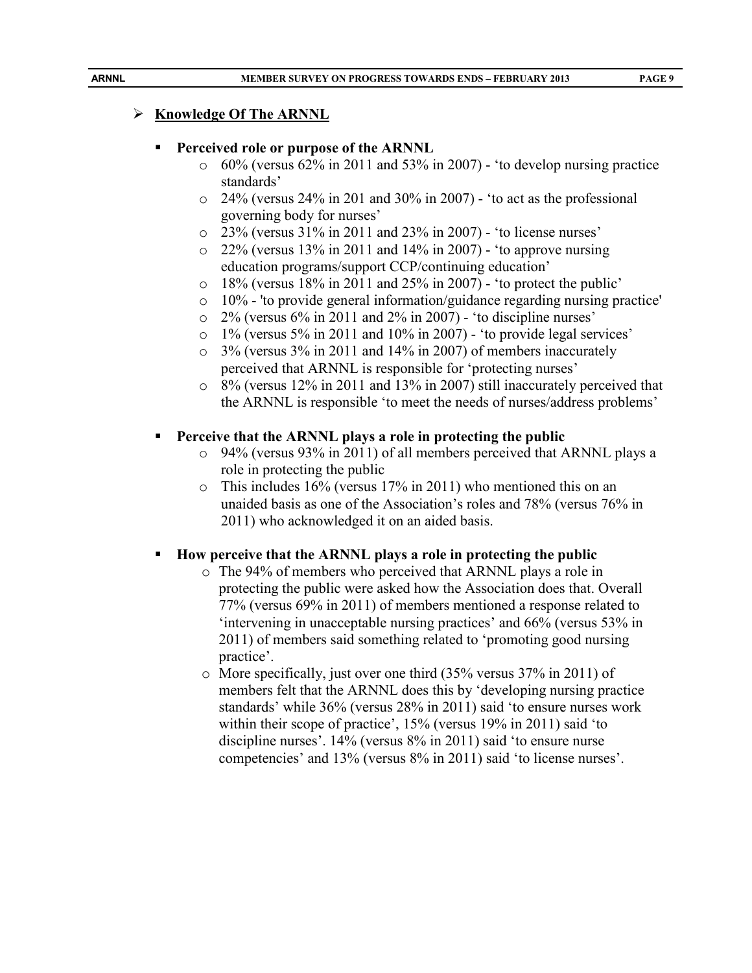## **Knowledge Of The ARNNL**

#### **Perceived role or purpose of the ARNNL**

- $\circ$  60% (versus 62% in 2011 and 53% in 2007) 'to develop nursing practice standards'
- $\degree$  24% (versus 24% in 201 and 30% in 2007) 'to act as the professional governing body for nurses'
- o 23% (versus 31% in 2011 and 23% in 2007) 'to license nurses'
- o 22% (versus 13% in 2011 and 14% in 2007) 'to approve nursing education programs/support CCP/continuing education'
- o 18% (versus 18% in 2011 and 25% in 2007) 'to protect the public'
- $\circ$  10% 'to provide general information/guidance regarding nursing practice'
- o 2% (versus 6% in 2011 and 2% in 2007) 'to discipline nurses'
- o 1% (versus 5% in 2011 and 10% in 2007) 'to provide legal services'
- o 3% (versus 3% in 2011 and 14% in 2007) of members inaccurately perceived that ARNNL is responsible for 'protecting nurses'
- o 8% (versus 12% in 2011 and 13% in 2007) still inaccurately perceived that the ARNNL is responsible 'to meet the needs of nurses/address problems'

# **Perceive that the ARNNL plays a role in protecting the public**

- o 94% (versus 93% in 2011) of all members perceived that ARNNL plays a role in protecting the public
- o This includes 16% (versus 17% in 2011) who mentioned this on an unaided basis as one of the Association's roles and 78% (versus 76% in 2011) who acknowledged it on an aided basis.

# **How perceive that the ARNNL plays a role in protecting the public**

- o The 94% of members who perceived that ARNNL plays a role in protecting the public were asked how the Association does that. Overall 77% (versus 69% in 2011) of members mentioned a response related to 'intervening in unacceptable nursing practices' and 66% (versus 53% in 2011) of members said something related to 'promoting good nursing practice'.
- o More specifically, just over one third (35% versus 37% in 2011) of members felt that the ARNNL does this by 'developing nursing practice standards' while 36% (versus 28% in 2011) said 'to ensure nurses work within their scope of practice', 15% (versus 19% in 2011) said 'to discipline nurses'. 14% (versus 8% in 2011) said 'to ensure nurse competencies' and 13% (versus 8% in 2011) said 'to license nurses'.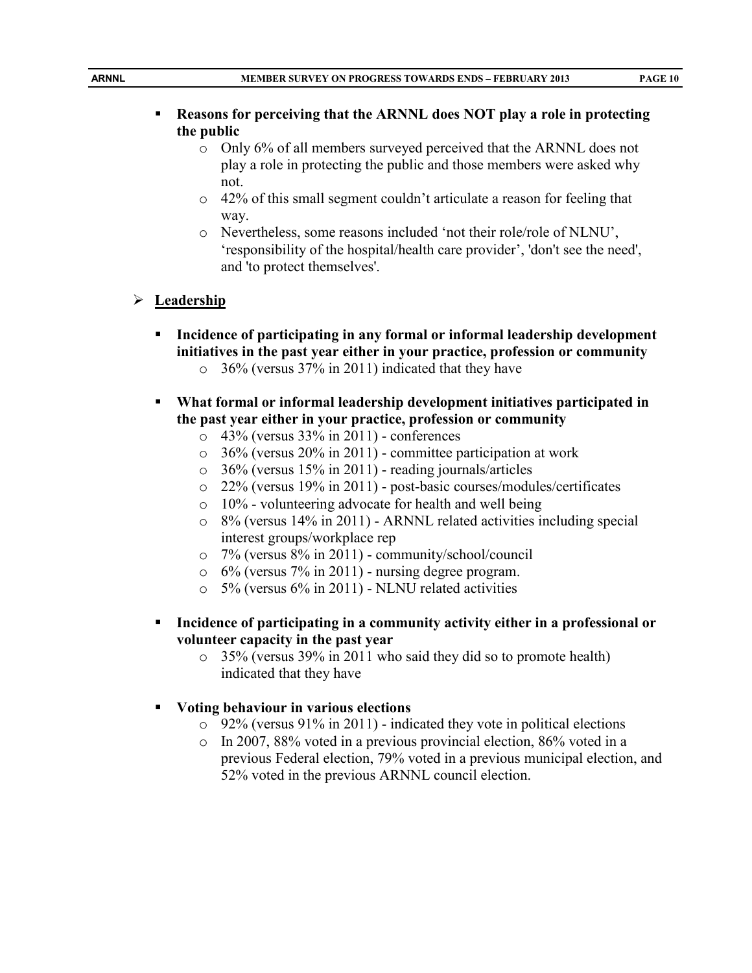- **Reasons for perceiving that the ARNNL does NOT play a role in protecting the public**
	- o Only 6% of all members surveyed perceived that the ARNNL does not play a role in protecting the public and those members were asked why not.
	- o 42% of this small segment couldn't articulate a reason for feeling that way.
	- o Nevertheless, some reasons included 'not their role/role of NLNU', 'responsibility of the hospital/health care provider', 'don't see the need', and 'to protect themselves'.

#### **Leadership**

- **Incidence of participating in any formal or informal leadership development initiatives in the past year either in your practice, profession or community**
	- $\degree$  36% (versus 37% in 2011) indicated that they have
- **What formal or informal leadership development initiatives participated in the past year either in your practice, profession or community**
	- $\degree$  43% (versus 33% in 2011) conferences
	- o 36% (versus 20% in 2011) committee participation at work
	- o 36% (versus 15% in 2011) reading journals/articles
	- o 22% (versus 19% in 2011) post-basic courses/modules/certificates
	- $\circ$  10% volunteering advocate for health and well being
	- o 8% (versus 14% in 2011) ARNNL related activities including special interest groups/workplace rep
	- o 7% (versus 8% in 2011) community/school/council
	- $\circ$  6% (versus 7% in 2011) nursing degree program.
	- $\degree$  5% (versus 6% in 2011) NLNU related activities
- **Incidence of participating in a community activity either in a professional or volunteer capacity in the past year**
	- o 35% (versus 39% in 2011 who said they did so to promote health) indicated that they have
- **Voting behaviour in various elections** 
	- $\degree$  92% (versus 91% in 2011) indicated they vote in political elections
	- o In 2007, 88% voted in a previous provincial election, 86% voted in a previous Federal election, 79% voted in a previous municipal election, and 52% voted in the previous ARNNL council election.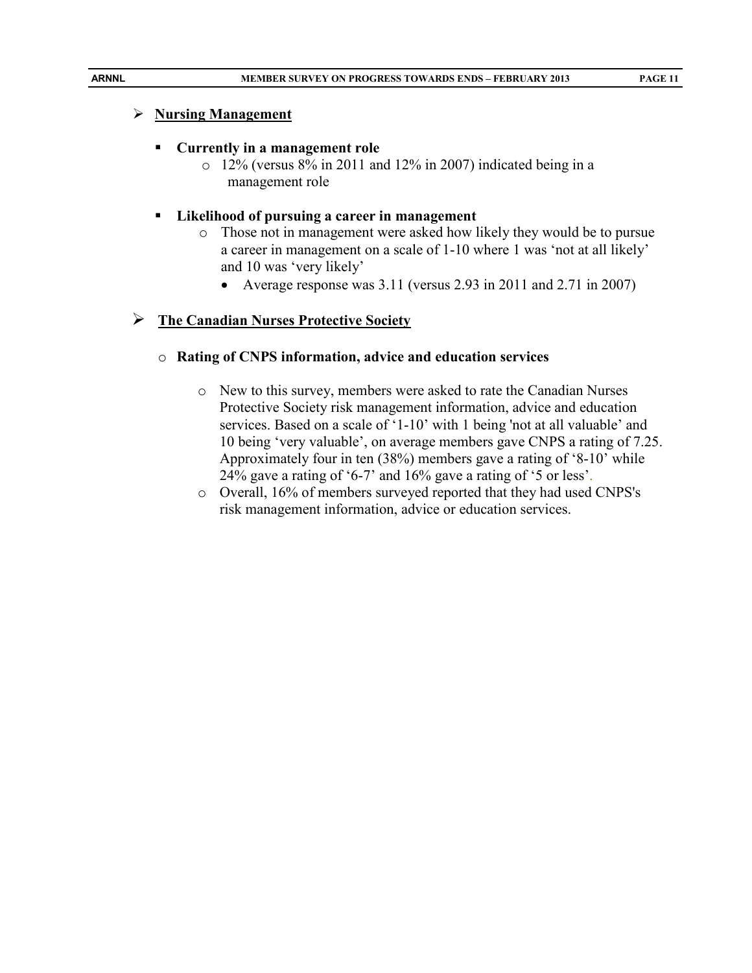# **Nursing Management**

# **Currently in a management role**

 $\circ$  12% (versus 8% in 2011 and 12% in 2007) indicated being in a management role

# **Likelihood of pursuing a career in management**

- o Those not in management were asked how likely they would be to pursue a career in management on a scale of 1-10 where 1 was 'not at all likely' and 10 was 'very likely'
	- Average response was 3.11 (versus 2.93 in 2011 and 2.71 in 2007)

# **The Canadian Nurses Protective Society**

# o **Rating of CNPS information, advice and education services**

- o New to this survey, members were asked to rate the Canadian Nurses Protective Society risk management information, advice and education services. Based on a scale of '1-10' with 1 being 'not at all valuable' and 10 being 'very valuable', on average members gave CNPS a rating of 7.25. Approximately four in ten (38%) members gave a rating of '8-10' while 24% gave a rating of '6-7' and 16% gave a rating of '5 or less'.
- o Overall, 16% of members surveyed reported that they had used CNPS's risk management information, advice or education services.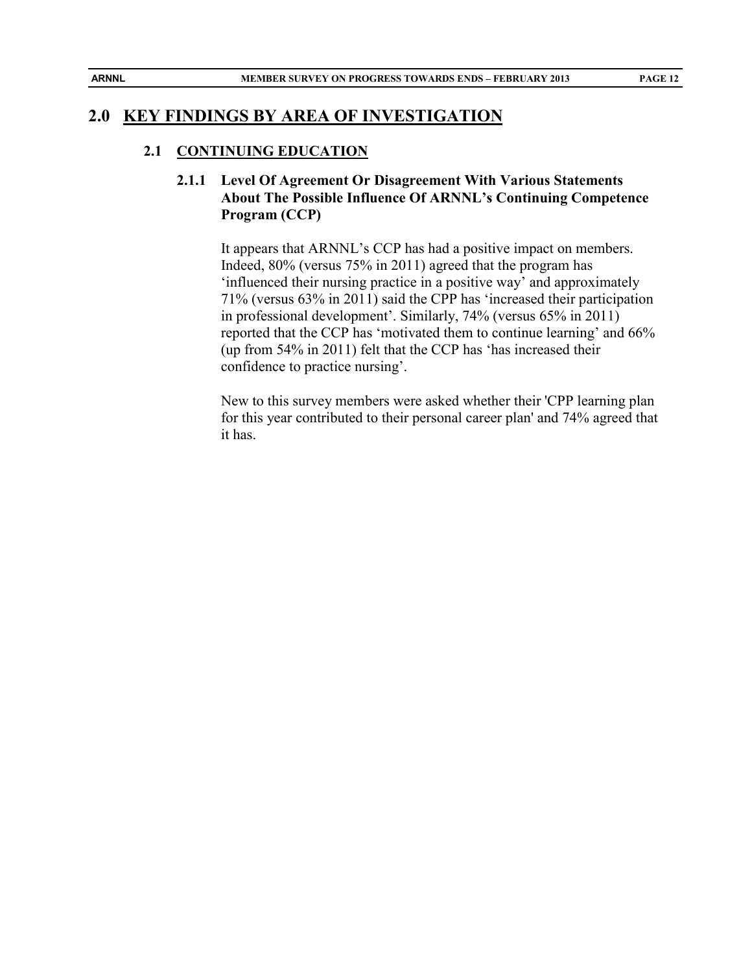# **2.0 KEY FINDINGS BY AREA OF INVESTIGATION**

#### **2.1 CONTINUING EDUCATION**

## **2.1.1 Level Of Agreement Or Disagreement With Various Statements About The Possible Influence Of ARNNL's Continuing Competence Program (CCP)**

It appears that ARNNL's CCP has had a positive impact on members. Indeed, 80% (versus 75% in 2011) agreed that the program has 'influenced their nursing practice in a positive way' and approximately 71% (versus 63% in 2011) said the CPP has 'increased their participation in professional development'. Similarly, 74% (versus 65% in 2011) reported that the CCP has 'motivated them to continue learning' and 66% (up from 54% in 2011) felt that the CCP has 'has increased their confidence to practice nursing'.

New to this survey members were asked whether their 'CPP learning plan for this year contributed to their personal career plan' and 74% agreed that it has.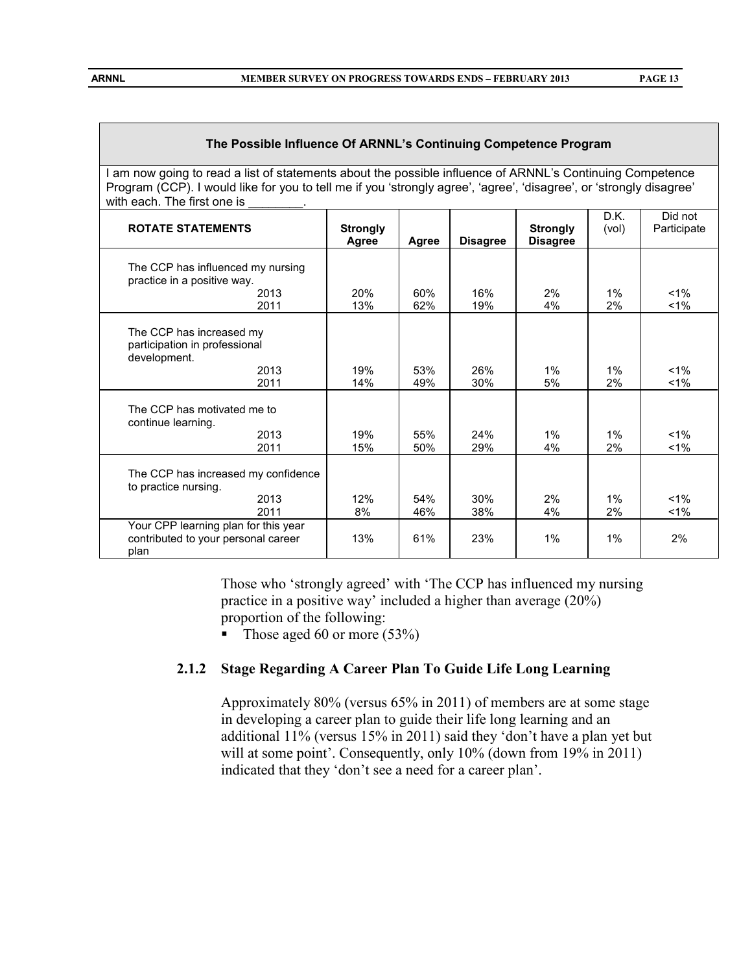#### **The Possible Influence Of ARNNL's Continuing Competence Program**

I am now going to read a list of statements about the possible influence of ARNNL's Continuing Competence Program (CCP). I would like for you to tell me if you 'strongly agree', 'agree', 'disagree', or 'strongly disagree' with each. The first one is

|                                                                                     |                          |            |                 |                                    | D.K.        | Did not        |
|-------------------------------------------------------------------------------------|--------------------------|------------|-----------------|------------------------------------|-------------|----------------|
| <b>ROTATE STATEMENTS</b>                                                            | <b>Strongly</b><br>Agree | Agree      | <b>Disagree</b> | <b>Strongly</b><br><b>Disagree</b> | (vol)       | Participate    |
| The CCP has influenced my nursing<br>practice in a positive way.                    |                          |            |                 |                                    |             |                |
| 2013                                                                                | 20%                      | 60%        | 16%             | 2%                                 | $1\%$       | $1\%$          |
| 2011                                                                                | 13%                      | 62%        | 19%             | 4%                                 | 2%          | $1\%$          |
| The CCP has increased my<br>participation in professional<br>development.           |                          |            |                 |                                    |             |                |
| 2013<br>2011                                                                        | 19%<br>14%               | 53%<br>49% | 26%<br>30%      | $1\%$<br>5%                        | $1\%$<br>2% | $1\%$<br>$1\%$ |
| The CCP has motivated me to<br>continue learning.                                   |                          |            |                 |                                    |             |                |
| 2013                                                                                | 19%                      | 55%        | 24%             | 1%                                 | $1\%$       | $1\%$          |
| 2011                                                                                | 15%                      | 50%        | 29%             | 4%                                 | 2%          | $1\%$          |
| The CCP has increased my confidence<br>to practice nursing.                         |                          |            |                 |                                    |             |                |
| 2013                                                                                | 12%                      | 54%        | 30%             | 2%                                 | $1\%$       | $1\%$          |
| 2011                                                                                | 8%                       | 46%        | 38%             | 4%                                 | 2%          | $1\%$          |
| Your CPP learning plan for this year<br>contributed to your personal career<br>plan | 13%                      | 61%        | 23%             | $1\%$                              | $1\%$       | 2%             |

Those who 'strongly agreed' with 'The CCP has influenced my nursing practice in a positive way' included a higher than average (20%) proportion of the following:

Those aged 60 or more  $(53%)$ 

#### **2.1.2 Stage Regarding A Career Plan To Guide Life Long Learning**

Approximately 80% (versus 65% in 2011) of members are at some stage in developing a career plan to guide their life long learning and an additional 11% (versus 15% in 2011) said they 'don't have a plan yet but will at some point'. Consequently, only 10% (down from 19% in 2011) indicated that they 'don't see a need for a career plan'.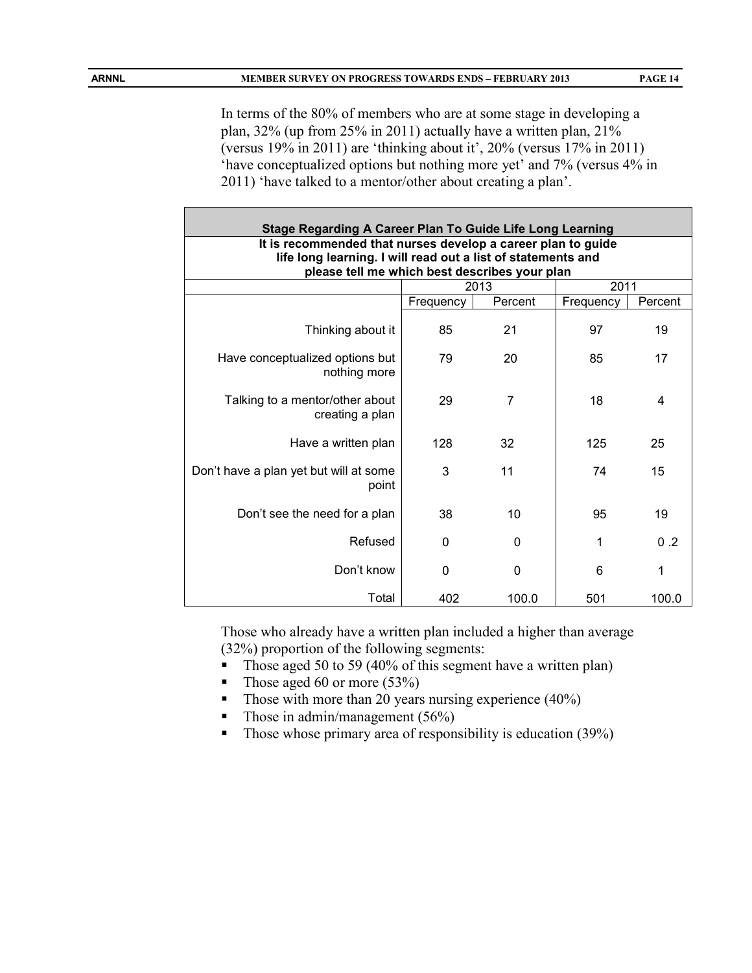In terms of the 80% of members who are at some stage in developing a plan, 32% (up from 25% in 2011) actually have a written plan, 21% (versus 19% in 2011) are 'thinking about it', 20% (versus 17% in 2011) 'have conceptualized options but nothing more yet' and 7% (versus 4% in 2011) 'have talked to a mentor/other about creating a plan'.

| <b>Stage Regarding A Career Plan To Guide Life Long Learning</b>                                                             |           |              |           |         |  |  |  |
|------------------------------------------------------------------------------------------------------------------------------|-----------|--------------|-----------|---------|--|--|--|
| It is recommended that nurses develop a career plan to guide<br>life long learning. I will read out a list of statements and |           |              |           |         |  |  |  |
| please tell me which best describes your plan                                                                                |           |              |           |         |  |  |  |
| 2011<br>2013                                                                                                                 |           |              |           |         |  |  |  |
|                                                                                                                              | Frequency | Percent      | Frequency | Percent |  |  |  |
| Thinking about it                                                                                                            | 85        | 21           | 97        | 19      |  |  |  |
| Have conceptualized options but<br>nothing more                                                                              | 79        | 20           | 85        | 17      |  |  |  |
| Talking to a mentor/other about<br>creating a plan                                                                           | 29        | 7            | 18        | 4       |  |  |  |
| Have a written plan                                                                                                          | 128       | 32           | 125       | 25      |  |  |  |
| Don't have a plan yet but will at some<br>point                                                                              | 3         | 11           | 74        | 15      |  |  |  |
| Don't see the need for a plan                                                                                                | 38        | 10           | 95        | 19      |  |  |  |
| Refused                                                                                                                      | 0         | $\mathbf{0}$ | 1         | 0.2     |  |  |  |
| Don't know                                                                                                                   | 0         | 0            | 6         | 1       |  |  |  |
| Total                                                                                                                        | 402       | 100.0        | 501       | 100.0   |  |  |  |

Those who already have a written plan included a higher than average (32%) proportion of the following segments:

- Those aged 50 to 59 (40% of this segment have a written plan)
- Those aged 60 or more  $(53\%)$
- Those with more than 20 years nursing experience  $(40\%)$
- Those in admin/management (56%)
- Those whose primary area of responsibility is education (39%)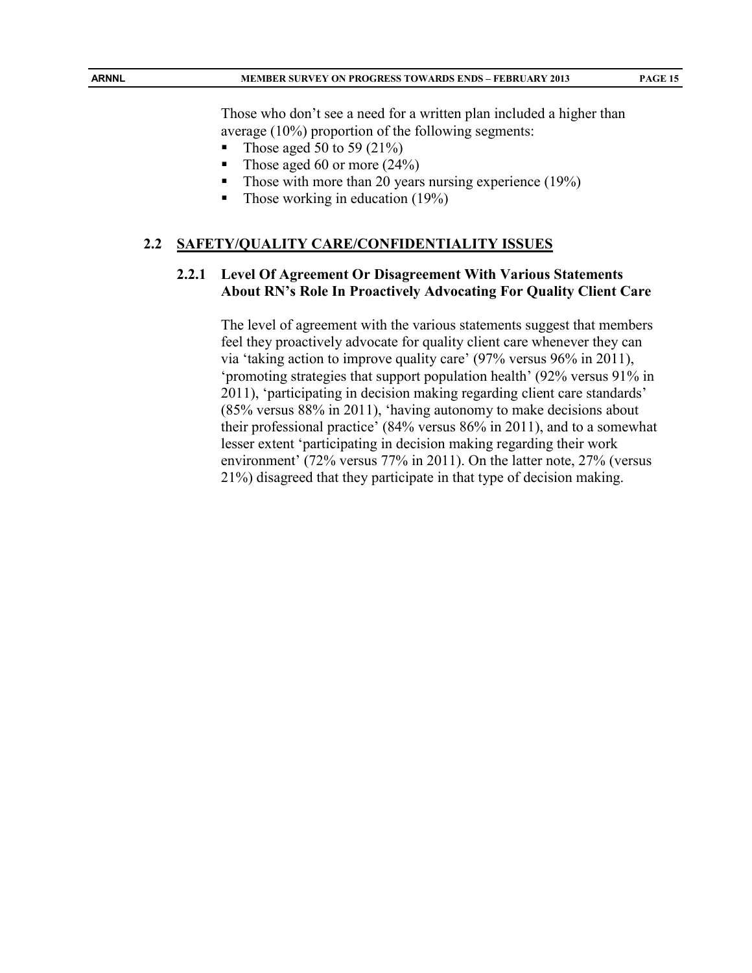Those who don't see a need for a written plan included a higher than average (10%) proportion of the following segments:

- Those aged 50 to 59 (21%)
- Those aged 60 or more  $(24%)$
- Those with more than 20 years nursing experience  $(19\%)$
- Those working in education  $(19\%)$

#### **2.2 SAFETY/QUALITY CARE/CONFIDENTIALITY ISSUES**

#### **2.2.1 Level Of Agreement Or Disagreement With Various Statements About RN's Role In Proactively Advocating For Quality Client Care**

The level of agreement with the various statements suggest that members feel they proactively advocate for quality client care whenever they can via 'taking action to improve quality care' (97% versus 96% in 2011), 'promoting strategies that support population health' (92% versus 91% in 2011), 'participating in decision making regarding client care standards' (85% versus 88% in 2011), 'having autonomy to make decisions about their professional practice' (84% versus 86% in 2011), and to a somewhat lesser extent 'participating in decision making regarding their work environment' (72% versus 77% in 2011). On the latter note, 27% (versus 21%) disagreed that they participate in that type of decision making.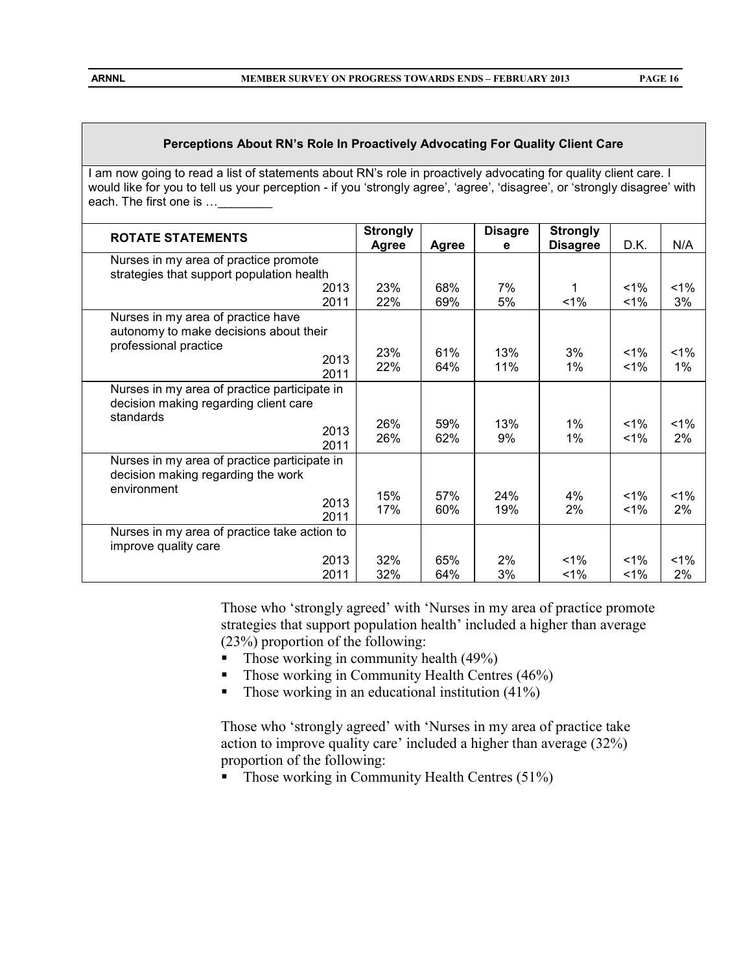#### **Perceptions About RN's Role In Proactively Advocating For Quality Client Care**

I am now going to read a list of statements about RN's role in proactively advocating for quality client care. I would like for you to tell us your perception - if you 'strongly agree', 'agree', 'disagree', or 'strongly disagree' with each. The first one is ...\_\_\_\_

| <b>ROTATE STATEMENTS</b>                                                                                                  | <b>Strongly</b> |              | <b>Disagre</b> | <b>Strongly</b> |                |                |
|---------------------------------------------------------------------------------------------------------------------------|-----------------|--------------|----------------|-----------------|----------------|----------------|
|                                                                                                                           | Agree           | <b>Agree</b> | е              | <b>Disagree</b> | D.K.           | N/A            |
| Nurses in my area of practice promote<br>strategies that support population health                                        |                 |              |                |                 |                |                |
| 2013<br>2011                                                                                                              | 23%<br>22%      | 68%<br>69%   | 7%<br>5%       | 1<br>$1\%$      | $1\%$<br>1%    | $1\%$<br>3%    |
| Nurses in my area of practice have<br>autonomy to make decisions about their<br>professional practice<br>2013<br>2011     | 23%<br>22%      | 61%<br>64%   | 13%<br>11%     | 3%<br>1%        | $1\%$<br>$1\%$ | $1\%$<br>$1\%$ |
| Nurses in my area of practice participate in<br>decision making regarding client care<br>standards<br>2013                | 26%<br>26%      | 59%<br>62%   | 13%<br>9%      | 1%<br>1%        | $1\%$<br>1%    | $1\%$<br>2%    |
| 2011<br>Nurses in my area of practice participate in<br>decision making regarding the work<br>environment<br>2013<br>2011 | 15%<br>17%      | 57%<br>60%   | 24%<br>19%     | 4%<br>2%        | 1%<br>1%       | $1\%$<br>2%    |
| Nurses in my area of practice take action to<br>improve quality care<br>2013<br>2011                                      | 32%<br>32%      | 65%<br>64%   | 2%<br>3%       | $1\%$<br>$1\%$  | $1\%$<br>$1\%$ | $1\%$<br>2%    |

Those who 'strongly agreed' with 'Nurses in my area of practice promote strategies that support population health' included a higher than average (23%) proportion of the following:

- $\blacksquare$  Those working in community health (49%)
- Those working in Community Health Centres  $(46%)$
- Those working in an educational institution  $(41\%)$

Those who 'strongly agreed' with 'Nurses in my area of practice take action to improve quality care' included a higher than average (32%) proportion of the following:

 $\blacksquare$  Those working in Community Health Centres (51%)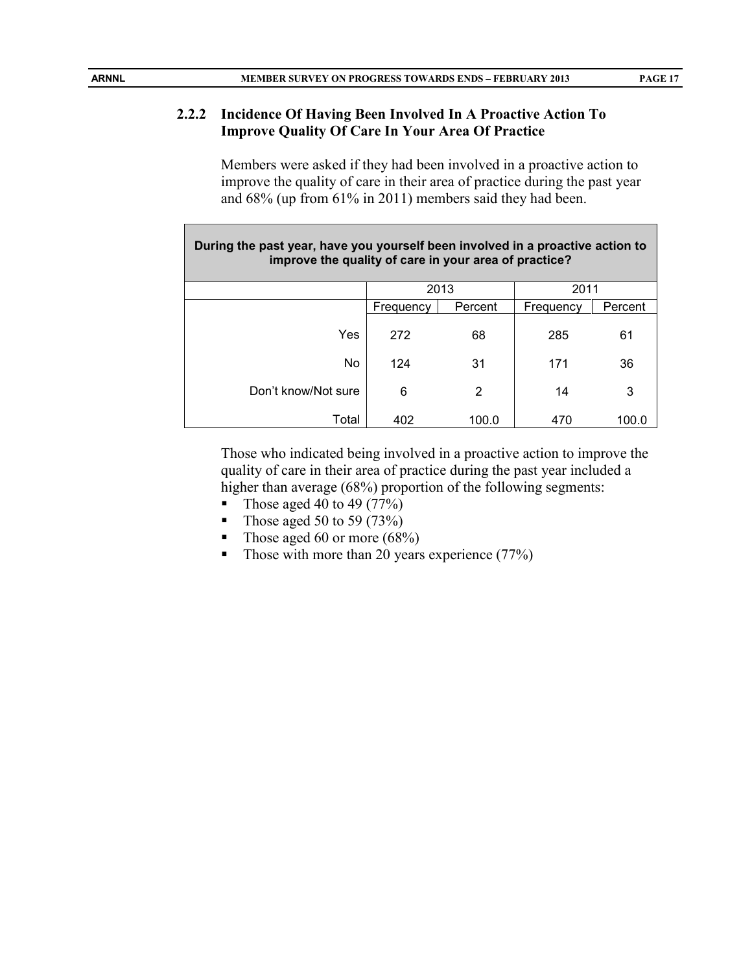#### **2.2.2 Incidence Of Having Been Involved In A Proactive Action To Improve Quality Of Care In Your Area Of Practice**

Members were asked if they had been involved in a proactive action to improve the quality of care in their area of practice during the past year and 68% (up from 61% in 2011) members said they had been.

| During the past year, have you yourself been involved in a proactive action to<br>improve the quality of care in your area of practice? |              |         |           |         |  |  |  |
|-----------------------------------------------------------------------------------------------------------------------------------------|--------------|---------|-----------|---------|--|--|--|
|                                                                                                                                         | 2013<br>2011 |         |           |         |  |  |  |
|                                                                                                                                         | Frequency    | Percent | Frequency | Percent |  |  |  |
| Yes                                                                                                                                     | 272          | 68      | 285       | 61      |  |  |  |
| No.                                                                                                                                     | 124          | 31      | 171       | 36      |  |  |  |
| Don't know/Not sure                                                                                                                     | 6            | 2       | 14        | 3       |  |  |  |
| Total                                                                                                                                   | 402          | 100.0   | 470       | 100.0   |  |  |  |

Those who indicated being involved in a proactive action to improve the quality of care in their area of practice during the past year included a higher than average (68%) proportion of the following segments:

- Those aged 40 to 49  $(77%)$
- Those aged 50 to 59 (73%)
- Those aged 60 or more  $(68\%)$
- Those with more than 20 years experience  $(77%)$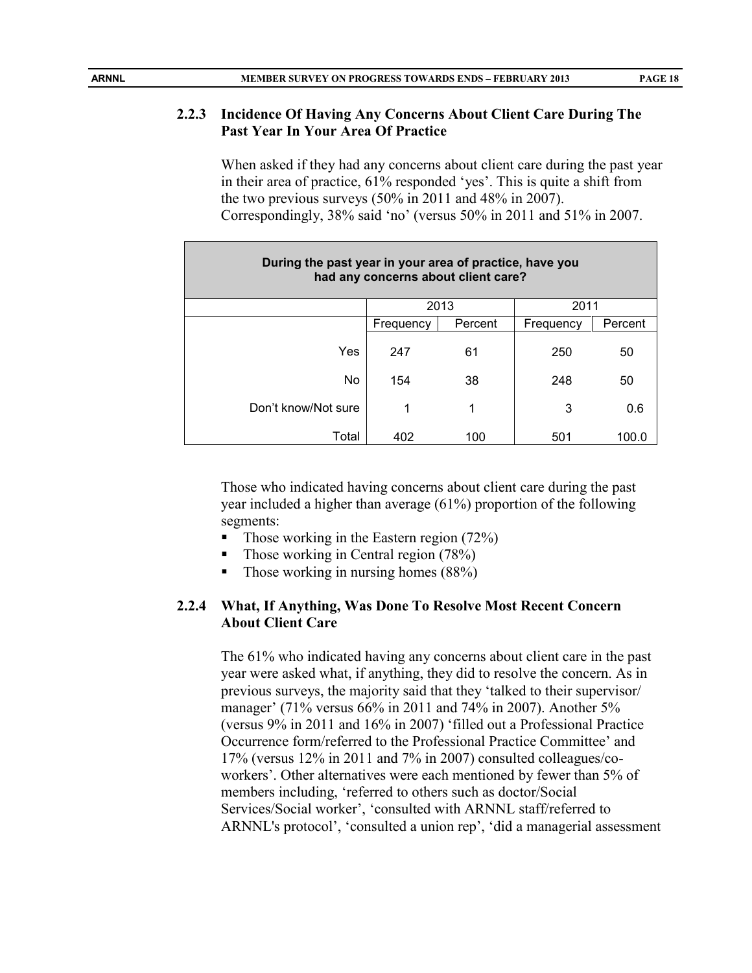## **2.2.3 Incidence Of Having Any Concerns About Client Care During The Past Year In Your Area Of Practice**

When asked if they had any concerns about client care during the past year in their area of practice, 61% responded 'yes'. This is quite a shift from the two previous surveys (50% in 2011 and 48% in 2007). Correspondingly, 38% said 'no' (versus 50% in 2011 and 51% in 2007.

| During the past year in your area of practice, have you<br>had any concerns about client care? |              |         |           |         |  |  |  |
|------------------------------------------------------------------------------------------------|--------------|---------|-----------|---------|--|--|--|
|                                                                                                | 2013<br>2011 |         |           |         |  |  |  |
|                                                                                                | Frequency    | Percent | Frequency | Percent |  |  |  |
| Yes                                                                                            | 247          | 61      | 250       | 50      |  |  |  |
| No                                                                                             | 154          | 38      | 248       | 50      |  |  |  |
| Don't know/Not sure                                                                            | 1            | 1       | 3         | 0.6     |  |  |  |
| Total                                                                                          | 402          | 100     | 501       | 100.0   |  |  |  |

Those who indicated having concerns about client care during the past year included a higher than average (61%) proportion of the following segments:

- Those working in the Eastern region (72%)
- Those working in Central region (78%)
- $\blacksquare$  Those working in nursing homes (88%)

## **2.2.4 What, If Anything, Was Done To Resolve Most Recent Concern About Client Care**

The 61% who indicated having any concerns about client care in the past year were asked what, if anything, they did to resolve the concern. As in previous surveys, the majority said that they 'talked to their supervisor/ manager' (71% versus 66% in 2011 and 74% in 2007). Another 5% (versus 9% in 2011 and 16% in 2007) 'filled out a Professional Practice Occurrence form/referred to the Professional Practice Committee' and 17% (versus 12% in 2011 and 7% in 2007) consulted colleagues/coworkers'. Other alternatives were each mentioned by fewer than 5% of members including, 'referred to others such as doctor/Social Services/Social worker', 'consulted with ARNNL staff/referred to ARNNL's protocol', 'consulted a union rep', 'did a managerial assessment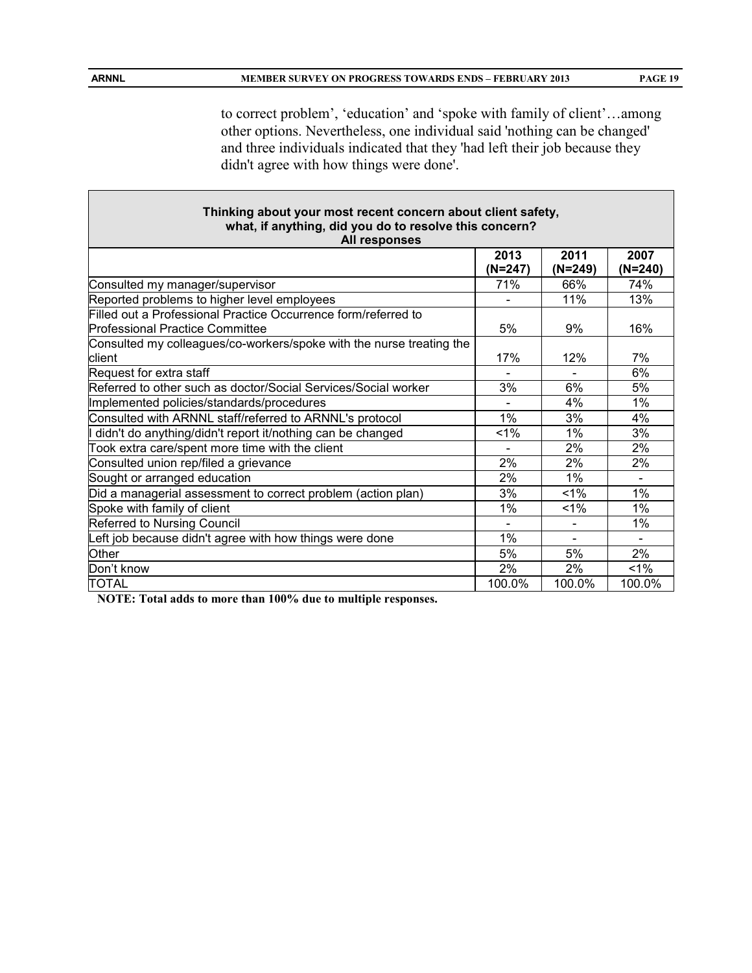to correct problem', 'education' and 'spoke with family of client'…among other options. Nevertheless, one individual said 'nothing can be changed' and three individuals indicated that they 'had left their job because they didn't agree with how things were done'.

|                                                                      | Thinking about your most recent concern about client safety, |                          |                 |  |  |  |
|----------------------------------------------------------------------|--------------------------------------------------------------|--------------------------|-----------------|--|--|--|
| what, if anything, did you do to resolve this concern?               |                                                              |                          |                 |  |  |  |
| All responses                                                        |                                                              |                          |                 |  |  |  |
|                                                                      | 2013<br>$(N=247)$                                            | 2011<br>$(N=249)$        | 2007<br>(N=240) |  |  |  |
| Consulted my manager/supervisor                                      | 71%                                                          | 66%                      | 74%             |  |  |  |
| Reported problems to higher level employees                          |                                                              | 11%                      | 13%             |  |  |  |
| Filled out a Professional Practice Occurrence form/referred to       |                                                              |                          |                 |  |  |  |
| <b>Professional Practice Committee</b>                               | 5%                                                           | 9%                       | 16%             |  |  |  |
| Consulted my colleagues/co-workers/spoke with the nurse treating the |                                                              |                          |                 |  |  |  |
| client                                                               | 17%                                                          | 12%                      | 7%              |  |  |  |
| Request for extra staff                                              |                                                              |                          | 6%              |  |  |  |
| Referred to other such as doctor/Social Services/Social worker       | 3%                                                           | 6%                       | 5%              |  |  |  |
| Implemented policies/standards/procedures                            |                                                              | 4%                       | 1%              |  |  |  |
| Consulted with ARNNL staff/referred to ARNNL's protocol              | 1%                                                           | 3%                       | 4%              |  |  |  |
| didn't do anything/didn't report it/nothing can be changed           | $1\%$                                                        | 1%                       | 3%              |  |  |  |
| Took extra care/spent more time with the client                      |                                                              | 2%                       | 2%              |  |  |  |
| Consulted union rep/filed a grievance                                | 2%                                                           | 2%                       | 2%              |  |  |  |
| Sought or arranged education                                         | 2%                                                           | $1\%$                    |                 |  |  |  |
| Did a managerial assessment to correct problem (action plan)         | 3%                                                           | 1%                       | 1%              |  |  |  |
| Spoke with family of client                                          | $1\%$                                                        | 1%                       | $1\%$           |  |  |  |
| Referred to Nursing Council                                          |                                                              |                          | 1%              |  |  |  |
| Left job because didn't agree with how things were done              | 1%                                                           | $\overline{\phantom{0}}$ |                 |  |  |  |
| Other                                                                | 5%                                                           | 5%                       | 2%              |  |  |  |
| Don't know                                                           | 2%                                                           | 2%                       | $1\%$           |  |  |  |
| TOTAL                                                                | 100.0%                                                       | 100.0%                   | 100.0%          |  |  |  |

**NOTE: Total adds to more than 100% due to multiple responses.**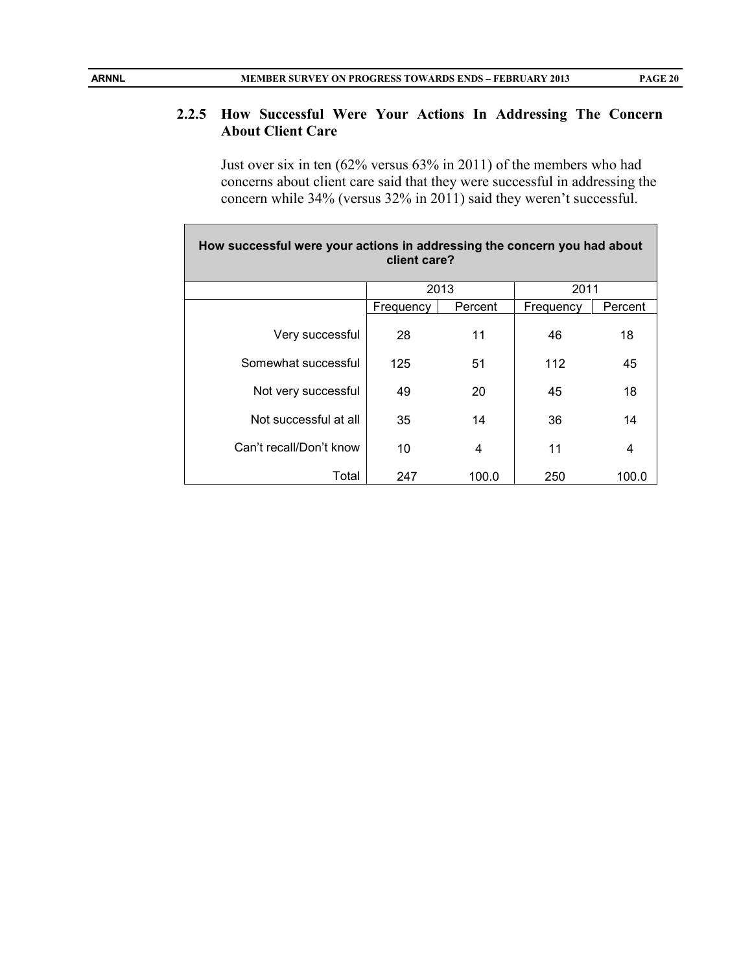### **2.2.5 How Successful Were Your Actions In Addressing The Concern About Client Care**

Just over six in ten (62% versus 63% in 2011) of the members who had concerns about client care said that they were successful in addressing the concern while 34% (versus 32% in 2011) said they weren't successful.

| How successful were your actions in addressing the concern you had about<br>client care? |              |         |           |         |  |  |  |
|------------------------------------------------------------------------------------------|--------------|---------|-----------|---------|--|--|--|
|                                                                                          | 2013<br>2011 |         |           |         |  |  |  |
|                                                                                          | Frequency    | Percent | Frequency | Percent |  |  |  |
| Very successful                                                                          | 28           | 11      | 46        | 18      |  |  |  |
| Somewhat successful                                                                      | 125          | 51      | 112       | 45      |  |  |  |
| Not very successful                                                                      | 49           | 20      | 45        | 18      |  |  |  |
| Not successful at all                                                                    | 35           | 14      | 36        | 14      |  |  |  |
| Can't recall/Don't know                                                                  | 10           | 4       | 11        | 4       |  |  |  |
| Total                                                                                    | 247          | 100.0   | 250       | 100.0   |  |  |  |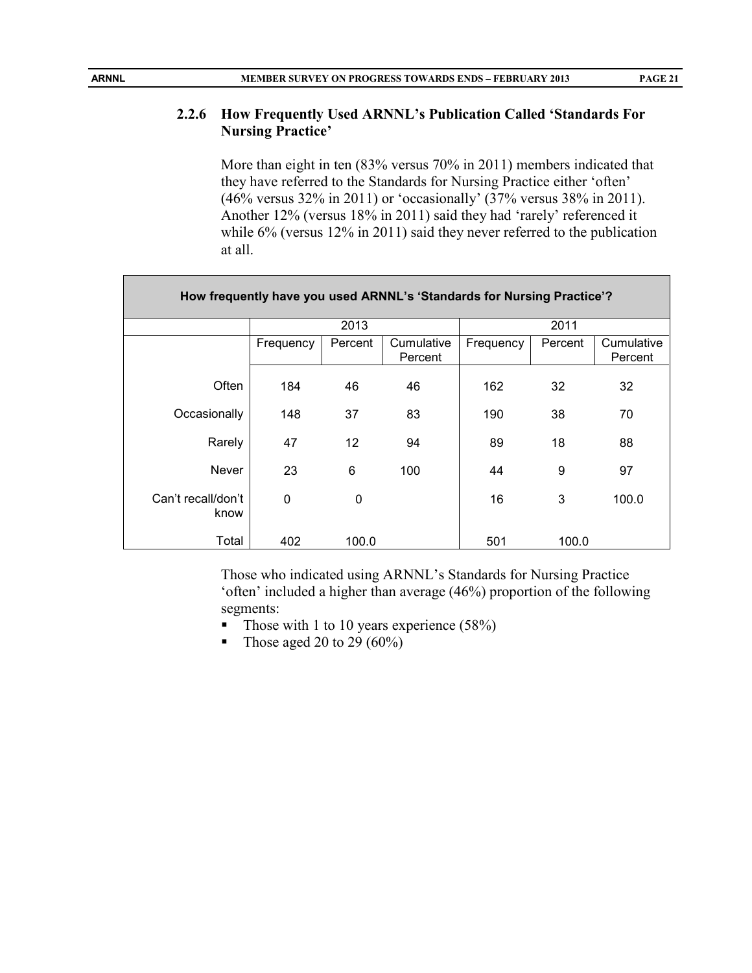# **2.2.6 How Frequently Used ARNNL's Publication Called 'Standards For Nursing Practice'**

More than eight in ten (83% versus 70% in 2011) members indicated that they have referred to the Standards for Nursing Practice either 'often' (46% versus 32% in 2011) or 'occasionally' (37% versus 38% in 2011). Another 12% (versus 18% in 2011) said they had 'rarely' referenced it while 6% (versus 12% in 2011) said they never referred to the publication at all.

| How frequently have you used ARNNL's 'Standards for Nursing Practice'? |           |                   |                       |           |         |                       |  |  |
|------------------------------------------------------------------------|-----------|-------------------|-----------------------|-----------|---------|-----------------------|--|--|
|                                                                        |           | 2013              |                       |           | 2011    |                       |  |  |
|                                                                        | Frequency | Percent           | Cumulative<br>Percent | Frequency | Percent | Cumulative<br>Percent |  |  |
| Often                                                                  | 184       | 46                | 46                    | 162       | 32      | 32                    |  |  |
| Occasionally                                                           | 148       | 37                | 83                    | 190       | 38      | 70                    |  |  |
| Rarely                                                                 | 47        | $12 \overline{ }$ | 94                    | 89        | 18      | 88                    |  |  |
| Never                                                                  | 23        | 6                 | 100                   | 44        | 9       | 97                    |  |  |
| Can't recall/don't<br>know                                             | 0         | 0                 |                       | 16        | 3       | 100.0                 |  |  |
| Total                                                                  | 402       | 100.0             |                       | 501       | 100.0   |                       |  |  |

Those who indicated using ARNNL's Standards for Nursing Practice 'often' included a higher than average (46%) proportion of the following segments:

- Those with 1 to 10 years experience  $(58%)$
- Those aged 20 to 29  $(60\%)$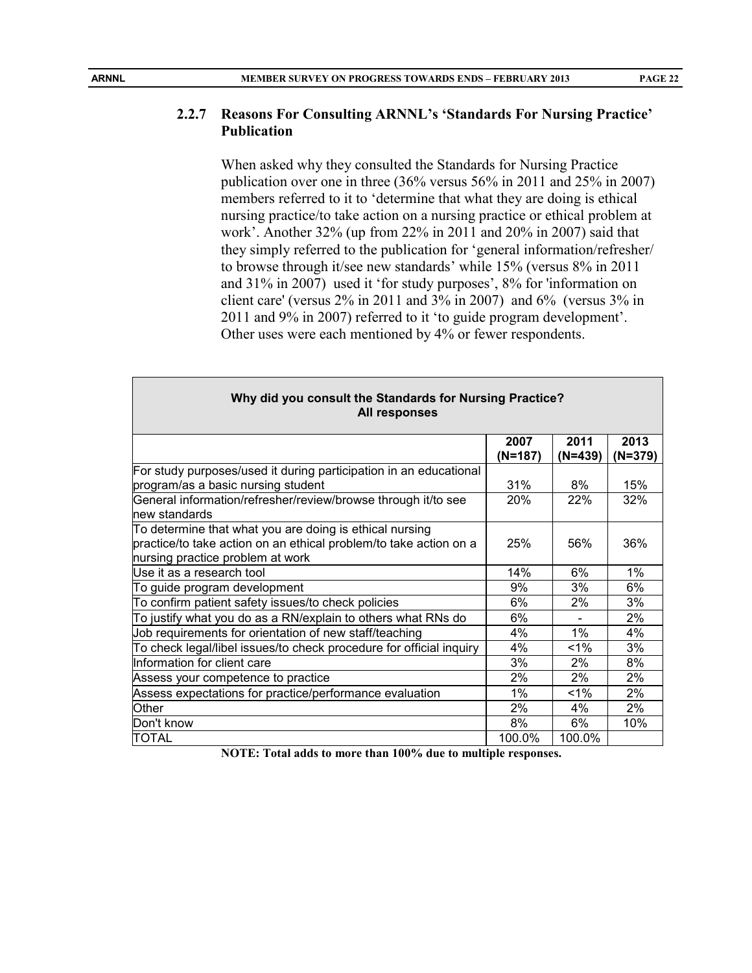# **PAGE 22**

#### **2.2.7 Reasons For Consulting ARNNL's 'Standards For Nursing Practice' Publication**

When asked why they consulted the Standards for Nursing Practice publication over one in three (36% versus 56% in 2011 and 25% in 2007) members referred to it to 'determine that what they are doing is ethical nursing practice/to take action on a nursing practice or ethical problem at work'. Another 32% (up from 22% in 2011 and 20% in 2007) said that they simply referred to the publication for 'general information/refresher/ to browse through it/see new standards' while 15% (versus 8% in 2011 and 31% in 2007) used it 'for study purposes', 8% for 'information on client care' (versus 2% in 2011 and 3% in 2007) and 6% (versus 3% in 2011 and 9% in 2007) referred to it 'to guide program development'. Other uses were each mentioned by 4% or fewer respondents.

| Why did you consult the Standards for Nursing Practice?<br>All responses                                                                                         |                 |                   |                 |  |  |  |  |
|------------------------------------------------------------------------------------------------------------------------------------------------------------------|-----------------|-------------------|-----------------|--|--|--|--|
|                                                                                                                                                                  | 2007<br>(N=187) | 2011<br>$(N=439)$ | 2013<br>(N=379) |  |  |  |  |
| For study purposes/used it during participation in an educational<br>program/as a basic nursing student                                                          | 31%             | 8%                | 15%             |  |  |  |  |
| General information/refresher/review/browse through it/to see<br>new standards                                                                                   | <b>20%</b>      | 22%               | 32%             |  |  |  |  |
| To determine that what you are doing is ethical nursing<br>practice/to take action on an ethical problem/to take action on a<br>nursing practice problem at work | 25%             | 56%               | 36%             |  |  |  |  |
| Use it as a research tool                                                                                                                                        | 14%             | 6%                | 1%              |  |  |  |  |
| To guide program development                                                                                                                                     | 9%              | 3%                | 6%              |  |  |  |  |
| To confirm patient safety issues/to check policies                                                                                                               | 6%              | 2%                | 3%              |  |  |  |  |
| To justify what you do as a RN/explain to others what RNs do                                                                                                     | 6%              |                   | 2%              |  |  |  |  |
| Job requirements for orientation of new staff/teaching                                                                                                           | 4%              | $1\%$             | 4%              |  |  |  |  |
| To check legal/libel issues/to check procedure for official inquiry                                                                                              | 4%              | $1\%$             | 3%              |  |  |  |  |
| Information for client care                                                                                                                                      | 3%              | 2%                | 8%              |  |  |  |  |
| Assess your competence to practice                                                                                                                               | 2%              | 2%                | 2%              |  |  |  |  |
| Assess expectations for practice/performance evaluation                                                                                                          | 1%              | $1\%$             | 2%              |  |  |  |  |
| Other                                                                                                                                                            | 2%              | 4%                | 2%              |  |  |  |  |
| Don't know                                                                                                                                                       | 8%              | 6%                | 10%             |  |  |  |  |
| TOTAL                                                                                                                                                            | 100.0%          | 100.0%            |                 |  |  |  |  |

**NOTE: Total adds to more than 100% due to multiple responses.**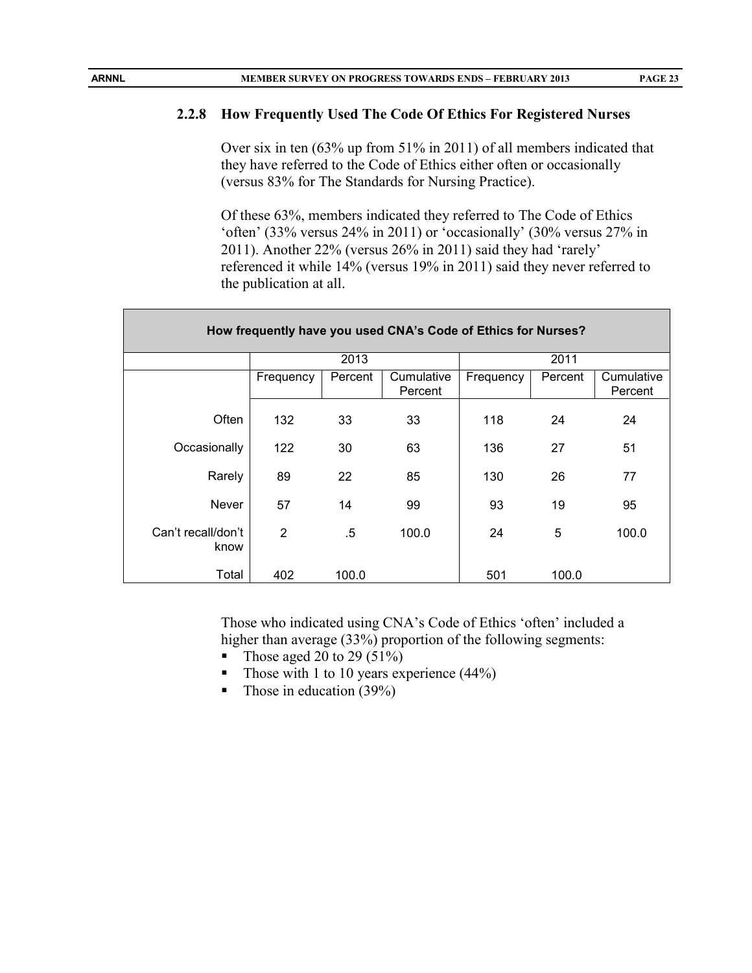#### **2.2.8 How Frequently Used The Code Of Ethics For Registered Nurses**

Over six in ten (63% up from 51% in 2011) of all members indicated that they have referred to the Code of Ethics either often or occasionally (versus 83% for The Standards for Nursing Practice).

Of these 63%, members indicated they referred to The Code of Ethics 'often' (33% versus 24% in 2011) or 'occasionally' (30% versus 27% in 2011). Another 22% (versus 26% in 2011) said they had 'rarely' referenced it while 14% (versus 19% in 2011) said they never referred to the publication at all.

| How frequently have you used CNA's Code of Ethics for Nurses? |                |         |                       |           |         |                       |  |  |
|---------------------------------------------------------------|----------------|---------|-----------------------|-----------|---------|-----------------------|--|--|
|                                                               |                | 2013    |                       |           | 2011    |                       |  |  |
|                                                               | Frequency      | Percent | Cumulative<br>Percent | Frequency | Percent | Cumulative<br>Percent |  |  |
| Often                                                         | 132            | 33      | 33                    | 118       | 24      | 24                    |  |  |
| Occasionally                                                  | 122            | 30      | 63                    | 136       | 27      | 51                    |  |  |
| Rarely                                                        | 89             | 22      | 85                    | 130       | 26      | 77                    |  |  |
| <b>Never</b>                                                  | 57             | 14      | 99                    | 93        | 19      | 95                    |  |  |
| Can't recall/don't<br>know                                    | $\overline{2}$ | .5      | 100.0                 | 24        | 5       | 100.0                 |  |  |
| Total                                                         | 402            | 100.0   |                       | 501       | 100.0   |                       |  |  |

Those who indicated using CNA's Code of Ethics 'often' included a higher than average (33%) proportion of the following segments:

- Those aged 20 to 29  $(51\%)$
- Those with 1 to 10 years experience  $(44\%)$
- $\blacksquare$  Those in education (39%)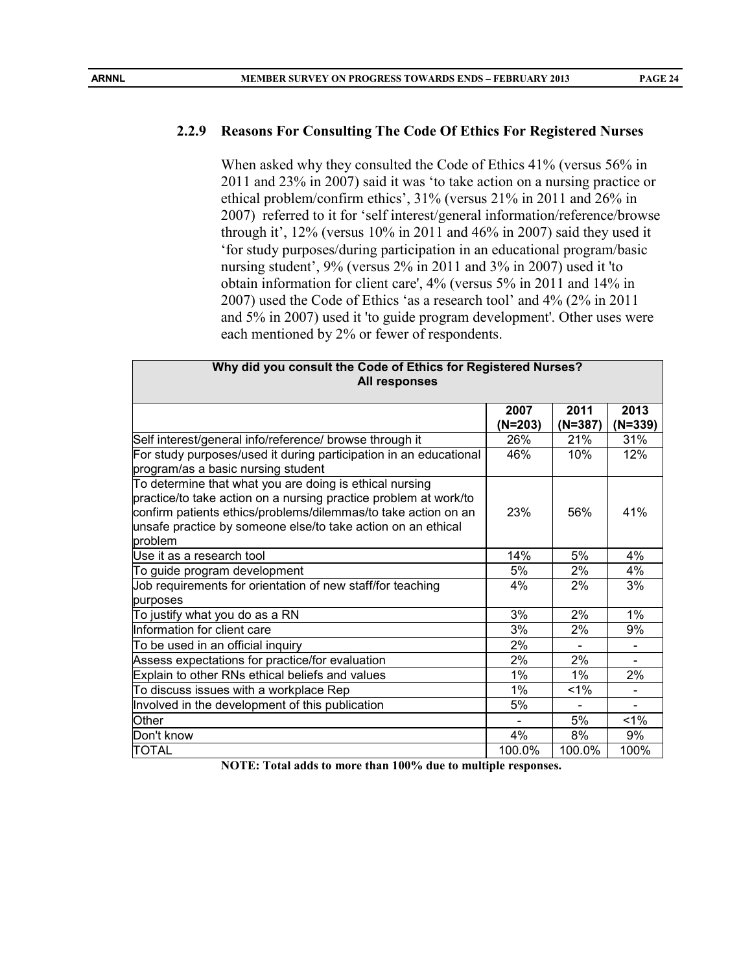#### **2.2.9 Reasons For Consulting The Code Of Ethics For Registered Nurses**

When asked why they consulted the Code of Ethics 41% (versus 56% in 2011 and 23% in 2007) said it was 'to take action on a nursing practice or ethical problem/confirm ethics', 31% (versus 21% in 2011 and 26% in 2007) referred to it for 'self interest/general information/reference/browse through it', 12% (versus 10% in 2011 and 46% in 2007) said they used it 'for study purposes/during participation in an educational program/basic nursing student', 9% (versus 2% in 2011 and 3% in 2007) used it 'to obtain information for client care', 4% (versus 5% in 2011 and 14% in 2007) used the Code of Ethics 'as a research tool' and 4% (2% in 2011 and 5% in 2007) used it 'to guide program development'. Other uses were each mentioned by 2% or fewer of respondents.

| Why did you consult the Code of Ethics for Registered Nurses?<br>All responses                                                                                                                                                                                           |           |           |           |  |  |  |  |
|--------------------------------------------------------------------------------------------------------------------------------------------------------------------------------------------------------------------------------------------------------------------------|-----------|-----------|-----------|--|--|--|--|
|                                                                                                                                                                                                                                                                          | 2007      | 2011      | 2013      |  |  |  |  |
|                                                                                                                                                                                                                                                                          | $(N=203)$ | $(N=387)$ | $(N=339)$ |  |  |  |  |
| Self interest/general info/reference/ browse through it                                                                                                                                                                                                                  | 26%       | 21%       | 31%       |  |  |  |  |
| For study purposes/used it during participation in an educational<br>program/as a basic nursing student                                                                                                                                                                  | 46%       | 10%       | 12%       |  |  |  |  |
| To determine that what you are doing is ethical nursing<br>practice/to take action on a nursing practice problem at work/to<br>confirm patients ethics/problems/dilemmas/to take action on an<br>unsafe practice by someone else/to take action on an ethical<br>problem | 23%       | 56%       | 41%       |  |  |  |  |
| lUse it as a research tool                                                                                                                                                                                                                                               | 14%       | 5%        | 4%        |  |  |  |  |
| To guide program development                                                                                                                                                                                                                                             | 5%        | 2%        | 4%        |  |  |  |  |
| Job requirements for orientation of new staff/for teaching<br>purposes                                                                                                                                                                                                   | 4%        | 2%        | 3%        |  |  |  |  |
| To justify what you do as a RN                                                                                                                                                                                                                                           | 3%        | 2%        | 1%        |  |  |  |  |
| Information for client care                                                                                                                                                                                                                                              | 3%        | 2%        | 9%        |  |  |  |  |
| To be used in an official inquiry                                                                                                                                                                                                                                        | 2%        |           |           |  |  |  |  |
| Assess expectations for practice/for evaluation                                                                                                                                                                                                                          | 2%        | 2%        | ÷         |  |  |  |  |
| Explain to other RNs ethical beliefs and values                                                                                                                                                                                                                          | $1\%$     | $1\%$     | 2%        |  |  |  |  |
| To discuss issues with a workplace Rep                                                                                                                                                                                                                                   | $1\%$     | $1\%$     |           |  |  |  |  |
| Involved in the development of this publication                                                                                                                                                                                                                          | 5%        |           |           |  |  |  |  |
| Other                                                                                                                                                                                                                                                                    |           | 5%        | 1%        |  |  |  |  |
| Don't know                                                                                                                                                                                                                                                               | 4%        | 8%        | 9%        |  |  |  |  |
| <b>TOTAL</b>                                                                                                                                                                                                                                                             | 100.0%    | 100.0%    | 100%      |  |  |  |  |

**NOTE: Total adds to more than 100% due to multiple responses.**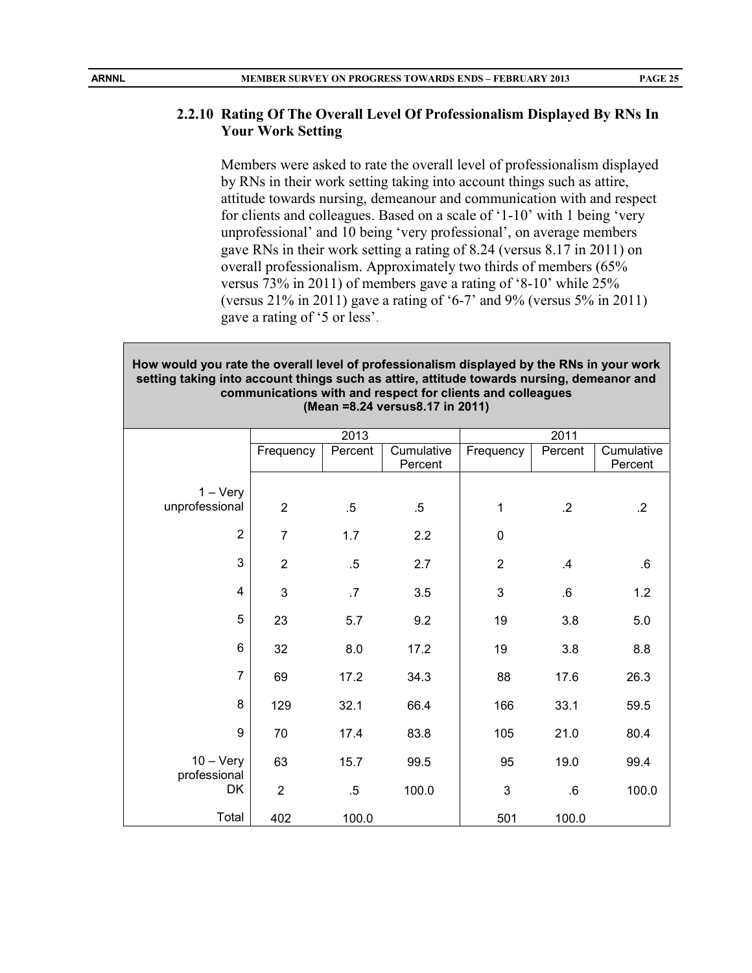#### **2.2.10 Rating Of The Overall Level Of Professionalism Displayed By RNs In Your Work Setting**

Members were asked to rate the overall level of professionalism displayed by RNs in their work setting taking into account things such as attire, attitude towards nursing, demeanour and communication with and respect for clients and colleagues. Based on a scale of '1-10' with 1 being 'very unprofessional' and 10 being 'very professional', on average members gave RNs in their work setting a rating of 8.24 (versus 8.17 in 2011) on overall professionalism. Approximately two thirds of members (65% versus 73% in 2011) of members gave a rating of '8-10' while 25% (versus 21% in 2011) gave a rating of '6-7' and 9% (versus 5% in 2011) gave a rating of '5 or less'.

#### **How would you rate the overall level of professionalism displayed by the RNs in your work setting taking into account things such as attire, attitude towards nursing, demeanor and communications with and respect for clients and colleagues (Mean =8.24 versus8.17 in 2011)**

|                                    |                | 2013    |                       | 2011           |         |                       |
|------------------------------------|----------------|---------|-----------------------|----------------|---------|-----------------------|
|                                    | Frequency      | Percent | Cumulative<br>Percent | Frequency      | Percent | Cumulative<br>Percent |
| $1 - V$ ery<br>unprofessional      | $\overline{2}$ | $.5\,$  | $.5\,$                | 1              | $\cdot$ | $\cdot$ .2            |
| $\overline{2}$                     | $\overline{7}$ | 1.7     | 2.2                   | $\pmb{0}$      |         |                       |
| 3                                  | $\overline{2}$ | $.5\,$  | 2.7                   | $\overline{2}$ | .4      | $\cdot 6$             |
| 4                                  | 3              | .7      | 3.5                   | 3              | .6      | 1.2                   |
| 5                                  | 23             | 5.7     | 9.2                   | 19             | 3.8     | 5.0                   |
| $6\phantom{1}$                     | 32             | 8.0     | 17.2                  | 19             | 3.8     | 8.8                   |
| $\overline{7}$                     | 69             | 17.2    | 34.3                  | 88             | 17.6    | 26.3                  |
| 8                                  | 129            | 32.1    | 66.4                  | 166            | 33.1    | 59.5                  |
| 9                                  | 70             | 17.4    | 83.8                  | 105            | 21.0    | 80.4                  |
| $10 - \text{Very}$<br>professional | 63             | 15.7    | 99.5                  | 95             | 19.0    | 99.4                  |
| DK                                 | $\overline{2}$ | $.5\,$  | 100.0                 | 3              | $.6\,$  | 100.0                 |
| Total                              | 402            | 100.0   |                       | 501            | 100.0   |                       |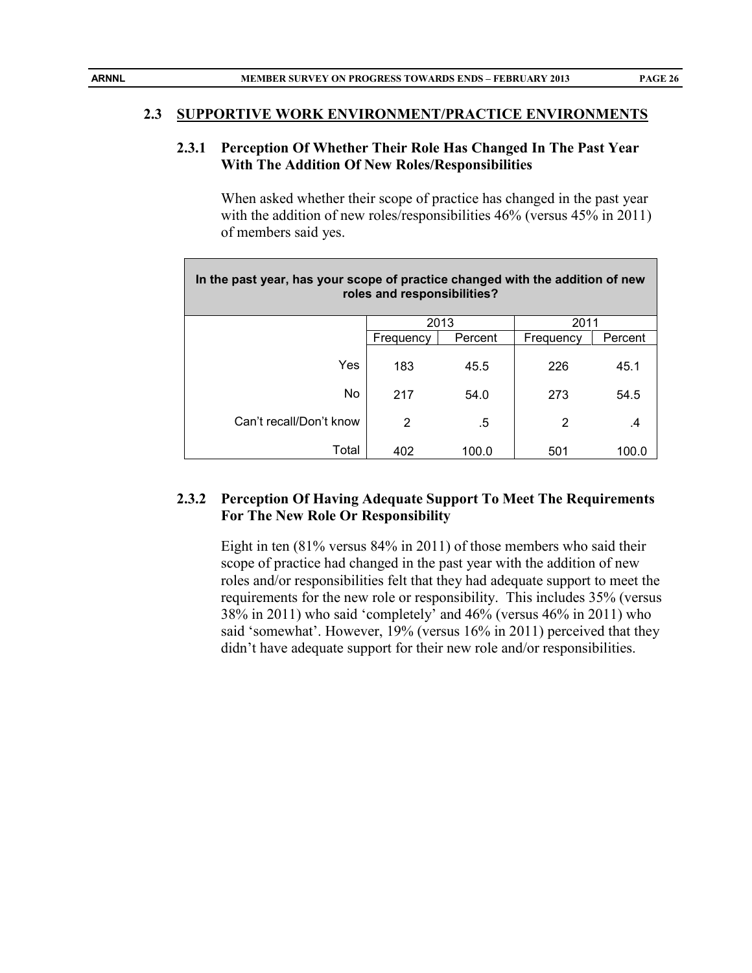#### **2.3 SUPPORTIVE WORK ENVIRONMENT/PRACTICE ENVIRONMENTS**

#### **2.3.1 Perception Of Whether Their Role Has Changed In The Past Year With The Addition Of New Roles/Responsibilities**

When asked whether their scope of practice has changed in the past year with the addition of new roles/responsibilities 46% (versus 45% in 2011) of members said yes.

| In the past year, has your scope of practice changed with the addition of new<br>roles and responsibilities? |              |         |           |         |  |  |  |  |
|--------------------------------------------------------------------------------------------------------------|--------------|---------|-----------|---------|--|--|--|--|
|                                                                                                              | 2013<br>2011 |         |           |         |  |  |  |  |
|                                                                                                              | Frequency    | Percent | Frequency | Percent |  |  |  |  |
| <b>Yes</b>                                                                                                   | 183          | 45.5    | 226       | 45.1    |  |  |  |  |
| No                                                                                                           | 217          | 54.0    | 273       | 54.5    |  |  |  |  |
| Can't recall/Don't know                                                                                      | 2            | .5      | 2         | .4      |  |  |  |  |
| Total                                                                                                        | 402          | 100.0   | 501       | 100.0   |  |  |  |  |

#### **2.3.2 Perception Of Having Adequate Support To Meet The Requirements For The New Role Or Responsibility**

Eight in ten (81% versus 84% in 2011) of those members who said their scope of practice had changed in the past year with the addition of new roles and/or responsibilities felt that they had adequate support to meet the requirements for the new role or responsibility. This includes 35% (versus 38% in 2011) who said 'completely' and 46% (versus 46% in 2011) who said 'somewhat'. However, 19% (versus 16% in 2011) perceived that they didn't have adequate support for their new role and/or responsibilities.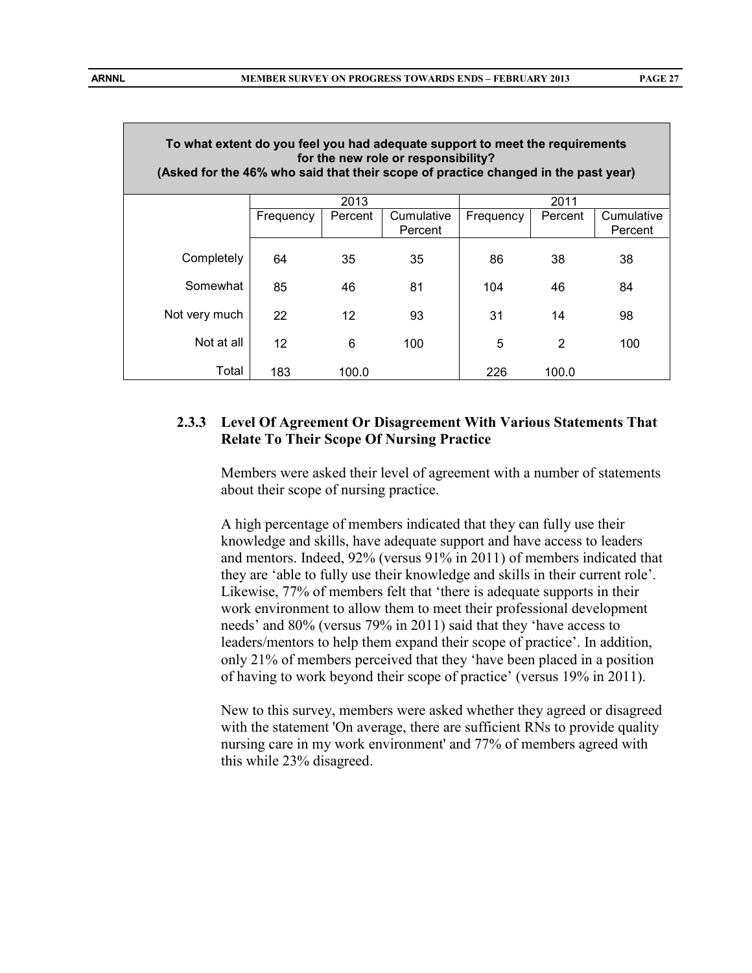| To what extent do you feel you had adequate support to meet the requirements<br>for the new role or responsibility?<br>(Asked for the 46% who said that their scope of practice changed in the past year) |                   |         |                       |           |         |                       |  |
|-----------------------------------------------------------------------------------------------------------------------------------------------------------------------------------------------------------|-------------------|---------|-----------------------|-----------|---------|-----------------------|--|
|                                                                                                                                                                                                           |                   | 2013    |                       |           | 2011    |                       |  |
|                                                                                                                                                                                                           | Frequency         | Percent | Cumulative<br>Percent | Frequency | Percent | Cumulative<br>Percent |  |
| Completely                                                                                                                                                                                                | 64                | 35      | 35                    | 86        | 38      | 38                    |  |
| Somewhat                                                                                                                                                                                                  | 85                | 46      | 81                    | 104       | 46      | 84                    |  |
| Not very much                                                                                                                                                                                             | 22                | 12      | 93                    | 31        | 14      | 98                    |  |
| Not at all                                                                                                                                                                                                | $12 \overline{ }$ | 6       | 100                   | 5         | 2       | 100                   |  |
| Total                                                                                                                                                                                                     | 183               | 100.0   |                       | 226       | 100.0   |                       |  |

#### **2.3.3 Level Of Agreement Or Disagreement With Various Statements That Relate To Their Scope Of Nursing Practice**

Members were asked their level of agreement with a number of statements about their scope of nursing practice.

A high percentage of members indicated that they can fully use their knowledge and skills, have adequate support and have access to leaders and mentors. Indeed, 92% (versus 91% in 2011) of members indicated that they are 'able to fully use their knowledge and skills in their current role'. Likewise, 77% of members felt that 'there is adequate supports in their work environment to allow them to meet their professional development needs' and 80% (versus 79% in 2011) said that they 'have access to leaders/mentors to help them expand their scope of practice'. In addition, only 21% of members perceived that they 'have been placed in a position of having to work beyond their scope of practice' (versus 19% in 2011).

New to this survey, members were asked whether they agreed or disagreed with the statement 'On average, there are sufficient RNs to provide quality nursing care in my work environment' and 77% of members agreed with this while 23% disagreed.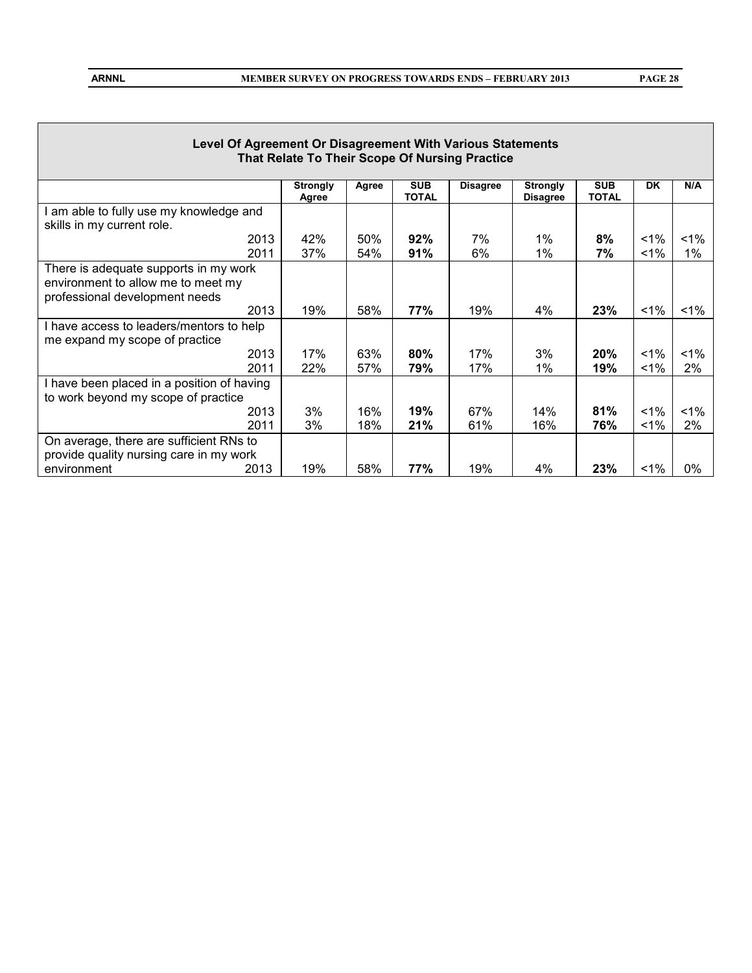**PAGE 28**

| Level Of Agreement Or Disagreement With Various Statements<br>That Relate To Their Scope Of Nursing Practice  |                          |            |                            |                 |                                    |                            |             |                |
|---------------------------------------------------------------------------------------------------------------|--------------------------|------------|----------------------------|-----------------|------------------------------------|----------------------------|-------------|----------------|
|                                                                                                               | <b>Strongly</b><br>Agree | Agree      | <b>SUB</b><br><b>TOTAL</b> | <b>Disagree</b> | <b>Strongly</b><br><b>Disagree</b> | <b>SUB</b><br><b>TOTAL</b> | <b>DK</b>   | N/A            |
| am able to fully use my knowledge and<br>skills in my current role.                                           |                          |            |                            |                 |                                    |                            |             |                |
| 2013<br>2011                                                                                                  | 42%<br>37%               | 50%<br>54% | 92%<br>91%                 | 7%<br>6%        | $1\%$<br>1%                        | 8%<br>7%                   | $1\%$<br>1% | $1\%$<br>$1\%$ |
| There is adequate supports in my work<br>environment to allow me to meet my<br>professional development needs |                          |            |                            |                 |                                    |                            |             |                |
| 2013                                                                                                          | 19%                      | 58%        | 77%                        | 19%             | 4%                                 | 23%                        | $1\%$       | $<$ 1%         |
| I have access to leaders/mentors to help<br>me expand my scope of practice                                    |                          |            |                            |                 |                                    |                            |             |                |
| 2013<br>2011                                                                                                  | 17%<br>22%               | 63%<br>57% | 80%<br>79%                 | 17%<br>17%      | 3%<br>1%                           | $20\%$<br>19%              | $1\%$<br>1% | $1\%$<br>2%    |
| I have been placed in a position of having<br>to work beyond my scope of practice                             |                          |            |                            |                 |                                    |                            |             |                |
| 2013<br>2011                                                                                                  | 3%<br>3%                 | 16%<br>18% | 19%<br>21%                 | 67%<br>61%      | 14%<br>16%                         | 81%<br>76%                 | $1\%$<br>1% | $1\%$<br>2%    |
| On average, there are sufficient RNs to<br>provide quality nursing care in my work<br>2013<br>environment     | 19%                      | 58%        | 77%                        | 19%             | 4%                                 | 23%                        | 1%          | 0%             |
|                                                                                                               |                          |            |                            |                 |                                    |                            |             |                |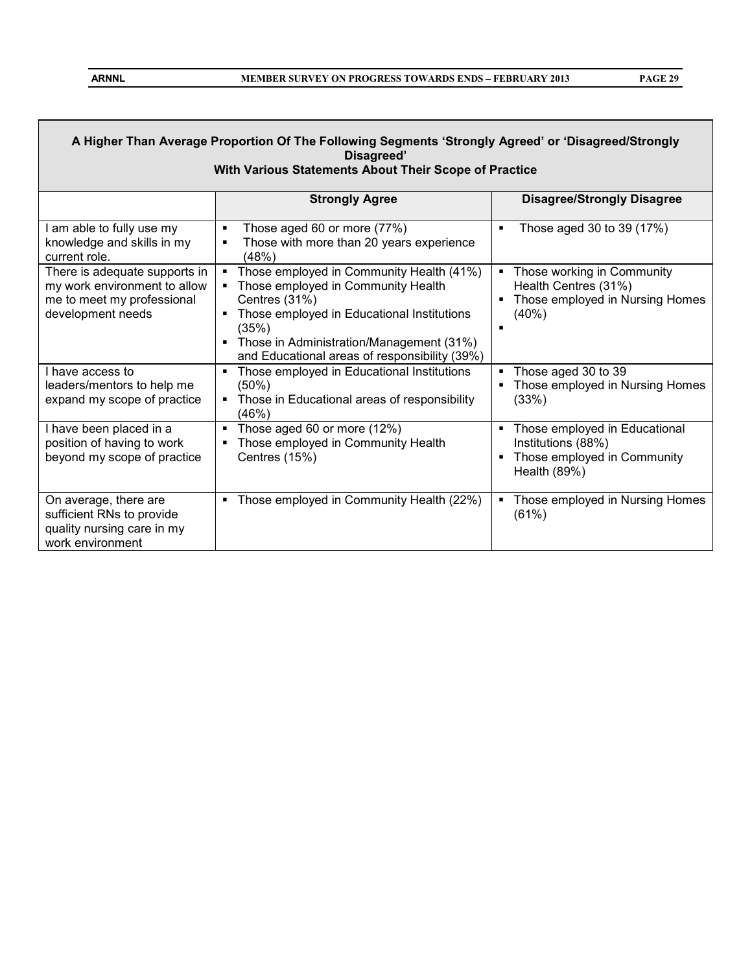П

| A Higher Than Average Proportion Of The Following Segments 'Strongly Agreed' or 'Disagreed/Strongly<br>Disagreed'<br>With Various Statements About Their Scope of Practice |                                                                                                                                                                                                                                                                                         |                                                                                                              |  |  |  |
|----------------------------------------------------------------------------------------------------------------------------------------------------------------------------|-----------------------------------------------------------------------------------------------------------------------------------------------------------------------------------------------------------------------------------------------------------------------------------------|--------------------------------------------------------------------------------------------------------------|--|--|--|
|                                                                                                                                                                            | <b>Strongly Agree</b>                                                                                                                                                                                                                                                                   | <b>Disagree/Strongly Disagree</b>                                                                            |  |  |  |
| I am able to fully use my<br>knowledge and skills in my<br>current role.                                                                                                   | Those aged 60 or more (77%)<br>$\blacksquare$<br>Those with more than 20 years experience<br>$\blacksquare$<br>(48%)                                                                                                                                                                    | Those aged 30 to 39 (17%)<br>$\blacksquare$                                                                  |  |  |  |
| There is adequate supports in<br>my work environment to allow<br>me to meet my professional<br>development needs                                                           | Those employed in Community Health (41%)<br>$\blacksquare$<br>Those employed in Community Health<br>Centres (31%)<br>Those employed in Educational Institutions<br>(35%)<br>Those in Administration/Management (31%)<br>$\blacksquare$<br>and Educational areas of responsibility (39%) | Those working in Community<br>٠<br>Health Centres (31%)<br>Those employed in Nursing Homes<br>(40%)          |  |  |  |
| I have access to<br>leaders/mentors to help me<br>expand my scope of practice                                                                                              | Those employed in Educational Institutions<br>٠<br>$(50\%)$<br>Those in Educational areas of responsibility<br>٠<br>(46%)                                                                                                                                                               | Those aged 30 to 39<br>٠<br>Those employed in Nursing Homes<br>(33%)                                         |  |  |  |
| I have been placed in a<br>position of having to work<br>beyond my scope of practice                                                                                       | Those aged 60 or more (12%)<br>$\blacksquare$<br>Those employed in Community Health<br>٠<br>Centres (15%)                                                                                                                                                                               | Those employed in Educational<br>٠<br>Institutions (88%)<br>Those employed in Community<br>٠<br>Health (89%) |  |  |  |
| On average, there are<br>sufficient RNs to provide<br>quality nursing care in my<br>work environment                                                                       | Those employed in Community Health (22%)<br>٠                                                                                                                                                                                                                                           | Those employed in Nursing Homes<br>٠<br>(61%)                                                                |  |  |  |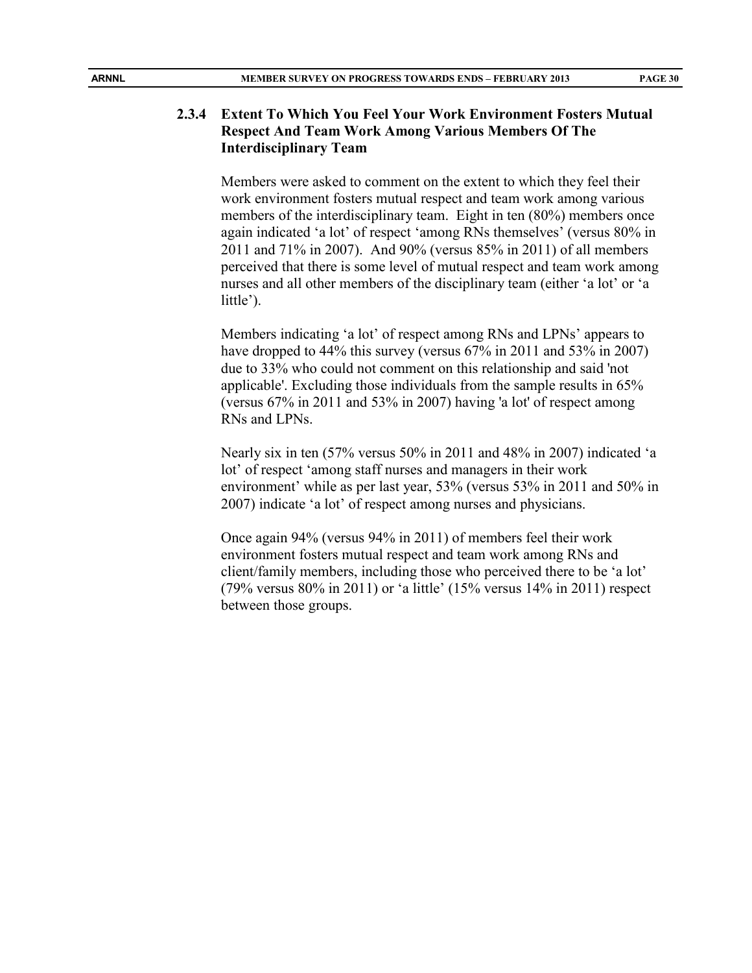#### **2.3.4 Extent To Which You Feel Your Work Environment Fosters Mutual Respect And Team Work Among Various Members Of The Interdisciplinary Team**

Members were asked to comment on the extent to which they feel their work environment fosters mutual respect and team work among various members of the interdisciplinary team. Eight in ten (80%) members once again indicated 'a lot' of respect 'among RNs themselves' (versus 80% in 2011 and 71% in 2007). And 90% (versus 85% in 2011) of all members perceived that there is some level of mutual respect and team work among nurses and all other members of the disciplinary team (either 'a lot' or 'a little').

Members indicating 'a lot' of respect among RNs and LPNs' appears to have dropped to 44% this survey (versus 67% in 2011 and 53% in 2007) due to 33% who could not comment on this relationship and said 'not applicable'. Excluding those individuals from the sample results in 65% (versus 67% in 2011 and 53% in 2007) having 'a lot' of respect among RNs and LPNs.

Nearly six in ten (57% versus 50% in 2011 and 48% in 2007) indicated 'a lot' of respect 'among staff nurses and managers in their work environment' while as per last year, 53% (versus 53% in 2011 and 50% in 2007) indicate 'a lot' of respect among nurses and physicians.

Once again 94% (versus 94% in 2011) of members feel their work environment fosters mutual respect and team work among RNs and client/family members, including those who perceived there to be 'a lot' (79% versus 80% in 2011) or 'a little' (15% versus 14% in 2011) respect between those groups.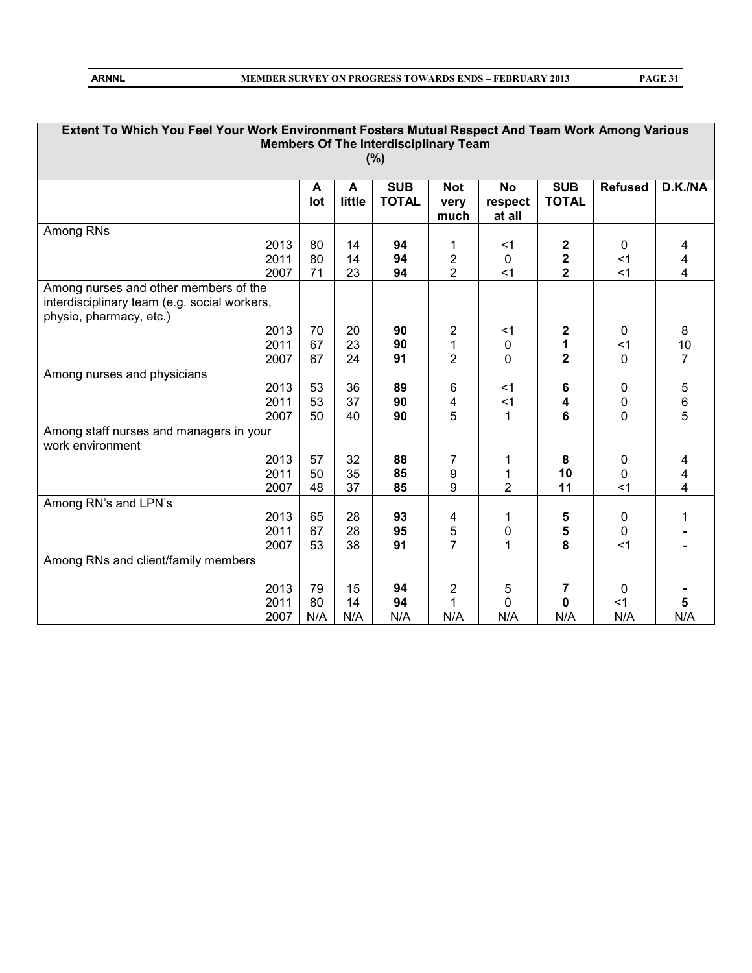| PAGE 31 |
|---------|
|---------|

| Extent To Which You Feel Your Work Environment Fosters Mutual Respect And Team Work Among Various |          |             |              |                         |             |                         |              |                |
|---------------------------------------------------------------------------------------------------|----------|-------------|--------------|-------------------------|-------------|-------------------------|--------------|----------------|
| <b>Members Of The Interdisciplinary Team</b>                                                      |          |             |              |                         |             |                         |              |                |
| (%)                                                                                               |          |             |              |                         |             |                         |              |                |
| <b>SUB</b><br><b>SUB</b><br><b>Refused</b><br>D.K./NA<br><b>No</b><br><b>Not</b>                  |          |             |              |                         |             |                         |              |                |
|                                                                                                   | A<br>lot | A<br>little | <b>TOTAL</b> | very                    | respect     | <b>TOTAL</b>            |              |                |
|                                                                                                   |          |             |              | much                    | at all      |                         |              |                |
| Among RNs                                                                                         |          |             |              |                         |             |                         |              |                |
| 2013                                                                                              | 80       | 14          | 94           | 1                       | $<$ 1       | 2                       | $\mathbf{0}$ | 4              |
| 2011                                                                                              | 80       | 14          | 94           | $\overline{c}$          | $\mathbf 0$ | $\overline{\mathbf{2}}$ | $<$ 1        | 4              |
| 2007                                                                                              | 71       | 23          | 94           | $\overline{2}$          | $<$ 1       | $\overline{\mathbf{2}}$ | $<$ 1        | 4              |
| Among nurses and other members of the                                                             |          |             |              |                         |             |                         |              |                |
| interdisciplinary team (e.g. social workers,                                                      |          |             |              |                         |             |                         |              |                |
| physio, pharmacy, etc.)                                                                           |          |             |              |                         |             |                         |              |                |
| 2013                                                                                              | 70       | 20          | 90           | $\overline{2}$          | $<$ 1       | 2                       | 0            | 8              |
| 2011                                                                                              | 67       | 23          | 90           | 1                       | $\mathbf 0$ | 1                       | $\leq$ 1     | 10             |
| 2007                                                                                              | 67       | 24          | 91           | $\overline{2}$          | 0           | $\overline{2}$          | 0            | $\overline{7}$ |
| Among nurses and physicians                                                                       |          |             |              |                         |             |                         |              |                |
| 2013                                                                                              | 53       | 36          | 89           | 6                       | $<$ 1       | 6                       | 0            | 5              |
| 2011                                                                                              | 53       | 37          | 90           | 4                       | $<$ 1       | 4                       | 0            | 6              |
| 2007                                                                                              | 50       | 40          | 90           | 5                       | 1           | 6                       | 0            | 5              |
| Among staff nurses and managers in your                                                           |          |             |              |                         |             |                         |              |                |
| work environment                                                                                  |          |             |              |                         |             |                         |              |                |
| 2013                                                                                              | 57       | 32          | 88           | 7                       | 1           | 8                       | 0            | 4              |
| 2011                                                                                              | 50       | 35          | 85           | 9                       |             | 10                      | 0            | 4              |
| 2007                                                                                              | 48       | 37          | 85           | 9                       | 2           | 11                      | $<$ 1        | 4              |
| Among RN's and LPN's                                                                              |          |             |              |                         |             |                         |              |                |
| 2013                                                                                              | 65       | 28          | 93           | 4                       | 1           | 5                       | 0            | 1              |
| 2011                                                                                              | 67       | 28          | 95           | 5                       | 0           | 5                       | 0            |                |
| 2007                                                                                              | 53       | 38          | 91           | $\overline{7}$          | 1           | 8                       | $<$ 1        |                |
| Among RNs and client/family members                                                               |          |             |              |                         |             |                         |              |                |
|                                                                                                   |          |             |              |                         |             |                         |              |                |
| 2013                                                                                              | 79       | 15          | 94           | $\overline{\mathbf{c}}$ | 5           | 7                       | 0            |                |
| 2011                                                                                              | 80       | 14          | 94           | 1                       | 0           | 0                       | $<$ 1        | 5              |
| 2007                                                                                              | N/A      | N/A         | N/A          | N/A                     | N/A         | N/A                     | N/A          | N/A            |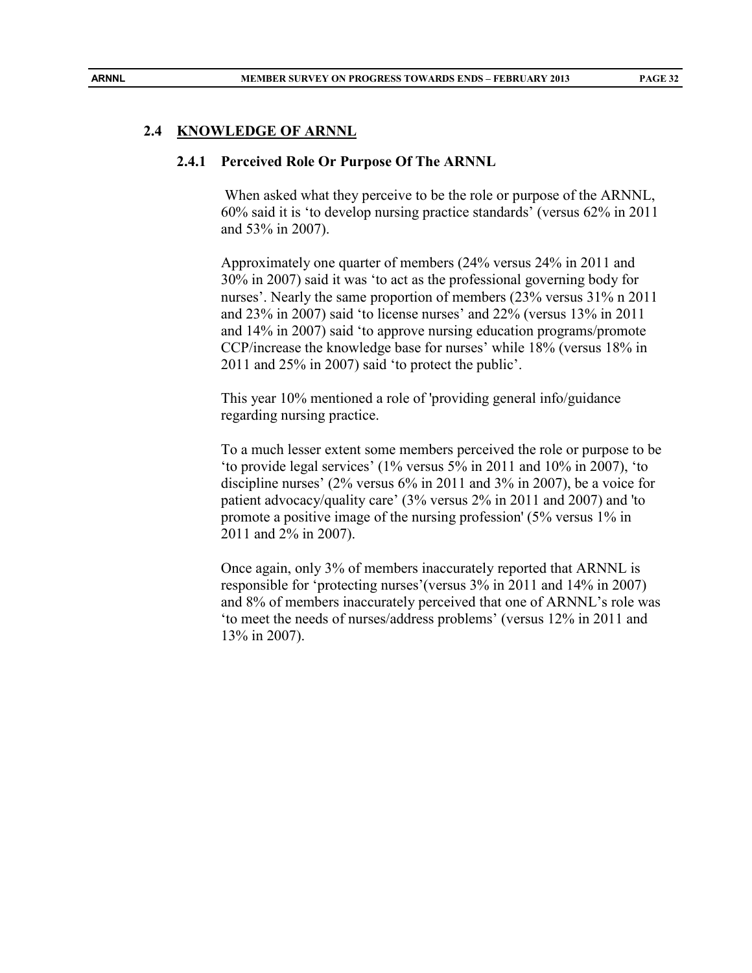#### **2.4 KNOWLEDGE OF ARNNL**

#### **2.4.1 Perceived Role Or Purpose Of The ARNNL**

When asked what they perceive to be the role or purpose of the ARNNL, 60% said it is 'to develop nursing practice standards' (versus 62% in 2011 and 53% in 2007).

Approximately one quarter of members (24% versus 24% in 2011 and 30% in 2007) said it was 'to act as the professional governing body for nurses'. Nearly the same proportion of members (23% versus 31% n 2011 and 23% in 2007) said 'to license nurses' and 22% (versus 13% in 2011 and 14% in 2007) said 'to approve nursing education programs/promote CCP/increase the knowledge base for nurses' while 18% (versus 18% in 2011 and 25% in 2007) said 'to protect the public'.

This year 10% mentioned a role of 'providing general info/guidance regarding nursing practice.

To a much lesser extent some members perceived the role or purpose to be 'to provide legal services' (1% versus 5% in 2011 and 10% in 2007), 'to discipline nurses' (2% versus 6% in 2011 and 3% in 2007), be a voice for patient advocacy/quality care' (3% versus 2% in 2011 and 2007) and 'to promote a positive image of the nursing profession' (5% versus 1% in 2011 and 2% in 2007).

Once again, only 3% of members inaccurately reported that ARNNL is responsible for 'protecting nurses'(versus 3% in 2011 and 14% in 2007) and 8% of members inaccurately perceived that one of ARNNL's role was 'to meet the needs of nurses/address problems' (versus 12% in 2011 and 13% in 2007).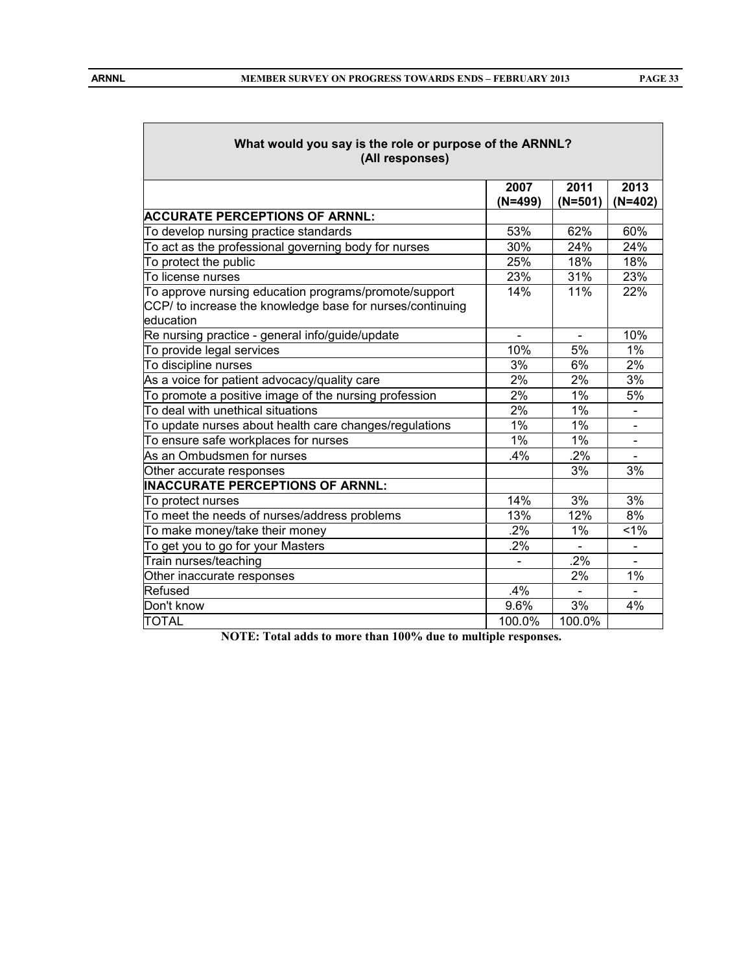| What would you say is the role or purpose of the ARNNL?<br>(All responses)                                                      |           |           |                |  |  |  |  |  |
|---------------------------------------------------------------------------------------------------------------------------------|-----------|-----------|----------------|--|--|--|--|--|
|                                                                                                                                 | 2007      | 2011      | 2013           |  |  |  |  |  |
|                                                                                                                                 | $(N=499)$ | $(N=501)$ | $(N=402)$      |  |  |  |  |  |
| <b>ACCURATE PERCEPTIONS OF ARNNL:</b>                                                                                           |           |           |                |  |  |  |  |  |
| To develop nursing practice standards                                                                                           | 53%       | 62%       | 60%            |  |  |  |  |  |
| To act as the professional governing body for nurses                                                                            | 30%       | 24%       | 24%            |  |  |  |  |  |
| To protect the public                                                                                                           | 25%       | 18%       | 18%            |  |  |  |  |  |
| To license nurses                                                                                                               | 23%       | 31%       | 23%            |  |  |  |  |  |
| To approve nursing education programs/promote/support<br>CCP/ to increase the knowledge base for nurses/continuing<br>education | 14%       | 11%       | 22%            |  |  |  |  |  |
| Re nursing practice - general info/guide/update                                                                                 |           |           | 10%            |  |  |  |  |  |
| To provide legal services                                                                                                       | 10%       | 5%        | 1%             |  |  |  |  |  |
| To discipline nurses                                                                                                            | 3%        | 6%        | 2%             |  |  |  |  |  |
| As a voice for patient advocacy/quality care                                                                                    | 2%        | 2%        | 3%             |  |  |  |  |  |
| To promote a positive image of the nursing profession                                                                           | 2%        | 1%        | 5%             |  |  |  |  |  |
| To deal with unethical situations                                                                                               | 2%        | 1%        |                |  |  |  |  |  |
| To update nurses about health care changes/regulations                                                                          | 1%        | 1%        |                |  |  |  |  |  |
| To ensure safe workplaces for nurses                                                                                            | 1%        | $1\%$     | $\frac{1}{2}$  |  |  |  |  |  |
| As an Ombudsmen for nurses                                                                                                      | $.4\%$    | .2%       |                |  |  |  |  |  |
| Other accurate responses                                                                                                        |           | 3%        | 3%             |  |  |  |  |  |
| <b>INACCURATE PERCEPTIONS OF ARNNL:</b>                                                                                         |           |           |                |  |  |  |  |  |
| To protect nurses                                                                                                               | 14%       | 3%        | 3%             |  |  |  |  |  |
| To meet the needs of nurses/address problems                                                                                    | 13%       | 12%       | 8%             |  |  |  |  |  |
| To make money/take their money                                                                                                  | .2%       | $1\%$     | 1%             |  |  |  |  |  |
| To get you to go for your Masters                                                                                               | .2%       |           | $\blacksquare$ |  |  |  |  |  |
| Train nurses/teaching                                                                                                           |           | .2%       |                |  |  |  |  |  |
| Other inaccurate responses                                                                                                      |           | 2%        | 1%             |  |  |  |  |  |
| Refused                                                                                                                         | .4%       |           |                |  |  |  |  |  |
| Don't know                                                                                                                      | 9.6%      | 3%        | 4%             |  |  |  |  |  |
| <b>TOTAL</b>                                                                                                                    | 100.0%    | 100.0%    |                |  |  |  |  |  |

**NOTE: Total adds to more than 100% due to multiple responses.**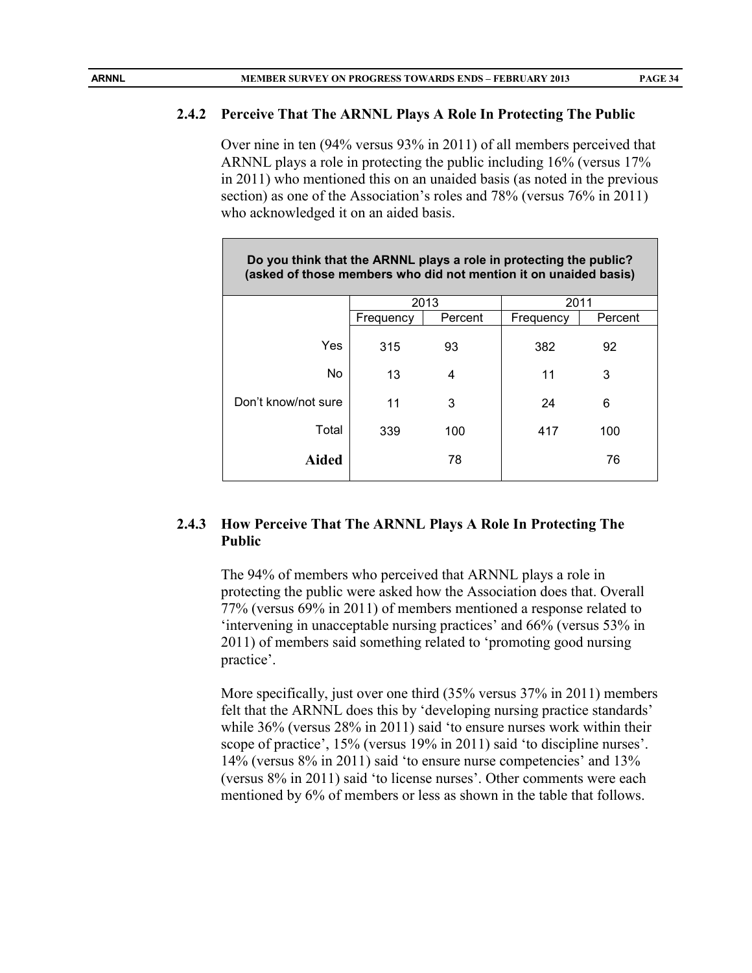#### **2.4.2 Perceive That The ARNNL Plays A Role In Protecting The Public**

Over nine in ten (94% versus 93% in 2011) of all members perceived that ARNNL plays a role in protecting the public including 16% (versus 17% in 2011) who mentioned this on an unaided basis (as noted in the previous section) as one of the Association's roles and 78% (versus 76% in 2011) who acknowledged it on an aided basis.

| Do you think that the ARNNL plays a role in protecting the public?<br>(asked of those members who did not mention it on unaided basis) |           |         |           |         |  |  |  |
|----------------------------------------------------------------------------------------------------------------------------------------|-----------|---------|-----------|---------|--|--|--|
|                                                                                                                                        | 2013      |         | 2011      |         |  |  |  |
|                                                                                                                                        | Frequency | Percent | Frequency | Percent |  |  |  |
| Yes                                                                                                                                    | 315       | 93      | 382       | 92      |  |  |  |
| <b>No</b>                                                                                                                              | 13        | 4       | 11        | 3       |  |  |  |
| Don't know/not sure                                                                                                                    | 11        | 3       | 24        | 6       |  |  |  |
| Total                                                                                                                                  | 339       | 100     | 417       | 100     |  |  |  |
| Aided                                                                                                                                  |           | 78      |           | 76      |  |  |  |

#### **2.4.3 How Perceive That The ARNNL Plays A Role In Protecting The Public**

The 94% of members who perceived that ARNNL plays a role in protecting the public were asked how the Association does that. Overall 77% (versus 69% in 2011) of members mentioned a response related to 'intervening in unacceptable nursing practices' and 66% (versus 53% in 2011) of members said something related to 'promoting good nursing practice'.

More specifically, just over one third (35% versus 37% in 2011) members felt that the ARNNL does this by 'developing nursing practice standards' while 36% (versus 28% in 2011) said 'to ensure nurses work within their scope of practice', 15% (versus 19% in 2011) said 'to discipline nurses'. 14% (versus 8% in 2011) said 'to ensure nurse competencies' and 13% (versus 8% in 2011) said 'to license nurses'. Other comments were each mentioned by 6% of members or less as shown in the table that follows.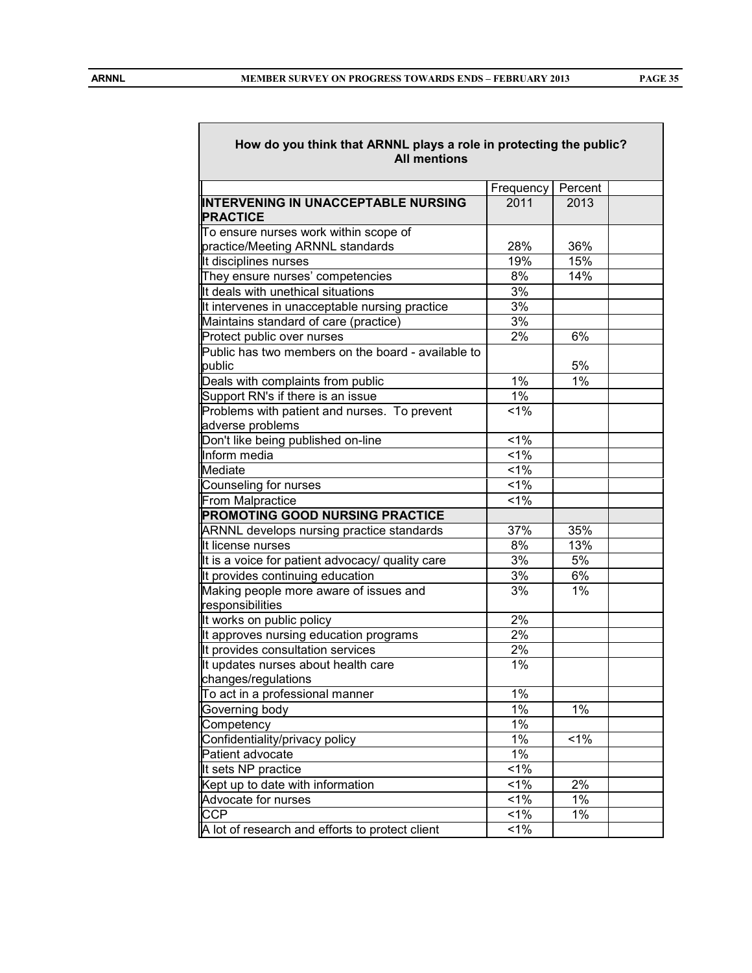| How do you think that ARNNL plays a role in protecting the public?<br><b>All mentions</b> |                  |         |  |  |
|-------------------------------------------------------------------------------------------|------------------|---------|--|--|
|                                                                                           | Frequency        | Percent |  |  |
| <b>INTERVENING IN UNACCEPTABLE NURSING</b><br><b>PRACTICE</b>                             | 2011             | 2013    |  |  |
| To ensure nurses work within scope of<br>practice/Meeting ARNNL standards                 | 28%              | 36%     |  |  |
| It disciplines nurses                                                                     | 19%              | 15%     |  |  |
| They ensure nurses' competencies                                                          | 8%               | 14%     |  |  |
| It deals with unethical situations                                                        | 3%               |         |  |  |
| It intervenes in unacceptable nursing practice                                            | 3%               |         |  |  |
| Maintains standard of care (practice)                                                     | 3%               |         |  |  |
| Protect public over nurses                                                                | $2\%$            | 6%      |  |  |
| Public has two members on the board - available to<br>public                              |                  | 5%      |  |  |
| Deals with complaints from public                                                         | $1\%$            | 1%      |  |  |
| Support RN's if there is an issue                                                         | $1\%$            |         |  |  |
| Problems with patient and nurses. To prevent<br>adverse problems                          | $1\%$            |         |  |  |
| Don't like being published on-line                                                        | $1\%$            |         |  |  |
| Inform media                                                                              | $1\%$            |         |  |  |
| Mediate                                                                                   | $1\%$            |         |  |  |
| Counseling for nurses                                                                     | $1\%$            |         |  |  |
| From Malpractice                                                                          | 1%               |         |  |  |
| <b>PROMOTING GOOD NURSING PRACTICE</b>                                                    |                  |         |  |  |
| ARNNL develops nursing practice standards                                                 | 37%              | 35%     |  |  |
| It license nurses                                                                         | 8%               | 13%     |  |  |
| It is a voice for patient advocacy/ quality care                                          | 3%               | 5%      |  |  |
| It provides continuing education                                                          | $\overline{3}\%$ | 6%      |  |  |
| Making people more aware of issues and<br>responsibilities                                | 3%               | 1%      |  |  |
| It works on public policy                                                                 | 2%               |         |  |  |
| It approves nursing education programs                                                    | $2\%$            |         |  |  |
| It provides consultation services                                                         | $\frac{1}{2\%}$  |         |  |  |
| It updates nurses about health care<br>changes/regulations                                | 1%               |         |  |  |
| To act in a professional manner                                                           | 1%               |         |  |  |
| Governing body                                                                            | 1%               | 1%      |  |  |
| Competency                                                                                | 1%               |         |  |  |
| Confidentiality/privacy policy                                                            | $1\%$            | $< 1\%$ |  |  |
| Patient advocate                                                                          | $1\%$            |         |  |  |
| It sets NP practice                                                                       | $1\%$            |         |  |  |
| Kept up to date with information                                                          | $1\%$            | 2%      |  |  |
| Advocate for nurses                                                                       | $1\%$            | $1\%$   |  |  |
| <b>CCP</b>                                                                                | $1\%$            | 1%      |  |  |
| A lot of research and efforts to protect client                                           | $1\%$            |         |  |  |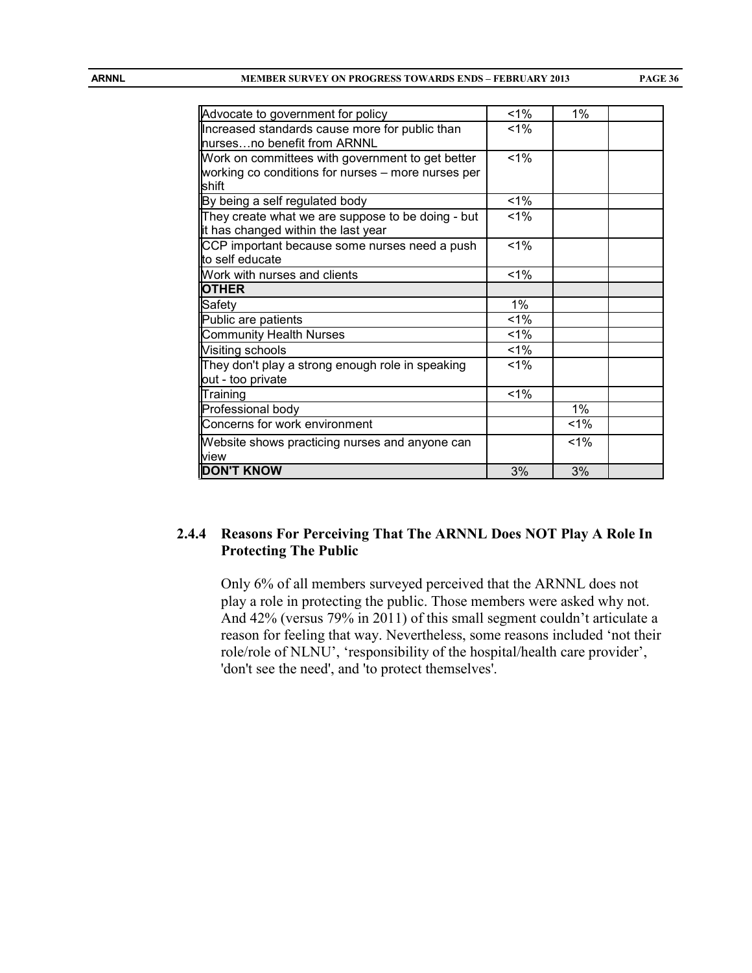| Advocate to government for policy                  | $1\%$ | $1\%$ |  |
|----------------------------------------------------|-------|-------|--|
| Increased standards cause more for public than     | $1\%$ |       |  |
| hursesno benefit from ARNNL                        |       |       |  |
| Work on committees with government to get better   | $1\%$ |       |  |
| working co conditions for nurses – more nurses per |       |       |  |
| shift                                              |       |       |  |
| By being a self regulated body                     | 1%    |       |  |
| They create what we are suppose to be doing - but  | $1\%$ |       |  |
| it has changed within the last year                |       |       |  |
| CCP important because some nurses need a push      | $1\%$ |       |  |
| to self educate                                    |       |       |  |
| Work with nurses and clients                       | 1%    |       |  |
| <b>OTHER</b>                                       |       |       |  |
| Safety                                             | 1%    |       |  |
| Public are patients                                | $1\%$ |       |  |
| <b>Community Health Nurses</b>                     | 1%    |       |  |
| Visiting schools                                   | 1%    |       |  |
| They don't play a strong enough role in speaking   | $1\%$ |       |  |
| out - too private                                  |       |       |  |
| Training                                           | 1%    |       |  |
| Professional body                                  |       | $1\%$ |  |
| Concerns for work environment                      |       | 1%    |  |
| Website shows practicing nurses and anyone can     |       | $1\%$ |  |
| view                                               |       |       |  |
| <b>DON'T KNOW</b>                                  | 3%    | 3%    |  |

## **2.4.4 Reasons For Perceiving That The ARNNL Does NOT Play A Role In Protecting The Public**

Only 6% of all members surveyed perceived that the ARNNL does not play a role in protecting the public. Those members were asked why not. And 42% (versus 79% in 2011) of this small segment couldn't articulate a reason for feeling that way. Nevertheless, some reasons included 'not their role/role of NLNU', 'responsibility of the hospital/health care provider', 'don't see the need', and 'to protect themselves'.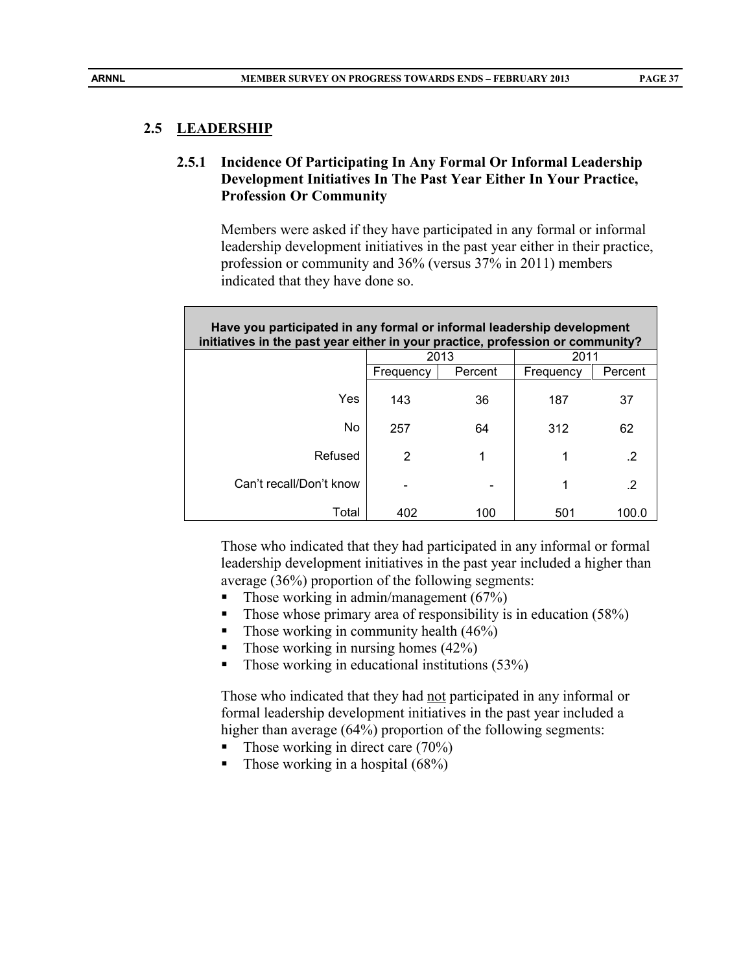# **2.5.1 Incidence Of Participating In Any Formal Or Informal Leadership Development Initiatives In The Past Year Either In Your Practice, Profession Or Community**

Members were asked if they have participated in any formal or informal leadership development initiatives in the past year either in their practice, profession or community and 36% (versus 37% in 2011) members indicated that they have done so.

| Have you participated in any formal or informal leadership development<br>initiatives in the past year either in your practice, profession or community? |           |         |           |         |  |  |
|----------------------------------------------------------------------------------------------------------------------------------------------------------|-----------|---------|-----------|---------|--|--|
|                                                                                                                                                          | 2013      |         | 2011      |         |  |  |
|                                                                                                                                                          | Frequency | Percent | Frequency | Percent |  |  |
| Yes                                                                                                                                                      | 143       | 36      | 187       | 37      |  |  |
| No                                                                                                                                                       | 257       | 64      | 312       | 62      |  |  |
| Refused                                                                                                                                                  | 2         | 1       | 1         | .2      |  |  |
| Can't recall/Don't know                                                                                                                                  |           |         | 1         | .2      |  |  |
| Total                                                                                                                                                    | 402       | 100     | 501       | 100.0   |  |  |

Those who indicated that they had participated in any informal or formal leadership development initiatives in the past year included a higher than average (36%) proportion of the following segments:

- Those working in admin/management  $(67%)$
- Those whose primary area of responsibility is in education  $(58%)$
- Those working in community health  $(46%)$
- $\blacksquare$  Those working in nursing homes (42%)
- $\blacksquare$  Those working in educational institutions (53%)

Those who indicated that they had not participated in any informal or formal leadership development initiatives in the past year included a higher than average (64%) proportion of the following segments:

- Those working in direct care  $(70\%)$
- Those working in a hospital  $(68%)$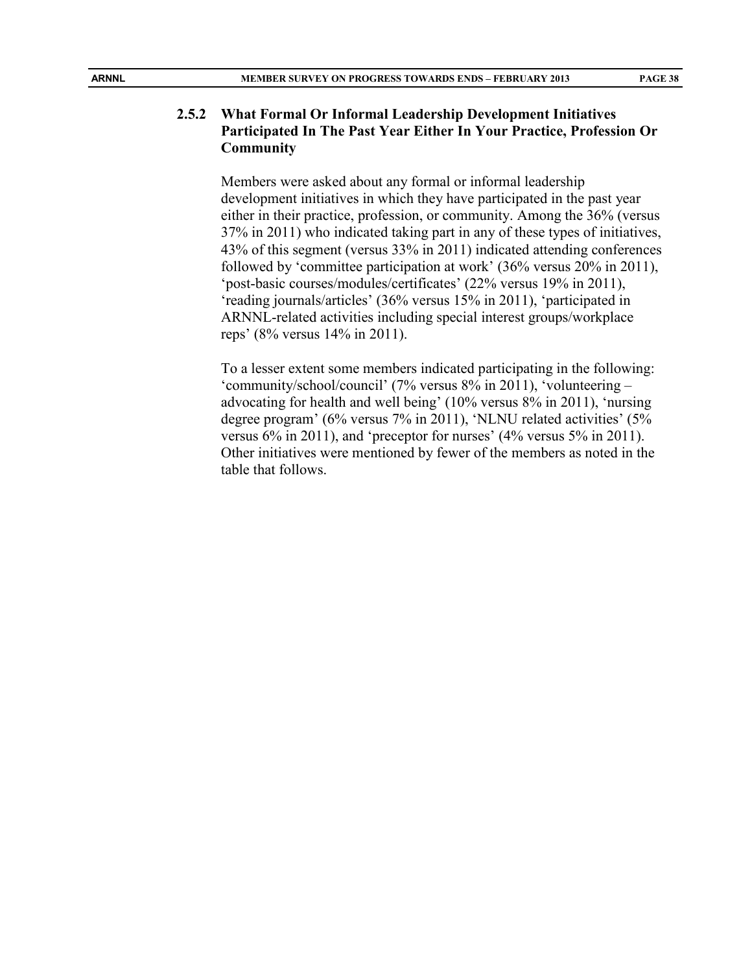#### **2.5.2 What Formal Or Informal Leadership Development Initiatives Participated In The Past Year Either In Your Practice, Profession Or Community**

Members were asked about any formal or informal leadership development initiatives in which they have participated in the past year either in their practice, profession, or community. Among the 36% (versus 37% in 2011) who indicated taking part in any of these types of initiatives, 43% of this segment (versus 33% in 2011) indicated attending conferences followed by 'committee participation at work' (36% versus 20% in 2011), 'post-basic courses/modules/certificates' (22% versus 19% in 2011), 'reading journals/articles' (36% versus 15% in 2011), 'participated in ARNNL-related activities including special interest groups/workplace reps' (8% versus 14% in 2011).

To a lesser extent some members indicated participating in the following: 'community/school/council' (7% versus 8% in 2011), 'volunteering – advocating for health and well being' (10% versus 8% in 2011), 'nursing degree program' (6% versus 7% in 2011), 'NLNU related activities' (5% versus 6% in 2011), and 'preceptor for nurses' (4% versus 5% in 2011). Other initiatives were mentioned by fewer of the members as noted in the table that follows.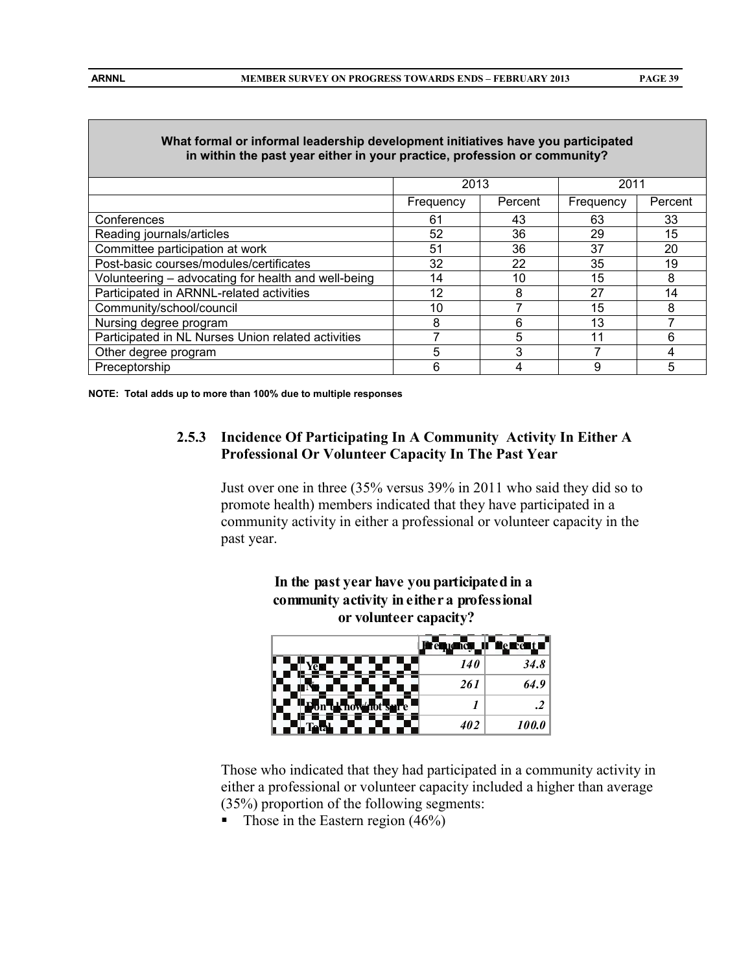| What formal or informal leadership development initiatives have you participated<br>in within the past year either in your practice, profession or community? |           |         |           |         |  |  |
|---------------------------------------------------------------------------------------------------------------------------------------------------------------|-----------|---------|-----------|---------|--|--|
|                                                                                                                                                               | 2013      |         | 2011      |         |  |  |
|                                                                                                                                                               | Frequency | Percent | Frequency | Percent |  |  |
| Conferences                                                                                                                                                   | 61        | 43      | 63        | 33      |  |  |
| Reading journals/articles                                                                                                                                     | 52        | 36      | 29        | 15      |  |  |
| Committee participation at work                                                                                                                               | 51        | 36      | 37        | 20      |  |  |
| Post-basic courses/modules/certificates                                                                                                                       | 32        | 22      | 35        | 19      |  |  |
| Volunteering – advocating for health and well-being                                                                                                           | 14        | 10      | 15        |         |  |  |
| Participated in ARNNL-related activities                                                                                                                      | 12        | 8       | 27        | 14      |  |  |
| Community/school/council                                                                                                                                      | 10        |         | 15        |         |  |  |

# **What formal or informal leadership development initiatives have you participated**

**NOTE: Total adds up to more than 100% due to multiple responses**

## **2.5.3 Incidence Of Participating In A Community Activity In Either A Professional Or Volunteer Capacity In The Past Year**

Nursing degree program and the set of the set of the set of the set of the set of the set of the set of the set o Participated in NL Nurses Union related activities | 7 | 5 | 11 | 6 Other degree program and the set of the set of the set of the set of the set of the set of the set of the set o Preceptorship **Frequence 1** 6 4 9 5

> Just over one in three (35% versus 39% in 2011 who said they did so to promote health) members indicated that they have participated in a community activity in either a professional or volunteer capacity in the past year.





Those who indicated that they had participated in a community activity in either a professional or volunteer capacity included a higher than average (35%) proportion of the following segments:

Those in the Eastern region  $(46\%)$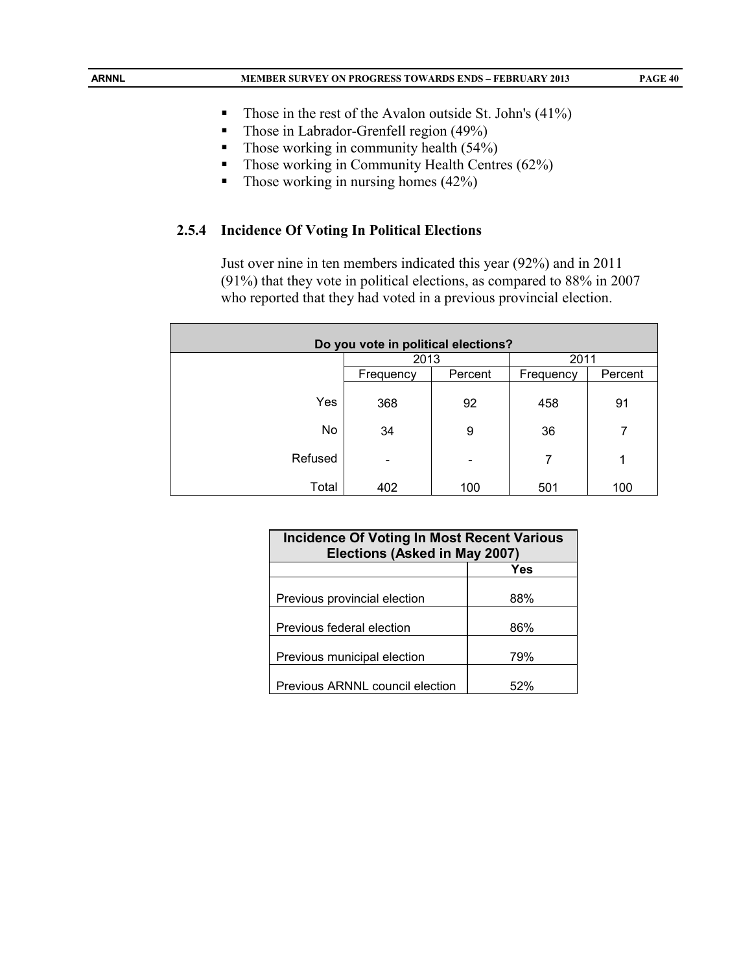- Those in the rest of the Avalon outside St. John's  $(41\%)$
- Those in Labrador-Grenfell region (49%)
- Those working in community health  $(54%)$
- $\blacksquare$  Those working in Community Health Centres (62%)
- $\blacksquare$  Those working in nursing homes (42%)

#### **2.5.4 Incidence Of Voting In Political Elections**

Just over nine in ten members indicated this year (92%) and in 2011 (91%) that they vote in political elections, as compared to 88% in 2007 who reported that they had voted in a previous provincial election.

| Do you vote in political elections? |                          |                          |           |         |  |
|-------------------------------------|--------------------------|--------------------------|-----------|---------|--|
|                                     | 2013                     |                          | 2011      |         |  |
|                                     | Frequency                | Percent                  | Frequency | Percent |  |
| Yes                                 | 368                      | 92                       | 458       | 91      |  |
| No                                  | 34                       | 9                        | 36        | 7       |  |
| Refused                             | $\overline{\phantom{0}}$ | $\overline{\phantom{0}}$ | 7         | 1       |  |
| Total                               | 402                      | 100                      | 501       | 100     |  |

| <b>Incidence Of Voting In Most Recent Various</b><br>Elections (Asked in May 2007) |      |  |  |  |
|------------------------------------------------------------------------------------|------|--|--|--|
| Yes                                                                                |      |  |  |  |
| Previous provincial election                                                       | 88%  |  |  |  |
| Previous federal election                                                          | 86%  |  |  |  |
| Previous municipal election                                                        | 79%  |  |  |  |
| Previous ARNNL council election                                                    | .52% |  |  |  |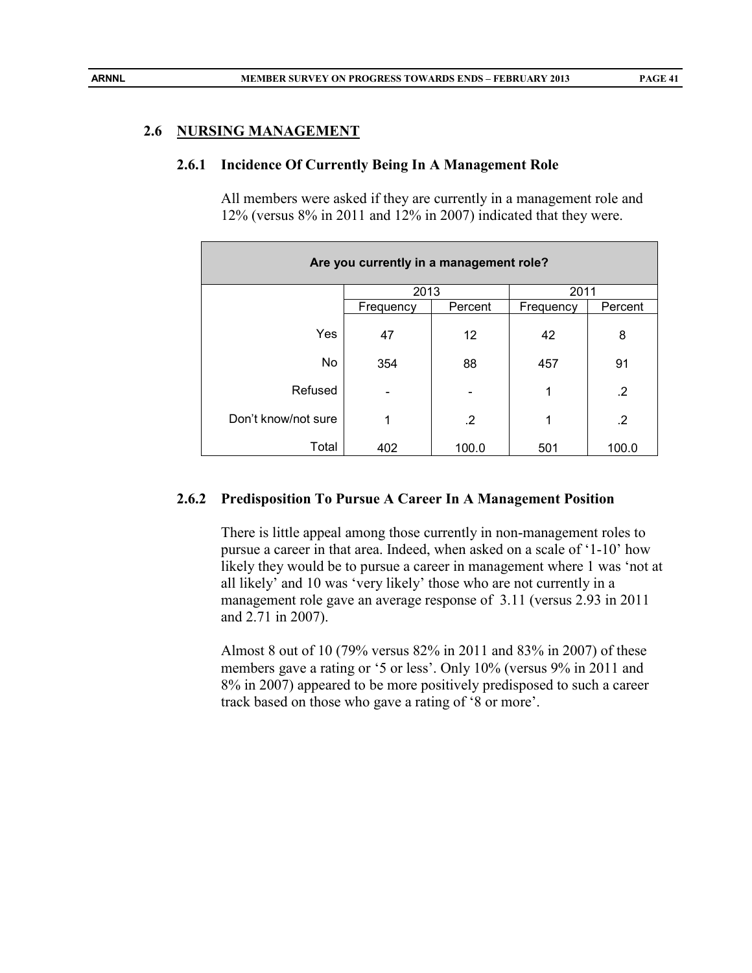#### **2.6 NURSING MANAGEMENT**

#### **2.6.1 Incidence Of Currently Being In A Management Role**

All members were asked if they are currently in a management role and 12% (versus 8% in 2011 and 12% in 2007) indicated that they were.

| Are you currently in a management role? |           |                   |           |         |  |  |
|-----------------------------------------|-----------|-------------------|-----------|---------|--|--|
|                                         | 2013      |                   | 2011      |         |  |  |
|                                         | Frequency | Percent           | Frequency | Percent |  |  |
| Yes                                     | 47        | $12 \overline{ }$ | 42        | 8       |  |  |
| No                                      | 354       | 88                | 457       | 91      |  |  |
| Refused                                 |           |                   | 1         | .2      |  |  |
| Don't know/not sure                     | 1         | $\cdot$           | 1         | $\cdot$ |  |  |
| Total                                   | 402       | 100.0             | 501       | 100.0   |  |  |

#### **2.6.2 Predisposition To Pursue A Career In A Management Position**

There is little appeal among those currently in non-management roles to pursue a career in that area. Indeed, when asked on a scale of '1-10' how likely they would be to pursue a career in management where 1 was 'not at all likely' and 10 was 'very likely' those who are not currently in a management role gave an average response of 3.11 (versus 2.93 in 2011 and 2.71 in 2007).

Almost 8 out of 10 (79% versus 82% in 2011 and 83% in 2007) of these members gave a rating or '5 or less'. Only 10% (versus 9% in 2011 and 8% in 2007) appeared to be more positively predisposed to such a career track based on those who gave a rating of '8 or more'.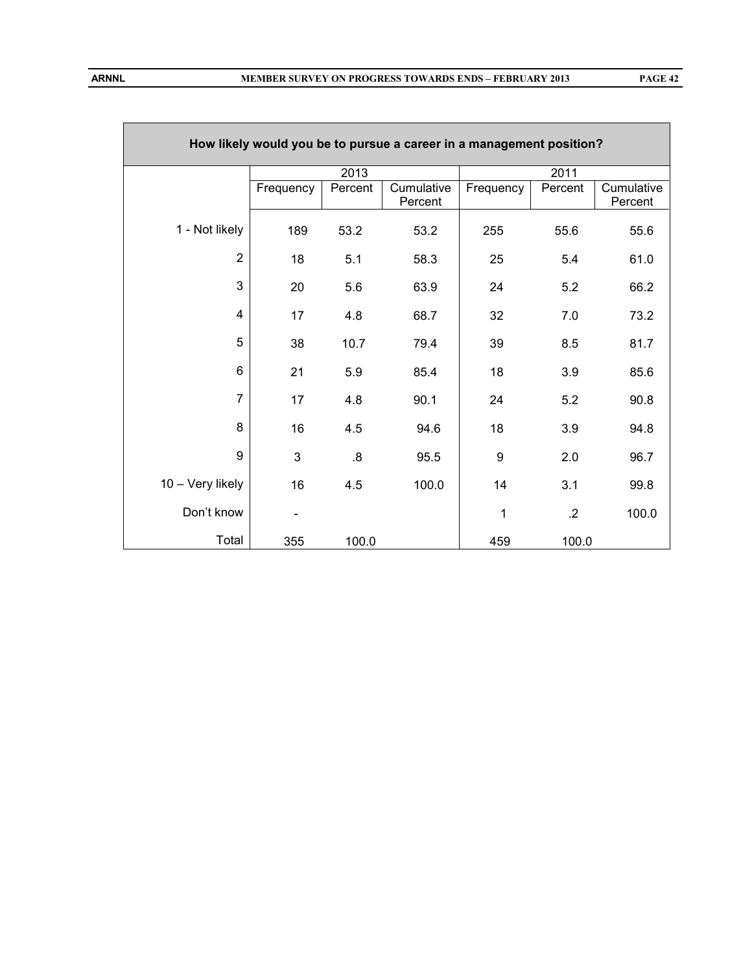|                         |                          |                   | How likely would you be to pursue a career in a management position? |           |                 |                       |
|-------------------------|--------------------------|-------------------|----------------------------------------------------------------------|-----------|-----------------|-----------------------|
|                         |                          | 2013              |                                                                      |           | 2011            |                       |
|                         | Frequency                | Percent           | Cumulative<br>Percent                                                | Frequency | Percent         | Cumulative<br>Percent |
| 1 - Not likely          | 189                      | 53.2              | 53.2                                                                 | 255       | 55.6            | 55.6                  |
| $\overline{2}$          | 18                       | 5.1               | 58.3                                                                 | 25        | 5.4             | 61.0                  |
| 3                       | 20                       | 5.6               | 63.9                                                                 | 24        | 5.2             | 66.2                  |
| $\overline{\mathbf{4}}$ | 17                       | 4.8               | 68.7                                                                 | 32        | 7.0             | 73.2                  |
| 5                       | 38                       | 10.7              | 79.4                                                                 | 39        | 8.5             | 81.7                  |
| 6                       | 21                       | 5.9               | 85.4                                                                 | 18        | 3.9             | 85.6                  |
| $\overline{7}$          | 17                       | 4.8               | 90.1                                                                 | 24        | 5.2             | 90.8                  |
| 8                       | 16                       | 4.5               | 94.6                                                                 | 18        | 3.9             | 94.8                  |
| 9                       | 3                        | $\boldsymbol{.8}$ | 95.5                                                                 | 9         | 2.0             | 96.7                  |
| 10 - Very likely        | 16                       | 4.5               | 100.0                                                                | 14        | 3.1             | 99.8                  |
| Don't know              | $\overline{\phantom{a}}$ |                   |                                                                      | 1         | $.2\phantom{0}$ | 100.0                 |
| Total                   | 355                      | 100.0             |                                                                      | 459       | 100.0           |                       |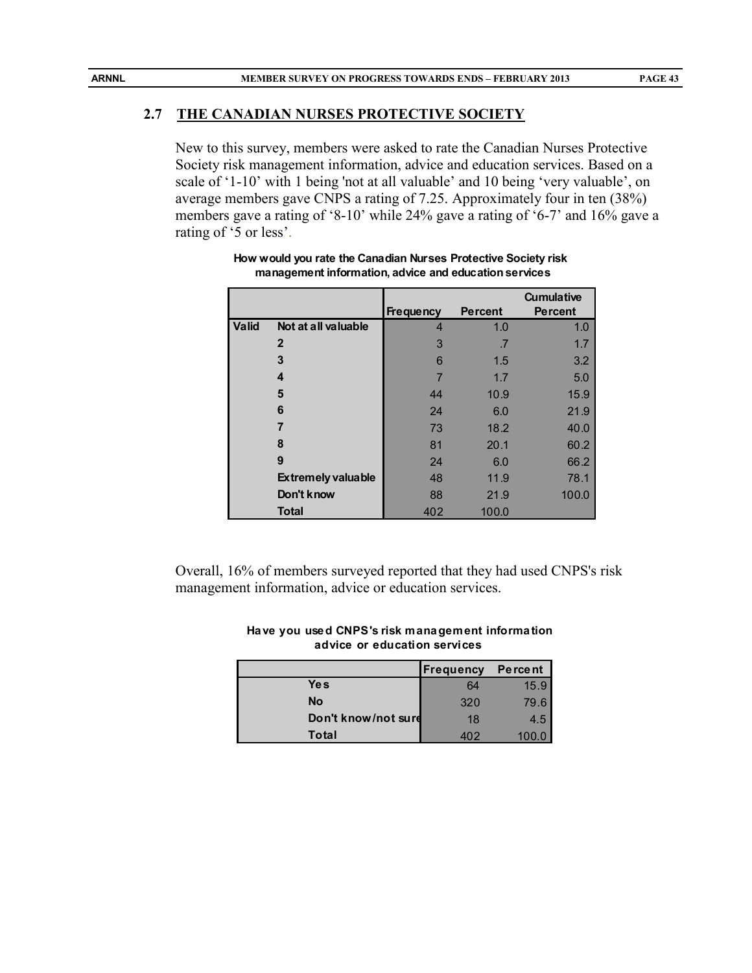#### **2.7 THE CANADIAN NURSES PROTECTIVE SOCIETY**

New to this survey, members were asked to rate the Canadian Nurses Protective Society risk management information, advice and education services. Based on a scale of '1-10' with 1 being 'not at all valuable' and 10 being 'very valuable', on average members gave CNPS a rating of 7.25. Approximately four in ten (38%) members gave a rating of '8-10' while 24% gave a rating of '6-7' and 16% gave a rating of '5 or less'.

|              |                           |                  |                | <b>Cumulative</b> |
|--------------|---------------------------|------------------|----------------|-------------------|
|              |                           | <b>Frequency</b> | <b>Percent</b> | <b>Percent</b>    |
| <b>Valid</b> | Not at all valuable       | 4                | 1.0            | 1.0               |
|              | $\mathbf{2}$              | 3                | .7             | 1.7               |
|              | 3                         | 6                | 1.5            | 3.2               |
|              | 4                         |                  | 1.7            | 5.0               |
|              | 5                         | 44               | 10.9           | 15.9              |
|              | 6                         | 24               | 6.0            | 21.9              |
|              | 7                         | 73               | 18.2           | 40.0              |
|              | 8                         | 81               | 20.1           | 60.2              |
|              | 9                         | 24               | 6.0            | 66.2              |
|              | <b>Extremely valuable</b> | 48               | 11.9           | 78.1              |
|              | Don't know                | 88               | 21.9           | 100.0             |
|              | <b>Total</b>              | 402              | 100.0          |                   |

**How would you rate the Canadian Nurses Protective Society risk management information, advice and education services**

Overall, 16% of members surveyed reported that they had used CNPS's risk management information, advice or education services.

|                     | Frequency | Pe rce nt |
|---------------------|-----------|-----------|
| <b>Yes</b>          | 64        | 15.9      |
| <b>No</b>           | 320       | 79.6      |
| Don't know/not surd | 18        | 4.5       |
| Total               | 402       |           |

#### **Have you used CNPS's risk management information advice or education services**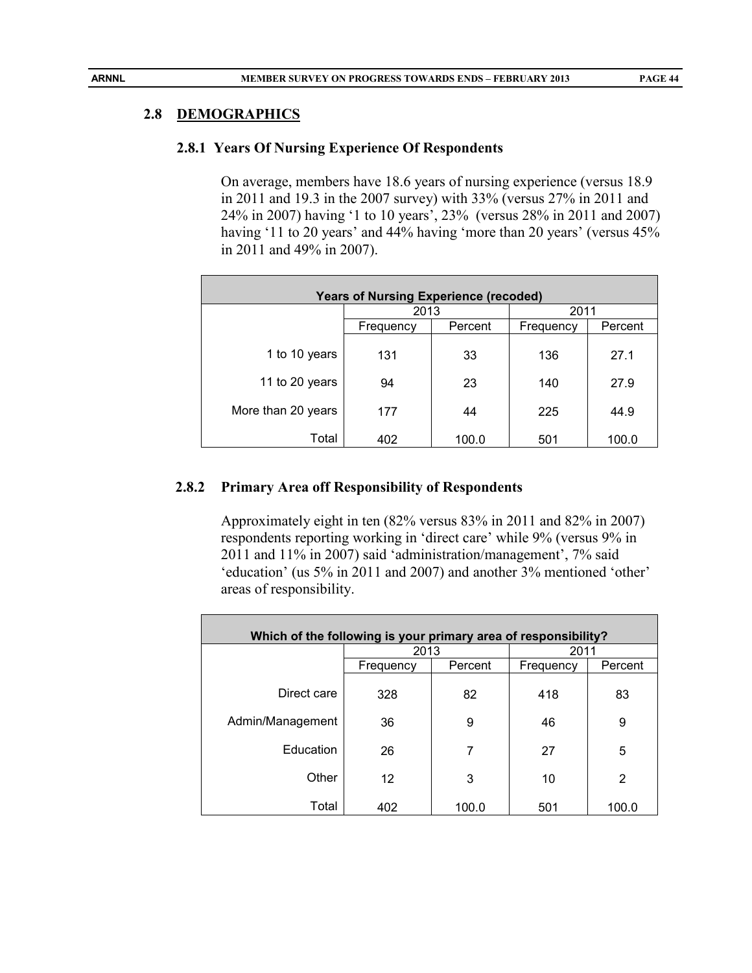#### **2.8 DEMOGRAPHICS**

#### **2.8.1 Years Of Nursing Experience Of Respondents**

On average, members have 18.6 years of nursing experience (versus 18.9 in 2011 and 19.3 in the 2007 survey) with 33% (versus 27% in 2011 and 24% in 2007) having '1 to 10 years', 23% (versus 28% in 2011 and 2007) having '11 to 20 years' and 44% having 'more than 20 years' (versus 45% in 2011 and 49% in 2007).

| <b>Years of Nursing Experience (recoded)</b> |           |         |           |         |  |  |
|----------------------------------------------|-----------|---------|-----------|---------|--|--|
|                                              | 2013      |         | 2011      |         |  |  |
|                                              | Frequency | Percent | Frequency | Percent |  |  |
| 1 to 10 years                                | 131       | 33      | 136       | 27.1    |  |  |
| 11 to 20 years                               | 94        | 23      | 140       | 27.9    |  |  |
| More than 20 years                           | 177       | 44      | 225       | 44.9    |  |  |
| Total                                        | 402       | 100.0   | 501       | 100.0   |  |  |

#### **2.8.2 Primary Area off Responsibility of Respondents**

Approximately eight in ten (82% versus 83% in 2011 and 82% in 2007) respondents reporting working in 'direct care' while 9% (versus 9% in 2011 and 11% in 2007) said 'administration/management', 7% said 'education' (us 5% in 2011 and 2007) and another 3% mentioned 'other' areas of responsibility.

| Which of the following is your primary area of responsibility? |           |         |           |         |  |  |
|----------------------------------------------------------------|-----------|---------|-----------|---------|--|--|
|                                                                | 2013      |         | 2011      |         |  |  |
|                                                                | Frequency | Percent | Frequency | Percent |  |  |
| Direct care                                                    | 328       | 82      | 418       | 83      |  |  |
| Admin/Management                                               | 36        | 9       | 46        | 9       |  |  |
| Education                                                      | 26        | 7       | 27        | 5       |  |  |
| Other                                                          | 12        | 3       | 10        | 2       |  |  |
| Total                                                          | 402       | 100.0   | 501       | 100.0   |  |  |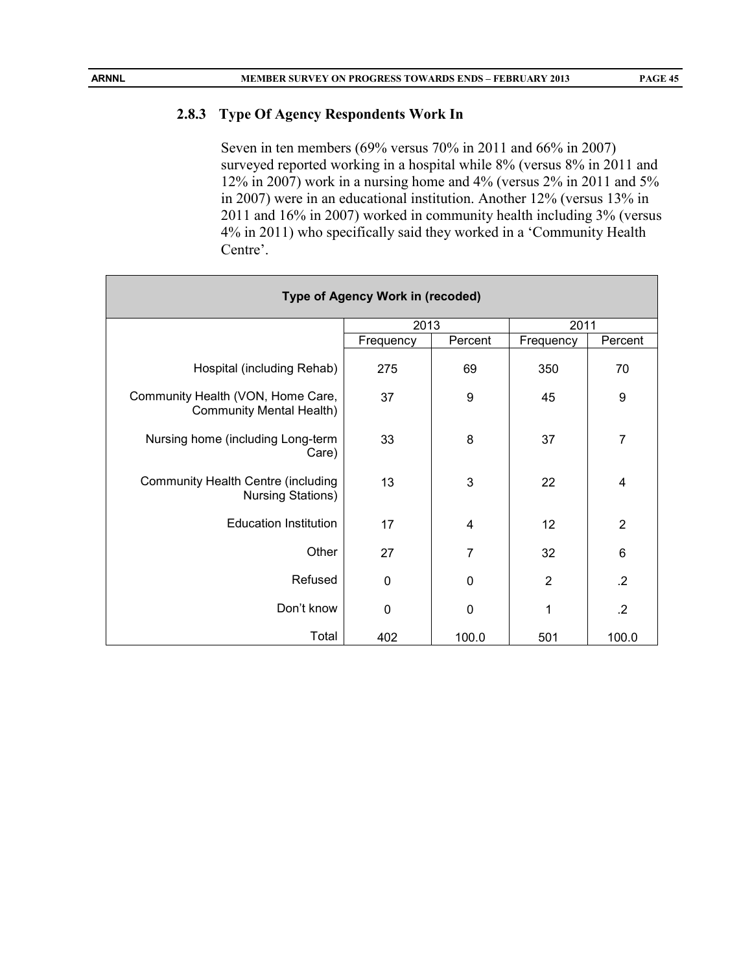#### **2.8.3 Type Of Agency Respondents Work In**

Seven in ten members (69% versus 70% in 2011 and 66% in 2007) surveyed reported working in a hospital while 8% (versus 8% in 2011 and 12% in 2007) work in a nursing home and 4% (versus 2% in 2011 and 5% in 2007) were in an educational institution. Another 12% (versus 13% in 2011 and 16% in 2007) worked in community health including 3% (versus 4% in 2011) who specifically said they worked in a 'Community Health Centre'.

| <b>Type of Agency Work in (recoded)</b>                        |           |                |                |                |  |
|----------------------------------------------------------------|-----------|----------------|----------------|----------------|--|
|                                                                | 2013      |                | 2011           |                |  |
|                                                                | Frequency | Percent        | Frequency      | Percent        |  |
| Hospital (including Rehab)                                     | 275       | 69             | 350            | 70             |  |
| Community Health (VON, Home Care,<br>Community Mental Health)  | 37        | 9              | 45             | 9              |  |
| Nursing home (including Long-term<br>Care)                     | 33        | 8              | 37             | $\overline{7}$ |  |
| Community Health Centre (including<br><b>Nursing Stations)</b> | 13        | 3              | 22             | 4              |  |
| <b>Education Institution</b>                                   | 17        | $\overline{4}$ | 12             | $\overline{2}$ |  |
| Other                                                          | 27        | $\overline{7}$ | 32             | 6              |  |
| Refused                                                        | 0         | $\mathbf 0$    | $\overline{2}$ | .2             |  |
| Don't know                                                     | 0         | 0              | 1              | $\cdot$        |  |
| Total                                                          | 402       | 100.0          | 501            | 100.0          |  |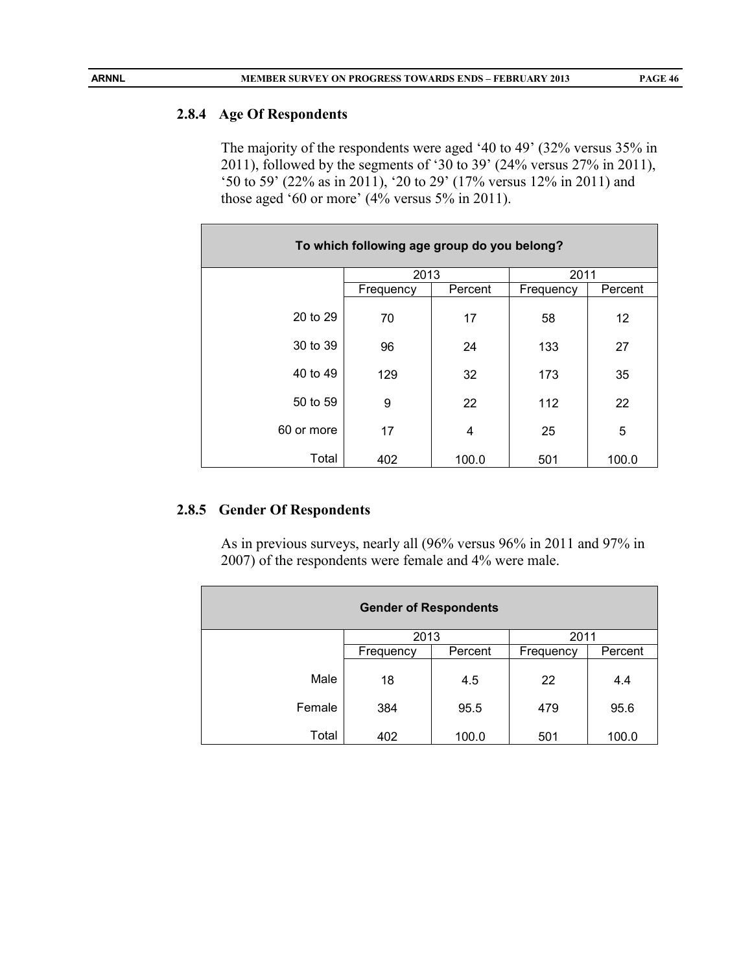#### **2.8.4 Age Of Respondents**

The majority of the respondents were aged '40 to 49' (32% versus 35% in 2011), followed by the segments of '30 to 39' (24% versus 27% in 2011), '50 to 59' (22% as in 2011), '20 to 29' (17% versus 12% in 2011) and those aged '60 or more' (4% versus 5% in 2011).

| To which following age group do you belong? |           |         |           |         |
|---------------------------------------------|-----------|---------|-----------|---------|
|                                             | 2013      |         | 2011      |         |
|                                             | Frequency | Percent | Frequency | Percent |
| 20 to 29                                    | 70        | 17      | 58        | 12      |
| 30 to 39                                    | 96        | 24      | 133       | 27      |
| 40 to 49                                    | 129       | 32      | 173       | 35      |
| 50 to 59                                    | 9         | 22      | 112       | 22      |
| 60 or more                                  | 17        | 4       | 25        | 5       |
| Total                                       | 402       | 100.0   | 501       | 100.0   |

# **2.8.5 Gender Of Respondents**

As in previous surveys, nearly all (96% versus 96% in 2011 and 97% in 2007) of the respondents were female and 4% were male.

| <b>Gender of Respondents</b> |           |         |           |         |
|------------------------------|-----------|---------|-----------|---------|
|                              | 2013      |         | 2011      |         |
|                              | Frequency | Percent | Frequency | Percent |
| Male                         | 18        | 4.5     | 22        | 4.4     |
| Female                       | 384       | 95.5    | 479       | 95.6    |
| Total                        | 402       | 100.0   | 501       | 100.0   |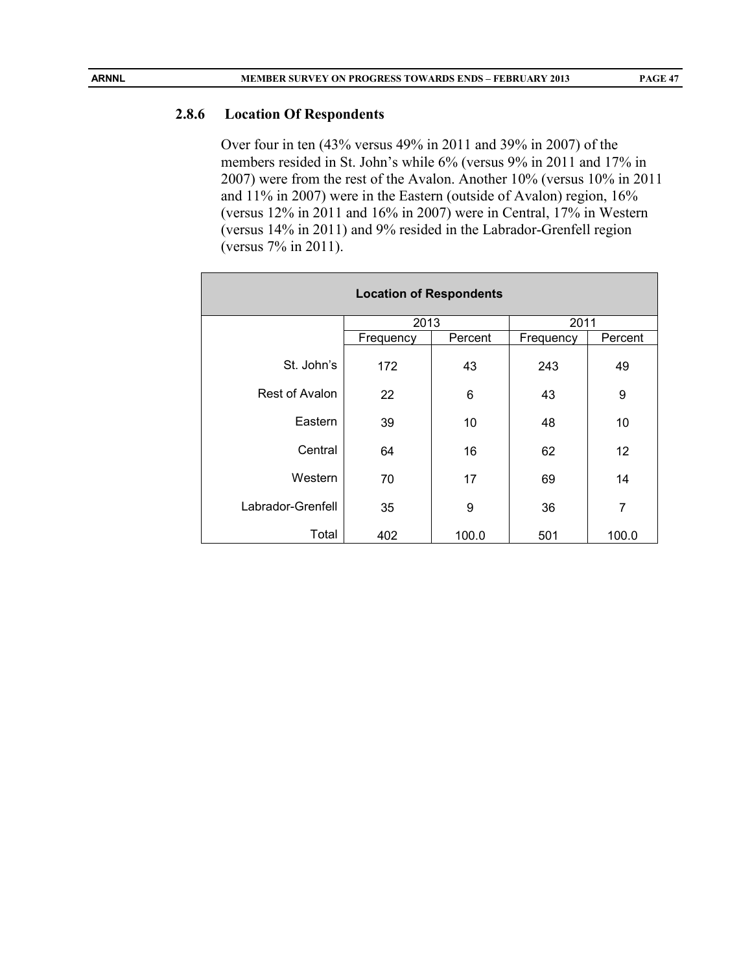#### **2.8.6 Location Of Respondents**

Over four in ten (43% versus 49% in 2011 and 39% in 2007) of the members resided in St. John's while 6% (versus 9% in 2011 and 17% in 2007) were from the rest of the Avalon. Another 10% (versus 10% in 2011 and 11% in 2007) were in the Eastern (outside of Avalon) region, 16% (versus 12% in 2011 and 16% in 2007) were in Central, 17% in Western (versus 14% in 2011) and 9% resided in the Labrador-Grenfell region (versus 7% in 2011).

| <b>Location of Respondents</b> |           |         |           |         |  |
|--------------------------------|-----------|---------|-----------|---------|--|
|                                | 2013      |         | 2011      |         |  |
|                                | Frequency | Percent | Frequency | Percent |  |
| St. John's                     | 172       | 43      | 243       | 49      |  |
| <b>Rest of Avalon</b>          | 22        | 6       | 43        | 9       |  |
| Eastern                        | 39        | 10      | 48        | 10      |  |
| Central                        | 64        | 16      | 62        | 12      |  |
| Western                        | 70        | 17      | 69        | 14      |  |
| Labrador-Grenfell              | 35        | 9       | 36        | 7       |  |
| Total                          | 402       | 100.0   | 501       | 100.0   |  |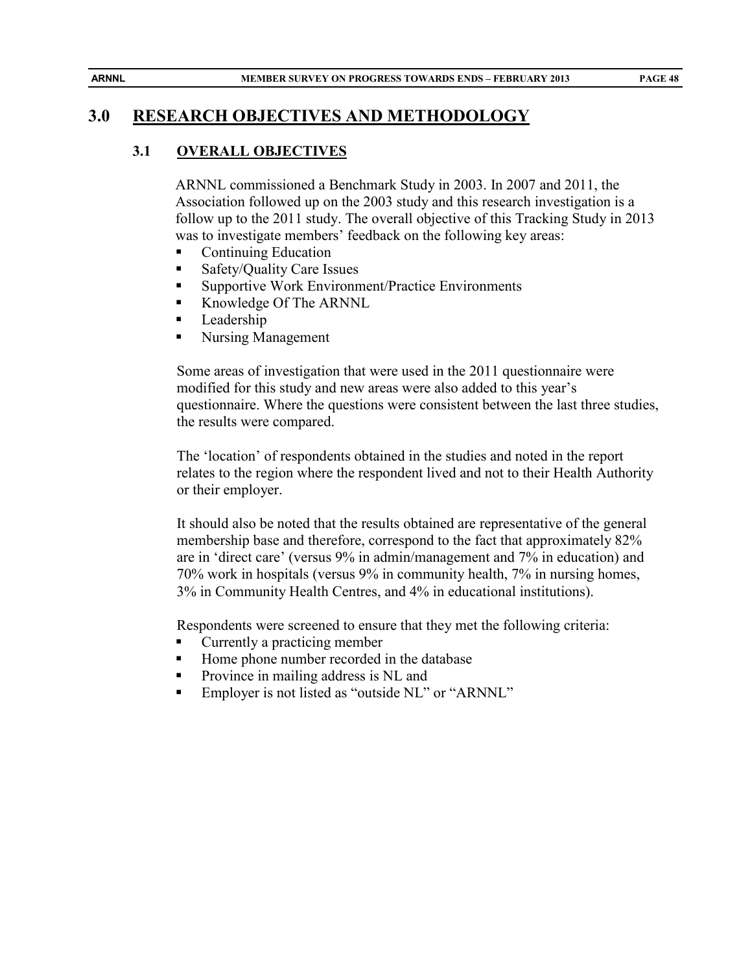# **3.0 RESEARCH OBJECTIVES AND METHODOLOGY**

## **3.1 OVERALL OBJECTIVES**

ARNNL commissioned a Benchmark Study in 2003. In 2007 and 2011, the Association followed up on the 2003 study and this research investigation is a follow up to the 2011 study. The overall objective of this Tracking Study in 2013 was to investigate members' feedback on the following key areas:

- Continuing Education
- Safety/Quality Care Issues
- Supportive Work Environment/Practice Environments
- Knowledge Of The ARNNL
- **Leadership**
- Nursing Management

Some areas of investigation that were used in the 2011 questionnaire were modified for this study and new areas were also added to this year's questionnaire. Where the questions were consistent between the last three studies, the results were compared.

The 'location' of respondents obtained in the studies and noted in the report relates to the region where the respondent lived and not to their Health Authority or their employer.

It should also be noted that the results obtained are representative of the general membership base and therefore, correspond to the fact that approximately 82% are in 'direct care' (versus 9% in admin/management and 7% in education) and 70% work in hospitals (versus 9% in community health, 7% in nursing homes, 3% in Community Health Centres, and 4% in educational institutions).

Respondents were screened to ensure that they met the following criteria:

- Currently a practicing member
- Home phone number recorded in the database
- **Province in mailing address is NL and**
- **Employer is not listed as "outside NL" or "ARNNL"**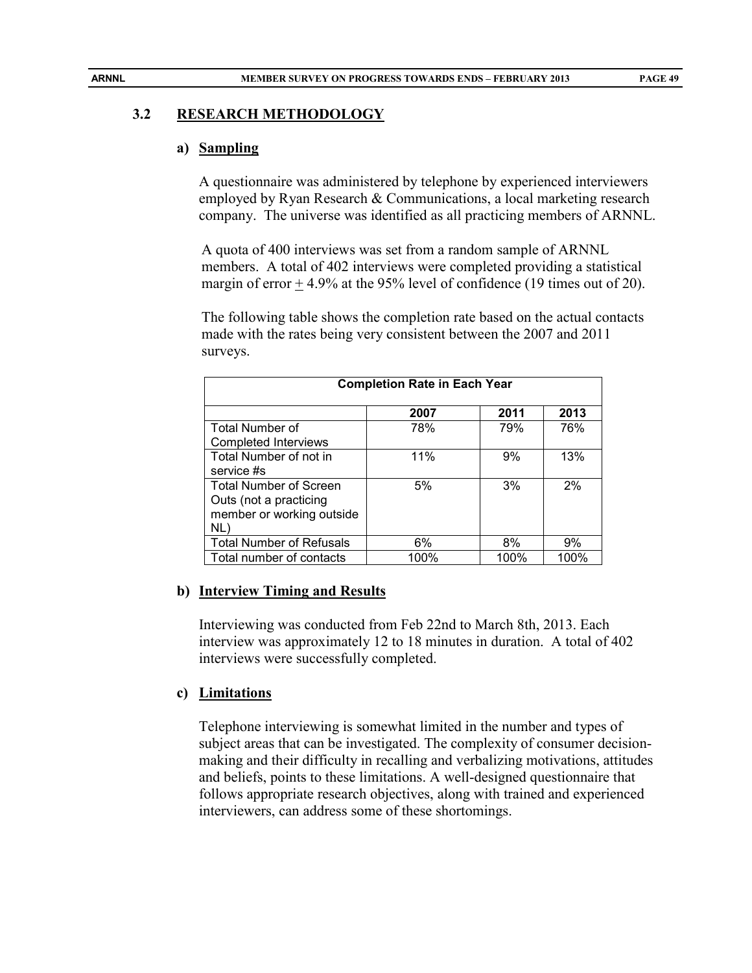#### **3.2 RESEARCH METHODOLOGY**

#### **a) Sampling**

A questionnaire was administered by telephone by experienced interviewers employed by Ryan Research & Communications, a local marketing research company. The universe was identified as all practicing members of ARNNL.

A quota of 400 interviews was set from a random sample of ARNNL members. A total of 402 interviews were completed providing a statistical margin of error  $\pm$  4.9% at the 95% level of confidence (19 times out of 20).

The following table shows the completion rate based on the actual contacts made with the rates being very consistent between the 2007 and 2011 surveys.

| <b>Completion Rate in Each Year</b> |      |      |      |
|-------------------------------------|------|------|------|
|                                     | 2007 | 2011 | 2013 |
| <b>Total Number of</b>              | 78%  | 79%  | 76%  |
| <b>Completed Interviews</b>         |      |      |      |
| Total Number of not in              | 11%  | 9%   | 13%  |
| service #s                          |      |      |      |
| <b>Total Number of Screen</b>       | 5%   | 3%   | 2%   |
| Outs (not a practicing              |      |      |      |
| member or working outside           |      |      |      |
| NL)                                 |      |      |      |
| <b>Total Number of Refusals</b>     | 6%   | 8%   | 9%   |
| Total number of contacts            | 100% | 100% | 100% |

#### **b) Interview Timing and Results**

Interviewing was conducted from Feb 22nd to March 8th, 2013. Each interview was approximately 12 to 18 minutes in duration. A total of 402 interviews were successfully completed.

#### **c) Limitations**

Telephone interviewing is somewhat limited in the number and types of subject areas that can be investigated. The complexity of consumer decisionmaking and their difficulty in recalling and verbalizing motivations, attitudes and beliefs, points to these limitations. A well-designed questionnaire that follows appropriate research objectives, along with trained and experienced interviewers, can address some of these shortomings.